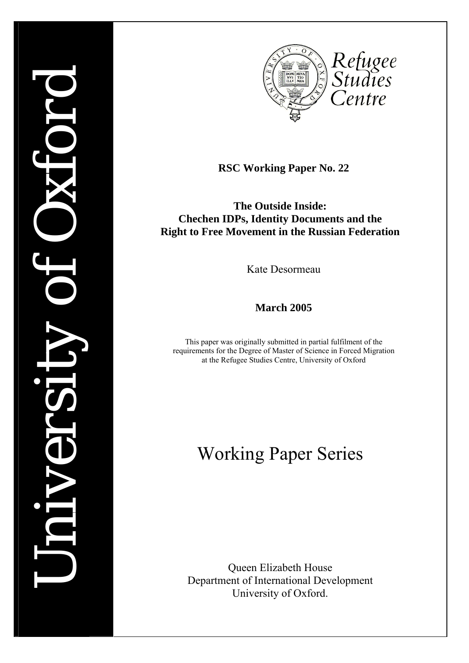

**RSC Working Paper No. 22** 

**The Outside Inside: Chechen IDPs, Identity Documents and the Right to Free Movement in the Russian Federation** 

Kate Desormeau

**March 2005** 

This paper was originally submitted in partial fulfilment of the requirements for the Degree of Master of Science in Forced Migration at the Refugee Studies Centre, University of Oxford

# Working Paper Series

Queen Elizabeth House Department of International Development University of Oxford.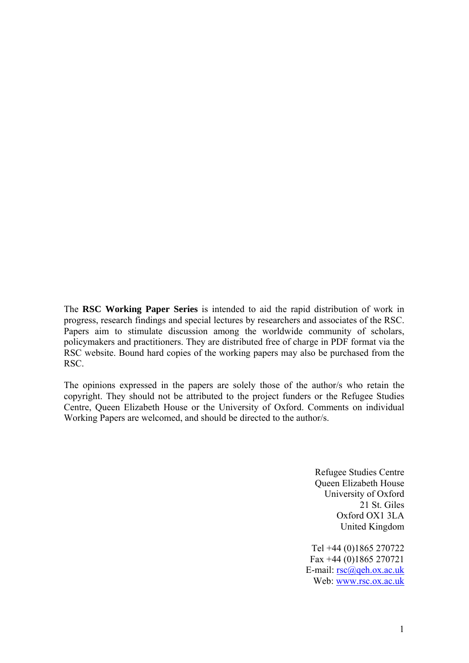The **RSC Working Paper Series** is intended to aid the rapid distribution of work in progress, research findings and special lectures by researchers and associates of the RSC. Papers aim to stimulate discussion among the worldwide community of scholars, policymakers and practitioners. They are distributed free of charge in PDF format via the RSC website. Bound hard copies of the working papers may also be purchased from the RSC.

The opinions expressed in the papers are solely those of the author/s who retain the copyright. They should not be attributed to the project funders or the Refugee Studies Centre, Queen Elizabeth House or the University of Oxford. Comments on individual Working Papers are welcomed, and should be directed to the author/s.

> Refugee Studies Centre Queen Elizabeth House University of Oxford 21 St. Giles Oxford OX1 3LA United Kingdom

Tel +44 (0)1865 270722 Fax +44 (0)1865 270721 E-mail: [rsc@qeh.ox.ac.uk](mailto:rsc@qeh.ox.ac.uk) Web: [www.rsc.ox.ac.uk](http://www.rsc.ox.ac.uk/)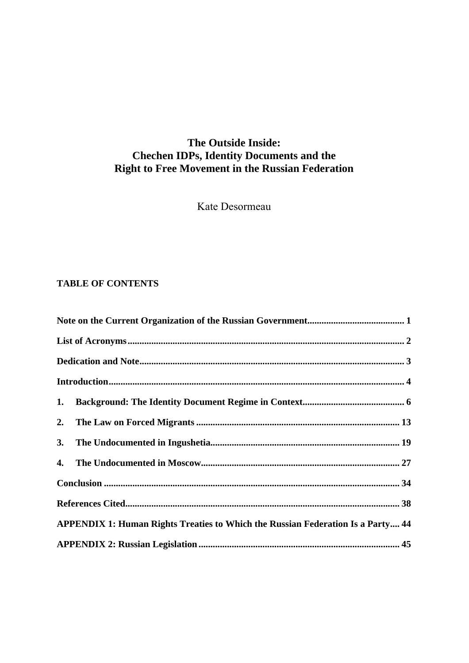# **The Outside Inside: Chechen IDPs, Identity Documents and the Right to Free Movement in the Russian Federation**

Kate Desormeau

# **TABLE OF CONTENTS**

| 1.                                                                                     |  |
|----------------------------------------------------------------------------------------|--|
| 2.                                                                                     |  |
| 3.                                                                                     |  |
|                                                                                        |  |
|                                                                                        |  |
|                                                                                        |  |
| <b>APPENDIX 1: Human Rights Treaties to Which the Russian Federation Is a Party 44</b> |  |
|                                                                                        |  |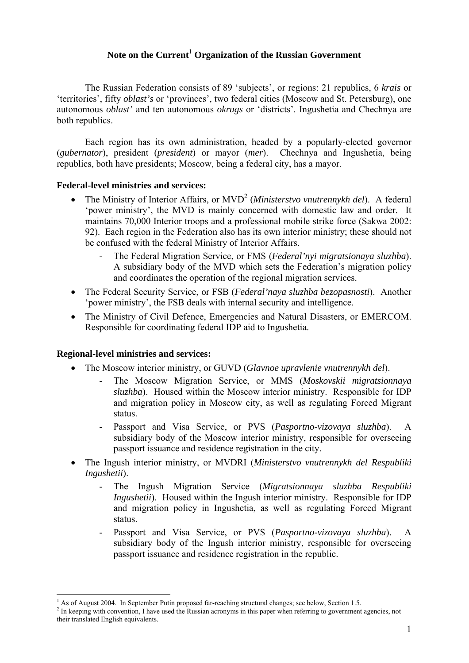## **Note on the Current**[1](#page-3-1)  **Organization of the Russian Government**

<span id="page-3-0"></span>The Russian Federation consists of 89 'subjects', or regions: 21 republics, 6 *krais* or 'territories', fifty *oblast's* or 'provinces', two federal cities (Moscow and St. Petersburg), one autonomous *oblast'* and ten autonomous *okrugs* or 'districts'. Ingushetia and Chechnya are both republics.

Each region has its own administration, headed by a popularly-elected governor (*gubernator*), president (*president*) or mayor (*mer*). Chechnya and Ingushetia, being republics, both have presidents; Moscow, being a federal city, has a mayor.

## **Federal-level ministries and services:**

- The Ministry of Interior Affairs, or MVD<sup>[2](#page-3-2)</sup> (*Ministerstvo vnutrennykh del*). A federal 'power ministry', the MVD is mainly concerned with domestic law and order. It maintains 70,000 Interior troops and a professional mobile strike force (Sakwa 2002: 92). Each region in the Federation also has its own interior ministry; these should not be confused with the federal Ministry of Interior Affairs.
	- The Federal Migration Service, or FMS (*Federal'nyi migratsionaya sluzhba*). A subsidiary body of the MVD which sets the Federation's migration policy and coordinates the operation of the regional migration services.
- The Federal Security Service, or FSB (*Federal'naya sluzhba bezopasnosti*). Another 'power ministry', the FSB deals with internal security and intelligence.
- The Ministry of Civil Defence, Emergencies and Natural Disasters, or EMERCOM. Responsible for coordinating federal IDP aid to Ingushetia.

## **Regional-level ministries and services:**

 $\overline{a}$ 

- The Moscow interior ministry, or GUVD (*Glavnoe upravlenie vnutrennykh del*).
	- The Moscow Migration Service, or MMS (*Moskovskii migratsionnaya sluzhba*). Housed within the Moscow interior ministry. Responsible for IDP and migration policy in Moscow city, as well as regulating Forced Migrant status.
	- Passport and Visa Service, or PVS (*Pasportno-vizovaya sluzhba*). A subsidiary body of the Moscow interior ministry, responsible for overseeing passport issuance and residence registration in the city.
- The Ingush interior ministry, or MVDRI (*Ministerstvo vnutrennykh del Respubliki Ingushetii*).
	- The Ingush Migration Service (*Migratsionnaya sluzhba Respubliki Ingushetii*). Housed within the Ingush interior ministry. Responsible for IDP and migration policy in Ingushetia, as well as regulating Forced Migrant status.
	- Passport and Visa Service, or PVS (*Pasportno-vizovaya sluzhba*). A subsidiary body of the Ingush interior ministry, responsible for overseeing passport issuance and residence registration in the republic.

<span id="page-3-1"></span><sup>&</sup>lt;sup>1</sup> As of August 2004. In September Putin proposed far-reaching structural changes; see below, Section 1.5.  $^{2}$  In keeping with convention J have used the Pussian esternum in this paper when referring to government

<span id="page-3-2"></span><sup>&</sup>lt;sup>2</sup> In keeping with convention, I have used the Russian acronyms in this paper when referring to government agencies, not their translated English equivalents.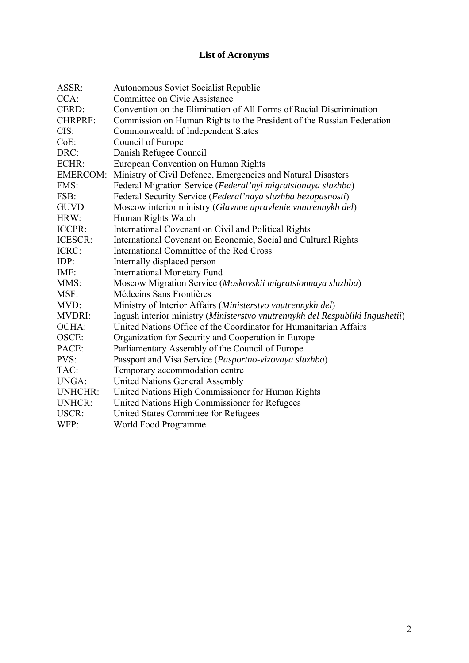# **List of Acronyms**

<span id="page-4-0"></span>

| ASSR:           | <b>Autonomous Soviet Socialist Republic</b>                                   |
|-----------------|-------------------------------------------------------------------------------|
| CCA:            | Committee on Civic Assistance                                                 |
| CERD:           | Convention on the Elimination of All Forms of Racial Discrimination           |
| <b>CHRPRF:</b>  | Commission on Human Rights to the President of the Russian Federation         |
| CIS:            | Commonwealth of Independent States                                            |
| $CoE$ :         | Council of Europe                                                             |
| DRC:            | Danish Refugee Council                                                        |
| ECHR:           | European Convention on Human Rights                                           |
| <b>EMERCOM:</b> | Ministry of Civil Defence, Emergencies and Natural Disasters                  |
| FMS:            | Federal Migration Service (Federal'nyi migratsionaya sluzhba)                 |
| FSB:            | Federal Security Service (Federal'naya sluzhba bezopasnosti)                  |
| <b>GUVD</b>     | Moscow interior ministry (Glavnoe upravlenie vnutrennykh del)                 |
| HRW:            | Human Rights Watch                                                            |
| ICCPR:          | International Covenant on Civil and Political Rights                          |
| ICESCR:         | International Covenant on Economic, Social and Cultural Rights                |
| ICRC:           | International Committee of the Red Cross                                      |
| IDP:            | Internally displaced person                                                   |
| $IMF$ :         | <b>International Monetary Fund</b>                                            |
| MMS:            | Moscow Migration Service (Moskovskii migratsionnaya sluzhba)                  |
| MSF:            | Médecins Sans Frontières                                                      |
| MVD:            | Ministry of Interior Affairs (Ministerstvo vnutrennykh del)                   |
| <b>MVDRI:</b>   | Ingush interior ministry (Ministerstvo vnutrennykh del Respubliki Ingushetii) |
| OCHA:           | United Nations Office of the Coordinator for Humanitarian Affairs             |
| OSCE:           | Organization for Security and Cooperation in Europe                           |
| PACE:           | Parliamentary Assembly of the Council of Europe                               |
| PVS:            | Passport and Visa Service (Pasportno-vizovaya sluzhba)                        |
| TAC:            | Temporary accommodation centre                                                |
| <b>UNGA:</b>    | United Nations General Assembly                                               |
| <b>UNHCHR:</b>  | United Nations High Commissioner for Human Rights                             |
| <b>UNHCR:</b>   | United Nations High Commissioner for Refugees                                 |
| USCR:           | United States Committee for Refugees                                          |
| WFP:            | World Food Programme                                                          |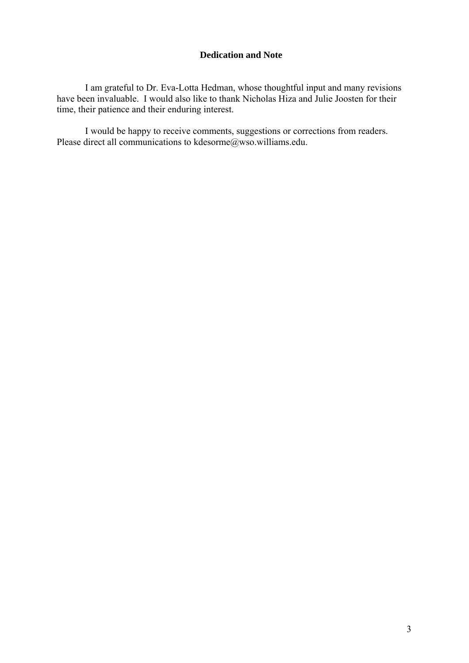## **Dedication and Note**

<span id="page-5-0"></span>I am grateful to Dr. Eva-Lotta Hedman, whose thoughtful input and many revisions have been invaluable. I would also like to thank Nicholas Hiza and Julie Joosten for their time, their patience and their enduring interest.

I would be happy to receive comments, suggestions or corrections from readers. Please direct all communications to kdesorme@wso.williams.edu.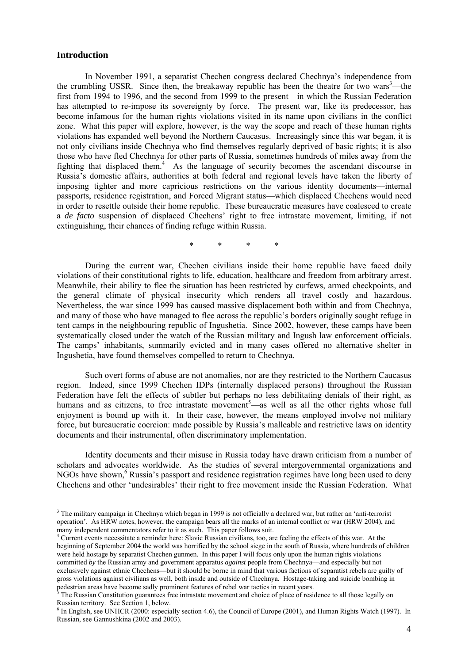## <span id="page-6-0"></span>**Introduction**

 $\overline{a}$ 

In November 1991, a separatist Chechen congress declared Chechnya's independence from the crumbling USSR. Since then, the breakaway republic has been the theatre for two wars<sup>3</sup>[—](#page-6-1)the first from 1994 to 1996, and the second from 1999 to the present—in which the Russian Federation has attempted to re-impose its sovereignty by force. The present war, like its predecessor, has become infamous for the human rights violations visited in its name upon civilians in the conflict zone. What this paper will explore, however, is the way the scope and reach of these human rights violations has expanded well beyond the Northern Caucasus. Increasingly since this war began, it is not only civilians inside Chechnya who find themselves regularly deprived of basic rights; it is also those who have fled Chechnya for other parts of Russia, sometimes hundreds of miles away from the fighting that displaced them.<sup>[4](#page-6-2)</sup> As the language of security becomes the ascendant discourse in Russia's domestic affairs, authorities at both federal and regional levels have taken the liberty of imposing tighter and more capricious restrictions on the various identity documents—internal passports, residence registration, and Forced Migrant status—which displaced Chechens would need in order to resettle outside their home republic. These bureaucratic measures have coalesced to create a *de facto* suspension of displaced Chechens' right to free intrastate movement, limiting, if not extinguishing, their chances of finding refuge within Russia.

\* \* \* \*

During the current war, Chechen civilians inside their home republic have faced daily violations of their constitutional rights to life, education, healthcare and freedom from arbitrary arrest. Meanwhile, their ability to flee the situation has been restricted by curfews, armed checkpoints, and the general climate of physical insecurity which renders all travel costly and hazardous. Nevertheless, the war since 1999 has caused massive displacement both within and from Chechnya, and many of those who have managed to flee across the republic's borders originally sought refuge in tent camps in the neighbouring republic of Ingushetia. Since 2002, however, these camps have been systematically closed under the watch of the Russian military and Ingush law enforcement officials. The camps' inhabitants, summarily evicted and in many cases offered no alternative shelter in Ingushetia, have found themselves compelled to return to Chechnya.

Such overt forms of abuse are not anomalies, nor are they restricted to the Northern Caucasus region. Indeed, since 1999 Chechen IDPs (internally displaced persons) throughout the Russian Federation have felt the effects of subtler but perhaps no less debilitating denials of their right, as humans and as citizens, to free intrastate movement<sup>[5](#page-6-3)</sup>—as well as all the other rights whose full enjoyment is bound up with it. In their case, however, the means employed involve not military force, but bureaucratic coercion: made possible by Russia's malleable and restrictive laws on identity documents and their instrumental, often discriminatory implementation.

Identity documents and their misuse in Russia today have drawn criticism from a number of scholars and advocates worldwide. As the studies of several intergovernmental organizations and NGOs have shown,<sup>[6](#page-6-4)</sup> Russia's passport and residence registration regimes have long been used to deny Chechens and other 'undesirables' their right to free movement inside the Russian Federation. What

<span id="page-6-1"></span><sup>&</sup>lt;sup>3</sup> The military campaign in Chechnya which began in 1999 is not officially a declared war, but rather an 'anti-terrorist operation'. As HRW notes, however, the campaign bears all the marks of an internal conflict or war (HRW 2004), and many independent commentators refer to it as such. This paper follows suit.

<span id="page-6-2"></span><sup>&</sup>lt;sup>4</sup> Current events necessitate a reminder here: Slavic Russian civilians, too, are feeling the effects of this war. At the beginning of September 2004 the world was horrified by the school siege in the south of Russia, where hundreds of children were held hostage by separatist Chechen gunmen. In this paper I will focus only upon the human rights violations committed *by* the Russian army and government apparatus *against* people from Chechnya—and especially but not exclusively against ethnic Chechens—but it should be borne in mind that various factions of separatist rebels are guilty of gross violations against civilians as well, both inside and outside of Chechnya. Hostage-taking and suicide bombing in pedestrian areas have become sadly prominent features of rebel war tactics in recent years.<sup>5</sup>

<span id="page-6-3"></span>The Russian Constitution guarantees free intrastate movement and choice of place of residence to all those legally on Russian territory. See Section 1, below.

<span id="page-6-4"></span><sup>&</sup>lt;sup>6</sup> In English, see UNHCR (2000: especially section 4.6), the Council of Europe (2001), and Human Rights Watch (1997). In Russian, see Gannushkina (2002 and 2003).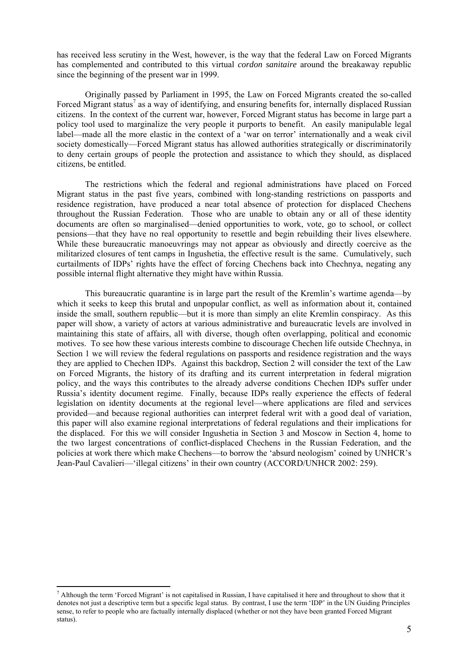has received less scrutiny in the West, however, is the way that the federal Law on Forced Migrants has complemented and contributed to this virtual *cordon sanitaire* around the breakaway republic since the beginning of the present war in 1999.

Originally passed by Parliament in 1995, the Law on Forced Migrants created the so-called Forced Migrant status<sup>[7](#page-7-0)</sup> as a way of identifying, and ensuring benefits for, internally displaced Russian citizens. In the context of the current war, however, Forced Migrant status has become in large part a policy tool used to marginalize the very people it purports to benefit. An easily manipulable legal label—made all the more elastic in the context of a 'war on terror' internationally and a weak civil society domestically—Forced Migrant status has allowed authorities strategically or discriminatorily to deny certain groups of people the protection and assistance to which they should, as displaced citizens, be entitled.

The restrictions which the federal and regional administrations have placed on Forced Migrant status in the past five years, combined with long-standing restrictions on passports and residence registration, have produced a near total absence of protection for displaced Chechens throughout the Russian Federation. Those who are unable to obtain any or all of these identity documents are often so marginalised—denied opportunities to work, vote, go to school, or collect pensions—that they have no real opportunity to resettle and begin rebuilding their lives elsewhere. While these bureaucratic manoeuvrings may not appear as obviously and directly coercive as the militarized closures of tent camps in Ingushetia, the effective result is the same. Cumulatively, such curtailments of IDPs' rights have the effect of forcing Chechens back into Chechnya, negating any possible internal flight alternative they might have within Russia.

This bureaucratic quarantine is in large part the result of the Kremlin's wartime agenda—by which it seeks to keep this brutal and unpopular conflict, as well as information about it, contained inside the small, southern republic—but it is more than simply an elite Kremlin conspiracy. As this paper will show, a variety of actors at various administrative and bureaucratic levels are involved in maintaining this state of affairs, all with diverse, though often overlapping, political and economic motives. To see how these various interests combine to discourage Chechen life outside Chechnya, in Section 1 we will review the federal regulations on passports and residence registration and the ways they are applied to Chechen IDPs. Against this backdrop, Section 2 will consider the text of the Law on Forced Migrants, the history of its drafting and its current interpretation in federal migration policy, and the ways this contributes to the already adverse conditions Chechen IDPs suffer under Russia's identity document regime. Finally, because IDPs really experience the effects of federal legislation on identity documents at the regional level—where applications are filed and services provided—and because regional authorities can interpret federal writ with a good deal of variation, this paper will also examine regional interpretations of federal regulations and their implications for the displaced. For this we will consider Ingushetia in Section 3 and Moscow in Section 4, home to the two largest concentrations of conflict-displaced Chechens in the Russian Federation, and the policies at work there which make Chechens—to borrow the 'absurd neologism' coined by UNHCR's Jean-Paul Cavalieri—'illegal citizens' in their own country (ACCORD/UNHCR 2002: 259).

 $\overline{a}$ 

<span id="page-7-0"></span> $^7$  Although the term 'Forced Migrant' is not capitalised in Russian, I have capitalised it here and throughout to show that it denotes not just a descriptive term but a specific legal status. By contrast, I use the term 'IDP' in the UN Guiding Principles sense, to refer to people who are factually internally displaced (whether or not they have been granted Forced Migrant status).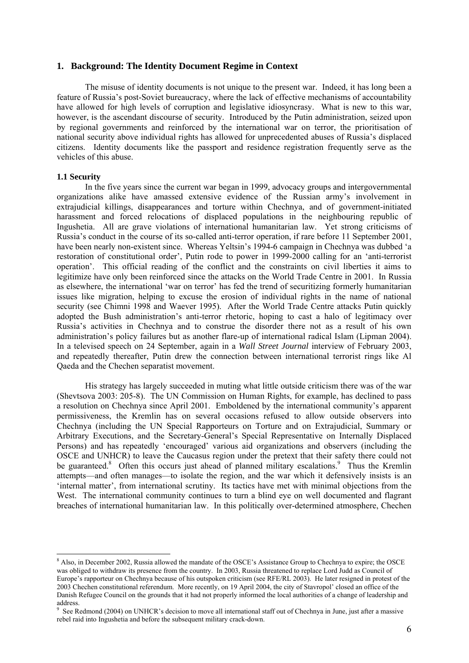#### <span id="page-8-0"></span>**1. Background: The Identity Document Regime in Context**

 The misuse of identity documents is not unique to the present war. Indeed, it has long been a feature of Russia's post-Soviet bureaucracy, where the lack of effective mechanisms of accountability have allowed for high levels of corruption and legislative idiosyncrasy. What is new to this war, however, is the ascendant discourse of security. Introduced by the Putin administration, seized upon by regional governments and reinforced by the international war on terror, the prioritisation of national security above individual rights has allowed for unprecedented abuses of Russia's displaced citizens. Identity documents like the passport and residence registration frequently serve as the vehicles of this abuse.

#### **1.1 Security**

 $\overline{a}$ 

In the five years since the current war began in 1999, advocacy groups and intergovernmental organizations alike have amassed extensive evidence of the Russian army's involvement in extrajudicial killings, disappearances and torture within Chechnya, and of government-initiated harassment and forced relocations of displaced populations in the neighbouring republic of Ingushetia. All are grave violations of international humanitarian law. Yet strong criticisms of Russia's conduct in the course of its so-called anti-terror operation, if rare before 11 September 2001, have been nearly non-existent since. Whereas Yeltsin's 1994-6 campaign in Chechnya was dubbed 'a restoration of constitutional order', Putin rode to power in 1999-2000 calling for an 'anti-terrorist operation'. This official reading of the conflict and the constraints on civil liberties it aims to legitimize have only been reinforced since the attacks on the World Trade Centre in 2001. In Russia as elsewhere, the international 'war on terror' has fed the trend of securitizing formerly humanitarian issues like migration, helping to excuse the erosion of individual rights in the name of national security (see Chimni 1998 and Waever 1995). After the World Trade Centre attacks Putin quickly adopted the Bush administration's anti-terror rhetoric, hoping to cast a halo of legitimacy over Russia's activities in Chechnya and to construe the disorder there not as a result of his own administration's policy failures but as another flare-up of international radical Islam (Lipman 2004). In a televised speech on 24 September, again in a *Wall Street Journal* interview of February 2003, and repeatedly thereafter, Putin drew the connection between international terrorist rings like Al Qaeda and the Chechen separatist movement.

His strategy has largely succeeded in muting what little outside criticism there was of the war (Shevtsova 2003: 205-8). The UN Commission on Human Rights, for example, has declined to pass a resolution on Chechnya since April 2001. Emboldened by the international community's apparent permissiveness, the Kremlin has on several occasions refused to allow outside observers into Chechnya (including the UN Special Rapporteurs on Torture and on Extrajudicial, Summary or Arbitrary Executions, and the Secretary-General's Special Representative on Internally Displaced Persons) and has repeatedly 'encouraged' various aid organizations and observers (including the OSCE and UNHCR) to leave the Caucasus region under the pretext that their safety there could not be guaranteed.<sup>8</sup> Often this occurs just ahead of planned military escalations.<sup>9</sup> Thus the Kremlin attempts—and often manages—to isolate the region, and the war which it defensively insists is an 'internal matter', from international scrutiny. Its tactics have met with minimal objections from the West. The international community continues to turn a blind eye on well documented and flagrant breaches of international humanitarian law. In this politically over-determined atmosphere, Chechen

<span id="page-8-1"></span><sup>&</sup>lt;sup>8</sup> Also, in December 2002, Russia allowed the mandate of the OSCE's Assistance Group to Chechnya to expire; the OSCE was obliged to withdraw its presence from the country. In 2003, Russia threatened to replace Lord Judd as Council of Europe's rapporteur on Chechnya because of his outspoken criticism (see RFE/RL 2003). He later resigned in protest of the 2003 Chechen constitutional referendum. More recently, on 19 April 2004, the city of Stavropol' closed an office of the Danish Refugee Council on the grounds that it had not properly informed the local authorities of a change of leadership and address.<br><sup>9</sup> See Pe

<span id="page-8-2"></span>See Redmond (2004) on UNHCR's decision to move all international staff out of Chechnya in June, just after a massive rebel raid into Ingushetia and before the subsequent military crack-down.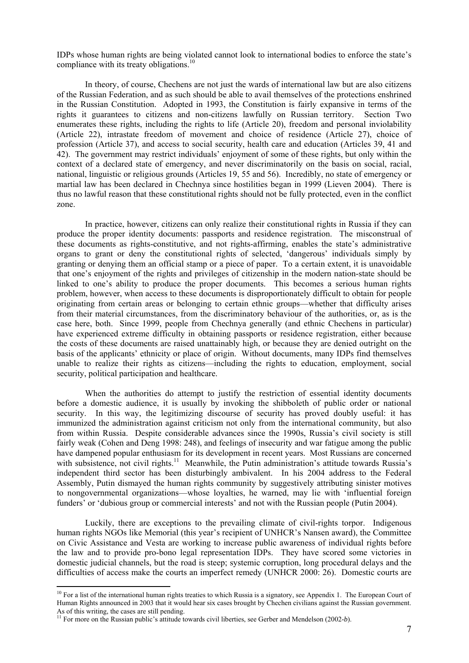IDPs whose human rights are being violated cannot look to international bodies to enforce the state's compliance with its treaty obligations.<sup>10</sup>

In theory, of course, Chechens are not just the wards of international law but are also citizens of the Russian Federation, and as such should be able to avail themselves of the protections enshrined in the Russian Constitution. Adopted in 1993, the Constitution is fairly expansive in terms of the rights it guarantees to citizens and non-citizens lawfully on Russian territory. Section Two enumerates these rights, including the rights to life (Article 20), freedom and personal inviolability (Article 22), intrastate freedom of movement and choice of residence (Article 27), choice of profession (Article 37), and access to social security, health care and education (Articles 39, 41 and 42). The government may restrict individuals' enjoyment of some of these rights, but only within the context of a declared state of emergency, and never discriminatorily on the basis on social, racial, national, linguistic or religious grounds (Articles 19, 55 and 56). Incredibly, no state of emergency or martial law has been declared in Chechnya since hostilities began in 1999 (Lieven 2004). There is thus no lawful reason that these constitutional rights should not be fully protected, even in the conflict zone.

In practice, however, citizens can only realize their constitutional rights in Russia if they can produce the proper identity documents: passports and residence registration. The misconstrual of these documents as rights-constitutive, and not rights-affirming, enables the state's administrative organs to grant or deny the constitutional rights of selected, 'dangerous' individuals simply by granting or denying them an official stamp or a piece of paper. To a certain extent, it is unavoidable that one's enjoyment of the rights and privileges of citizenship in the modern nation-state should be linked to one's ability to produce the proper documents. This becomes a serious human rights problem, however, when access to these documents is disproportionately difficult to obtain for people originating from certain areas or belonging to certain ethnic groups—whether that difficulty arises from their material circumstances, from the discriminatory behaviour of the authorities, or, as is the case here, both. Since 1999, people from Chechnya generally (and ethnic Chechens in particular) have experienced extreme difficulty in obtaining passports or residence registration, either because the costs of these documents are raised unattainably high, or because they are denied outright on the basis of the applicants' ethnicity or place of origin. Without documents, many IDPs find themselves unable to realize their rights as citizens—including the rights to education, employment, social security, political participation and healthcare.

When the authorities do attempt to justify the restriction of essential identity documents before a domestic audience, it is usually by invoking the shibboleth of public order or national security. In this way, the legitimizing discourse of security has proved doubly useful: it has immunized the administration against criticism not only from the international community, but also from within Russia. Despite considerable advances since the 1990s, Russia's civil society is still fairly weak (Cohen and Deng 1998: 248), and feelings of insecurity and war fatigue among the public have dampened popular enthusiasm for its development in recent years. Most Russians are concerned with subsistence, not civil rights.<sup>11</sup> Meanwhile, the Putin administration's attitude towards Russia's independent third sector has been disturbingly ambivalent. In his 2004 address to the Federal Assembly, Putin dismayed the human rights community by suggestively attributing sinister motives to nongovernmental organizations—whose loyalties, he warned, may lie with 'influential foreign funders' or 'dubious group or commercial interests' and not with the Russian people (Putin 2004).

Luckily, there are exceptions to the prevailing climate of civil-rights torpor. Indigenous human rights NGOs like Memorial (this year's recipient of UNHCR's Nansen award), the Committee on Civic Assistance and Vesta are working to increase public awareness of individual rights before the law and to provide pro-bono legal representation IDPs. They have scored some victories in domestic judicial channels, but the road is steep; systemic corruption, long procedural delays and the difficulties of access make the courts an imperfect remedy (UNHCR 2000: 26). Domestic courts are

 $\overline{a}$ 

<span id="page-9-0"></span> $10$  For a list of the international human rights treaties to which Russia is a signatory, see Appendix 1. The European Court of Human Rights announced in 2003 that it would hear six cases brought by Chechen civilians against the Russian government. As of this writing, the cases are still pending.

<span id="page-9-1"></span><sup>&</sup>lt;sup>11</sup> For more on the Russian public's attitude towards civil liberties, see Gerber and Mendelson (2002-*b*).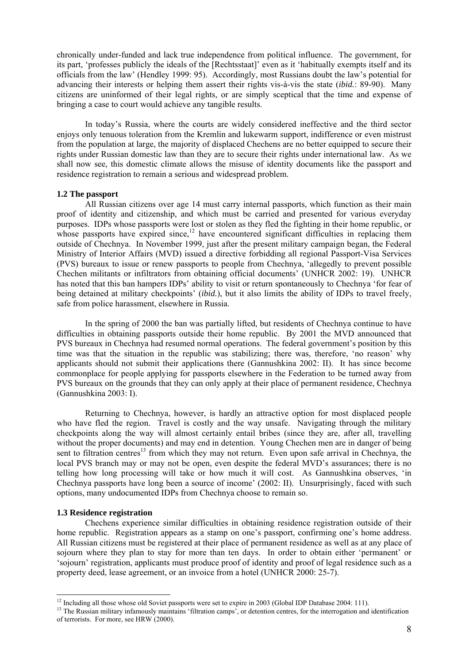chronically under-funded and lack true independence from political influence. The government, for its part, 'professes publicly the ideals of the [Rechtsstaat]' even as it 'habitually exempts itself and its officials from the law' (Hendley 1999: 95). Accordingly, most Russians doubt the law's potential for advancing their interests or helping them assert their rights vis-à-vis the state (*ibid.*: 89-90). Many citizens are uninformed of their legal rights, or are simply sceptical that the time and expense of bringing a case to court would achieve any tangible results.

In today's Russia, where the courts are widely considered ineffective and the third sector enjoys only tenuous toleration from the Kremlin and lukewarm support, indifference or even mistrust from the population at large, the majority of displaced Chechens are no better equipped to secure their rights under Russian domestic law than they are to secure their rights under international law. As we shall now see, this domestic climate allows the misuse of identity documents like the passport and residence registration to remain a serious and widespread problem.

#### **1.2 The passport**

All Russian citizens over age 14 must carry internal passports, which function as their main proof of identity and citizenship, and which must be carried and presented for various everyday purposes. IDPs whose passports were lost or stolen as they fled the fighting in their home republic, or whose passports have expired since,<sup>12</sup> have encountered significant difficulties in replacing them outside of Chechnya. In November 1999, just after the present military campaign began, the Federal Ministry of Interior Affairs (MVD) issued a directive forbidding all regional Passport-Visa Services (PVS) bureaux to issue or renew passports to people from Chechnya, 'allegedly to prevent possible Chechen militants or infiltrators from obtaining official documents' (UNHCR 2002: 19). UNHCR has noted that this ban hampers IDPs' ability to visit or return spontaneously to Chechnya 'for fear of being detained at military checkpoints' (*ibid.*), but it also limits the ability of IDPs to travel freely, safe from police harassment, elsewhere in Russia.

In the spring of 2000 the ban was partially lifted, but residents of Chechnya continue to have difficulties in obtaining passports outside their home republic. By 2001 the MVD announced that PVS bureaux in Chechnya had resumed normal operations. The federal government's position by this time was that the situation in the republic was stabilizing; there was, therefore, 'no reason' why applicants should not submit their applications there (Gannushkina 2002: II). It has since become commonplace for people applying for passports elsewhere in the Federation to be turned away from PVS bureaux on the grounds that they can only apply at their place of permanent residence, Chechnya (Gannushkina 2003: I).

Returning to Chechnya, however, is hardly an attractive option for most displaced people who have fled the region. Travel is costly and the way unsafe. Navigating through the military checkpoints along the way will almost certainly entail bribes (since they are, after all, travelling without the proper documents) and may end in detention. Young Chechen men are in danger of being sent to filtration centres<sup>13</sup> from which they may not return. Even upon safe arrival in Chechnya, the local PVS branch may or may not be open, even despite the federal MVD's assurances; there is no telling how long processing will take or how much it will cost. As Gannushkina observes, 'in Chechnya passports have long been a source of income' (2002: II). Unsurprisingly, faced with such options, many undocumented IDPs from Chechnya choose to remain so.

#### **1.3 Residence registration**

 $\overline{a}$ 

Chechens experience similar difficulties in obtaining residence registration outside of their home republic. Registration appears as a stamp on one's passport, confirming one's home address. All Russian citizens must be registered at their place of permanent residence as well as at any place of sojourn where they plan to stay for more than ten days. In order to obtain either 'permanent' or 'sojourn' registration, applicants must produce proof of identity and proof of legal residence such as a property deed, lease agreement, or an invoice from a hotel (UNHCR 2000: 25-7).

<span id="page-10-0"></span><sup>&</sup>lt;sup>12</sup> Including all those whose old Soviet passports were set to expire in 2003 (Global IDP Database 2004: 111).

<span id="page-10-1"></span><sup>&</sup>lt;sup>13</sup> The Russian military infamously maintains 'filtration camps', or detention centres, for the interrogation and identification of terrorists. For more, see HRW (2000).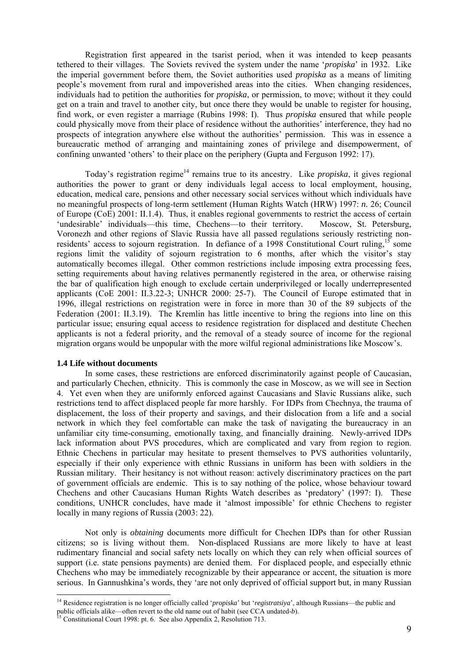Registration first appeared in the tsarist period, when it was intended to keep peasants tethered to their villages. The Soviets revived the system under the name '*propiska*' in 1932. Like the imperial government before them, the Soviet authorities used *propiska* as a means of limiting people's movement from rural and impoverished areas into the cities. When changing residences, individuals had to petition the authorities for *propiska*, or permission, to move; without it they could get on a train and travel to another city, but once there they would be unable to register for housing, find work, or even register a marriage (Rubins 1998: I). Thus *propiska* ensured that while people could physically move from their place of residence without the authorities' interference, they had no prospects of integration anywhere else without the authorities' permission. This was in essence a bureaucratic method of arranging and maintaining zones of privilege and disempowerment, of confining unwanted 'others' to their place on the periphery (Gupta and Ferguson 1992: 17).

Today's registration regime<sup>14</sup> remains true to its ancestry. Like *propiska*, it gives regional authorities the power to grant or deny individuals legal access to local employment, housing, education, medical care, pensions and other necessary social services without which individuals have no meaningful prospects of long-term settlement (Human Rights Watch (HRW) 1997: *n.* 26; Council of Europe (CoE) 2001: II.1.4). Thus, it enables regional governments to restrict the access of certain 'undesirable' individuals—this time, Chechens—to their territory. Moscow, St. Petersburg, Voronezh and other regions of Slavic Russia have all passed regulations seriously restricting nonresidents' access to sojourn registration. In defiance of a 1998 Constitutional Court ruling,<sup>15</sup> some regions limit the validity of sojourn registration to 6 months, after which the visitor's stay automatically becomes illegal. Other common restrictions include imposing extra processing fees, setting requirements about having relatives permanently registered in the area, or otherwise raising the bar of qualification high enough to exclude certain underprivileged or locally underrepresented applicants (CoE 2001: II.3.22-3; UNHCR 2000: 25-7). The Council of Europe estimated that in 1996, illegal restrictions on registration were in force in more than 30 of the 89 subjects of the Federation (2001: II.3.19). The Kremlin has little incentive to bring the regions into line on this particular issue; ensuring equal access to residence registration for displaced and destitute Chechen applicants is not a federal priority, and the removal of a steady source of income for the regional migration organs would be unpopular with the more wilful regional administrations like Moscow's.

#### **1.4 Life without documents**

 $\overline{a}$ 

In some cases, these restrictions are enforced discriminatorily against people of Caucasian, and particularly Chechen, ethnicity. This is commonly the case in Moscow, as we will see in Section 4. Yet even when they are uniformly enforced against Caucasians and Slavic Russians alike, such restrictions tend to affect displaced people far more harshly. For IDPs from Chechnya, the trauma of displacement, the loss of their property and savings, and their dislocation from a life and a social network in which they feel comfortable can make the task of navigating the bureaucracy in an unfamiliar city time-consuming, emotionally taxing, and financially draining. Newly-arrived IDPs lack information about PVS procedures, which are complicated and vary from region to region. Ethnic Chechens in particular may hesitate to present themselves to PVS authorities voluntarily, especially if their only experience with ethnic Russians in uniform has been with soldiers in the Russian military. Their hesitancy is not without reason: actively discriminatory practices on the part of government officials are endemic. This is to say nothing of the police, whose behaviour toward Chechens and other Caucasians Human Rights Watch describes as 'predatory' (1997: I). These conditions, UNHCR concludes, have made it 'almost impossible' for ethnic Chechens to register locally in many regions of Russia (2003: 22).

Not only is *obtaining* documents more difficult for Chechen IDPs than for other Russian citizens; so is living without them. Non-displaced Russians are more likely to have at least rudimentary financial and social safety nets locally on which they can rely when official sources of support (i.e. state pensions payments) are denied them. For displaced people, and especially ethnic Chechens who may be immediately recognizable by their appearance or accent, the situation is more serious. In Gannushkina's words, they 'are not only deprived of official support but, in many Russian

<span id="page-11-0"></span><sup>14</sup> Residence registration is no longer officially called '*propiska*' but '*registratsiya*', although Russians—the public and public officials alike—often revert to the old name out of habit (see CCA undated-*b*).<br><sup>15</sup> Constitutional Court 1998: pt. 6. See also Appendix 2, Resolution 713.

<span id="page-11-1"></span>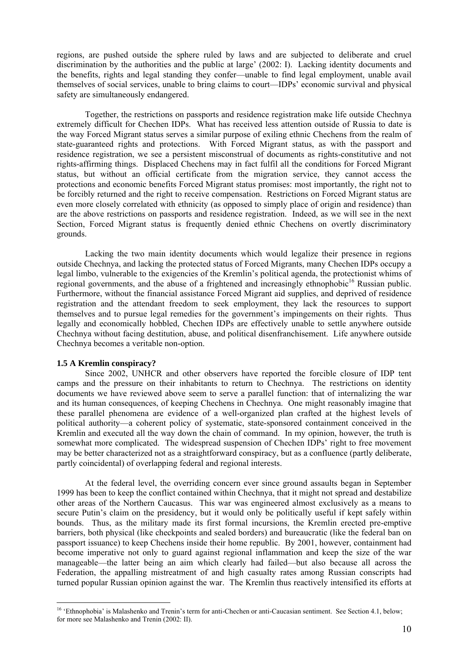regions, are pushed outside the sphere ruled by laws and are subjected to deliberate and cruel discrimination by the authorities and the public at large' (2002: I). Lacking identity documents and the benefits, rights and legal standing they confer—unable to find legal employment, unable avail themselves of social services, unable to bring claims to court—IDPs' economic survival and physical safety are simultaneously endangered.

Together, the restrictions on passports and residence registration make life outside Chechnya extremely difficult for Chechen IDPs. What has received less attention outside of Russia to date is the way Forced Migrant status serves a similar purpose of exiling ethnic Chechens from the realm of state-guaranteed rights and protections. With Forced Migrant status, as with the passport and residence registration, we see a persistent misconstrual of documents as rights-constitutive and not rights-affirming things. Displaced Chechens may in fact fulfil all the conditions for Forced Migrant status, but without an official certificate from the migration service, they cannot access the protections and economic benefits Forced Migrant status promises: most importantly, the right not to be forcibly returned and the right to receive compensation. Restrictions on Forced Migrant status are even more closely correlated with ethnicity (as opposed to simply place of origin and residence) than are the above restrictions on passports and residence registration. Indeed, as we will see in the next Section, Forced Migrant status is frequently denied ethnic Chechens on overtly discriminatory grounds.

Lacking the two main identity documents which would legalize their presence in regions outside Chechnya, and lacking the protected status of Forced Migrants, many Chechen IDPs occupy a legal limbo, vulnerable to the exigencies of the Kremlin's political agenda, the protectionist whims of regional governments, and the abuse of a frightened and increasingly ethnophobic<sup>16</sup> Russian public. Furthermore, without the financial assistance Forced Migrant aid supplies, and deprived of residence registration and the attendant freedom to seek employment, they lack the resources to support themselves and to pursue legal remedies for the government's impingements on their rights. Thus legally and economically hobbled, Chechen IDPs are effectively unable to settle anywhere outside Chechnya without facing destitution, abuse, and political disenfranchisement. Life anywhere outside Chechnya becomes a veritable non-option.

#### **1.5 A Kremlin conspiracy?**

 $\overline{a}$ 

Since 2002, UNHCR and other observers have reported the forcible closure of IDP tent camps and the pressure on their inhabitants to return to Chechnya. The restrictions on identity documents we have reviewed above seem to serve a parallel function: that of internalizing the war and its human consequences, of keeping Chechens in Chechnya. One might reasonably imagine that these parallel phenomena are evidence of a well-organized plan crafted at the highest levels of political authority—a coherent policy of systematic, state-sponsored containment conceived in the Kremlin and executed all the way down the chain of command. In my opinion, however, the truth is somewhat more complicated. The widespread suspension of Chechen IDPs' right to free movement may be better characterized not as a straightforward conspiracy, but as a confluence (partly deliberate, partly coincidental) of overlapping federal and regional interests.

At the federal level, the overriding concern ever since ground assaults began in September 1999 has been to keep the conflict contained within Chechnya, that it might not spread and destabilize other areas of the Northern Caucasus. This war was engineered almost exclusively as a means to secure Putin's claim on the presidency, but it would only be politically useful if kept safely within bounds. Thus, as the military made its first formal incursions, the Kremlin erected pre-emptive barriers, both physical (like checkpoints and sealed borders) and bureaucratic (like the federal ban on passport issuance) to keep Chechens inside their home republic. By 2001, however, containment had become imperative not only to guard against regional inflammation and keep the size of the war manageable—the latter being an aim which clearly had failed—but also because all across the Federation, the appalling mistreatment of and high casualty rates among Russian conscripts had turned popular Russian opinion against the war. The Kremlin thus reactively intensified its efforts at

<span id="page-12-0"></span><sup>&</sup>lt;sup>16</sup> 'Ethnophobia' is Malashenko and Trenin's term for anti-Chechen or anti-Caucasian sentiment. See Section 4.1, below; for more see Malashenko and Trenin (2002: II).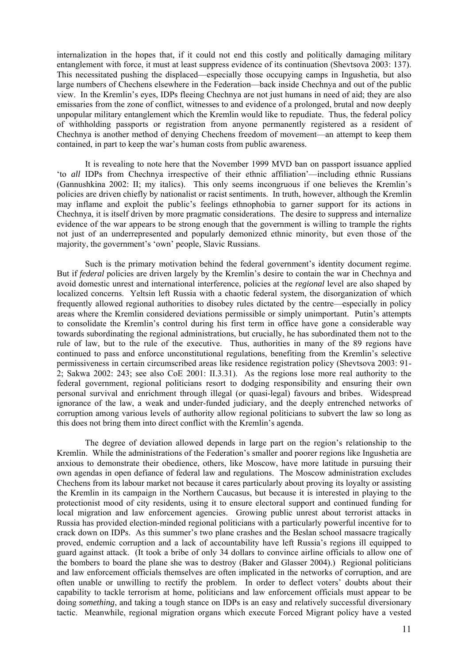internalization in the hopes that, if it could not end this costly and politically damaging military entanglement with force, it must at least suppress evidence of its continuation (Shevtsova 2003: 137). This necessitated pushing the displaced—especially those occupying camps in Ingushetia, but also large numbers of Chechens elsewhere in the Federation—back inside Chechnya and out of the public view. In the Kremlin's eyes, IDPs fleeing Chechnya are not just humans in need of aid; they are also emissaries from the zone of conflict, witnesses to and evidence of a prolonged, brutal and now deeply unpopular military entanglement which the Kremlin would like to repudiate. Thus, the federal policy of withholding passports or registration from anyone permanently registered as a resident of Chechnya is another method of denying Chechens freedom of movement—an attempt to keep them contained, in part to keep the war's human costs from public awareness.

It is revealing to note here that the November 1999 MVD ban on passport issuance applied 'to *all* IDPs from Chechnya irrespective of their ethnic affiliation'—including ethnic Russians (Gannushkina 2002: II; my italics). This only seems incongruous if one believes the Kremlin's policies are driven chiefly by nationalist or racist sentiments. In truth, however, although the Kremlin may inflame and exploit the public's feelings ethnophobia to garner support for its actions in Chechnya, it is itself driven by more pragmatic considerations. The desire to suppress and internalize evidence of the war appears to be strong enough that the government is willing to trample the rights not just of an underrepresented and popularly demonized ethnic minority, but even those of the majority, the government's 'own' people, Slavic Russians.

Such is the primary motivation behind the federal government's identity document regime. But if *federal* policies are driven largely by the Kremlin's desire to contain the war in Chechnya and avoid domestic unrest and international interference, policies at the *regional* level are also shaped by localized concerns. Yeltsin left Russia with a chaotic federal system, the disorganization of which frequently allowed regional authorities to disobey rules dictated by the centre—especially in policy areas where the Kremlin considered deviations permissible or simply unimportant. Putin's attempts to consolidate the Kremlin's control during his first term in office have gone a considerable way towards subordinating the regional administrations, but crucially, he has subordinated them not to the rule of law, but to the rule of the executive. Thus, authorities in many of the 89 regions have continued to pass and enforce unconstitutional regulations, benefiting from the Kremlin's selective permissiveness in certain circumscribed areas like residence registration policy (Shevtsova 2003: 91- 2; Sakwa 2002: 243; see also CoE 2001: II.3.31). As the regions lose more real authority to the federal government, regional politicians resort to dodging responsibility and ensuring their own personal survival and enrichment through illegal (or quasi-legal) favours and bribes. Widespread ignorance of the law, a weak and under-funded judiciary, and the deeply entrenched networks of corruption among various levels of authority allow regional politicians to subvert the law so long as this does not bring them into direct conflict with the Kremlin's agenda.

The degree of deviation allowed depends in large part on the region's relationship to the Kremlin. While the administrations of the Federation's smaller and poorer regions like Ingushetia are anxious to demonstrate their obedience, others, like Moscow, have more latitude in pursuing their own agendas in open defiance of federal law and regulations. The Moscow administration excludes Chechens from its labour market not because it cares particularly about proving its loyalty or assisting the Kremlin in its campaign in the Northern Caucasus, but because it is interested in playing to the protectionist mood of city residents, using it to ensure electoral support and continued funding for local migration and law enforcement agencies. Growing public unrest about terrorist attacks in Russia has provided election-minded regional politicians with a particularly powerful incentive for to crack down on IDPs. As this summer's two plane crashes and the Beslan school massacre tragically proved, endemic corruption and a lack of accountability have left Russia's regions ill equipped to guard against attack. (It took a bribe of only 34 dollars to convince airline officials to allow one of the bombers to board the plane she was to destroy (Baker and Glasser 2004).) Regional politicians and law enforcement officials themselves are often implicated in the networks of corruption, and are often unable or unwilling to rectify the problem. In order to deflect voters' doubts about their capability to tackle terrorism at home, politicians and law enforcement officials must appear to be doing *something*, and taking a tough stance on IDPs is an easy and relatively successful diversionary tactic. Meanwhile, regional migration organs which execute Forced Migrant policy have a vested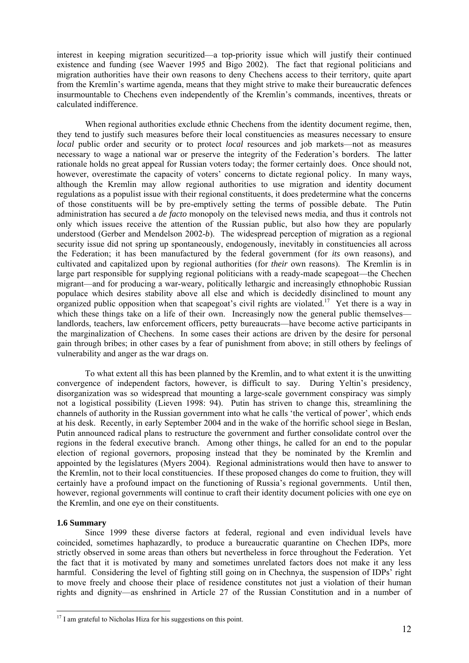interest in keeping migration securitized—a top-priority issue which will justify their continued existence and funding (see Waever 1995 and Bigo 2002). The fact that regional politicians and migration authorities have their own reasons to deny Chechens access to their territory, quite apart from the Kremlin's wartime agenda, means that they might strive to make their bureaucratic defences insurmountable to Chechens even independently of the Kremlin's commands, incentives, threats or calculated indifference.

When regional authorities exclude ethnic Chechens from the identity document regime, then, they tend to justify such measures before their local constituencies as measures necessary to ensure *local* public order and security or to protect *local* resources and job markets—not as measures necessary to wage a national war or preserve the integrity of the Federation's borders. The latter rationale holds no great appeal for Russian voters today; the former certainly does. Once should not, however, overestimate the capacity of voters' concerns to dictate regional policy. In many ways, although the Kremlin may allow regional authorities to use migration and identity document regulations as a populist issue with their regional constituents, it does predetermine what the concerns of those constituents will be by pre-emptively setting the terms of possible debate. The Putin administration has secured a *de facto* monopoly on the televised news media, and thus it controls not only which issues receive the attention of the Russian public, but also how they are popularly understood (Gerber and Mendelson 2002-*b*). The widespread perception of migration as a regional security issue did not spring up spontaneously, endogenously, inevitably in constituencies all across the Federation; it has been manufactured by the federal government (for *its* own reasons), and cultivated and capitalized upon by regional authorities (for *their* own reasons). The Kremlin is in large part responsible for supplying regional politicians with a ready-made scapegoat—the Chechen migrant—and for producing a war-weary, politically lethargic and increasingly ethnophobic Russian populace which desires stability above all else and which is decidedly disinclined to mount any organized public opposition when that scapegoat's civil rights are violated.<sup>17</sup> Yet there is a way in which these things take on a life of their own. Increasingly now the general public themselves landlords, teachers, law enforcement officers, petty bureaucrats—have become active participants in the marginalization of Chechens. In some cases their actions are driven by the desire for personal gain through bribes; in other cases by a fear of punishment from above; in still others by feelings of vulnerability and anger as the war drags on.

To what extent all this has been planned by the Kremlin, and to what extent it is the unwitting convergence of independent factors, however, is difficult to say. During Yeltin's presidency, disorganization was so widespread that mounting a large-scale government conspiracy was simply not a logistical possibility (Lieven 1998: 94). Putin has striven to change this, streamlining the channels of authority in the Russian government into what he calls 'the vertical of power', which ends at his desk. Recently, in early September 2004 and in the wake of the horrific school siege in Beslan, Putin announced radical plans to restructure the government and further consolidate control over the regions in the federal executive branch. Among other things, he called for an end to the popular election of regional governors, proposing instead that they be nominated by the Kremlin and appointed by the legislatures (Myers 2004). Regional administrations would then have to answer to the Kremlin, not to their local constituencies. If these proposed changes do come to fruition, they will certainly have a profound impact on the functioning of Russia's regional governments. Until then, however, regional governments will continue to craft their identity document policies with one eye on the Kremlin, and one eye on their constituents.

## **1.6 Summary**

 $\overline{a}$ 

Since 1999 these diverse factors at federal, regional and even individual levels have coincided, sometimes haphazardly, to produce a bureaucratic quarantine on Chechen IDPs, more strictly observed in some areas than others but nevertheless in force throughout the Federation. Yet the fact that it is motivated by many and sometimes unrelated factors does not make it any less harmful. Considering the level of fighting still going on in Chechnya, the suspension of IDPs' right to move freely and choose their place of residence constitutes not just a violation of their human rights and dignity—as enshrined in Article 27 of the Russian Constitution and in a number of

<span id="page-14-0"></span> $17$  I am grateful to Nicholas Hiza for his suggestions on this point.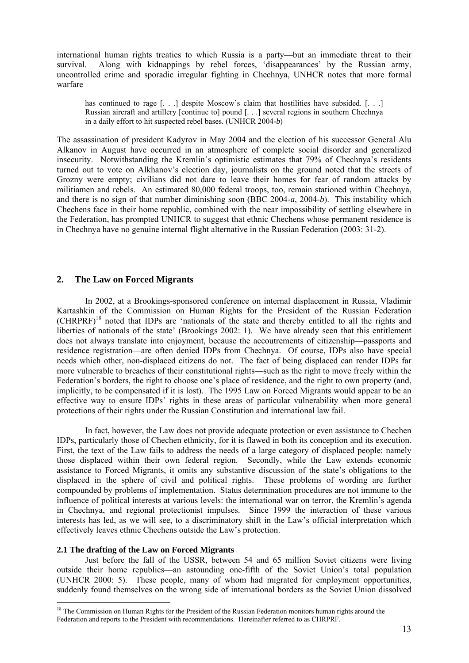<span id="page-15-0"></span>international human rights treaties to which Russia is a party—but an immediate threat to their survival. Along with kidnappings by rebel forces, 'disappearances' by the Russian army, uncontrolled crime and sporadic irregular fighting in Chechnya, UNHCR notes that more formal warfare

has continued to rage [...] despite Moscow's claim that hostilities have subsided. [...] Russian aircraft and artillery [continue to] pound [. . .] several regions in southern Chechnya in a daily effort to hit suspected rebel bases. (UNHCR 2004-*b*)

The assassination of president Kadyrov in May 2004 and the election of his successor General Alu Alkanov in August have occurred in an atmosphere of complete social disorder and generalized insecurity. Notwithstanding the Kremlin's optimistic estimates that 79% of Chechnya's residents turned out to vote on Alkhanov's election day, journalists on the ground noted that the streets of Grozny were empty; civilians did not dare to leave their homes for fear of random attacks by militiamen and rebels. An estimated 80,000 federal troops, too, remain stationed within Chechnya, and there is no sign of that number diminishing soon (BBC 2004-*a*, 2004-*b*). This instability which Chechens face in their home republic, combined with the near impossibility of settling elsewhere in the Federation, has prompted UNHCR to suggest that ethnic Chechens whose permanent residence is in Chechnya have no genuine internal flight alternative in the Russian Federation (2003: 31-2).

## **2. The Law on Forced Migrants**

In 2002, at a Brookings-sponsored conference on internal displacement in Russia, Vladimir Kartashkin of the Commission on Human Rights for the President of the Russian Federation (CHRPRF)[18](#page-15-1) noted that IDPs are 'nationals of the state and thereby entitled to all the rights and liberties of nationals of the state' (Brookings 2002: 1). We have already seen that this entitlement does not always translate into enjoyment, because the accoutrements of citizenship—passports and residence registration—are often denied IDPs from Chechnya. Of course, IDPs also have special needs which other, non-displaced citizens do not. The fact of being displaced can render IDPs far more vulnerable to breaches of their constitutional rights—such as the right to move freely within the Federation's borders, the right to choose one's place of residence, and the right to own property (and, implicitly, to be compensated if it is lost). The 1995 Law on Forced Migrants would appear to be an effective way to ensure IDPs' rights in these areas of particular vulnerability when more general protections of their rights under the Russian Constitution and international law fail.

In fact, however, the Law does not provide adequate protection or even assistance to Chechen IDPs, particularly those of Chechen ethnicity, for it is flawed in both its conception and its execution. First, the text of the Law fails to address the needs of a large category of displaced people: namely those displaced within their own federal region. Secondly, while the Law extends economic assistance to Forced Migrants, it omits any substantive discussion of the state's obligations to the displaced in the sphere of civil and political rights. These problems of wording are further compounded by problems of implementation. Status determination procedures are not immune to the influence of political interests at various levels: the international war on terror, the Kremlin's agenda in Chechnya, and regional protectionist impulses. Since 1999 the interaction of these various interests has led, as we will see, to a discriminatory shift in the Law's official interpretation which effectively leaves ethnic Chechens outside the Law's protection.

#### **2.1 The drafting of the Law on Forced Migrants**

 $\overline{a}$ 

Just before the fall of the USSR, between 54 and 65 million Soviet citizens were living outside their home republics—an astounding one-fifth of the Soviet Union's total population (UNHCR 2000: 5). These people, many of whom had migrated for employment opportunities, suddenly found themselves on the wrong side of international borders as the Soviet Union dissolved

<span id="page-15-1"></span><sup>&</sup>lt;sup>18</sup> The Commission on Human Rights for the President of the Russian Federation monitors human rights around the Federation and reports to the President with recommendations. Hereinafter referred to as CHRPRF.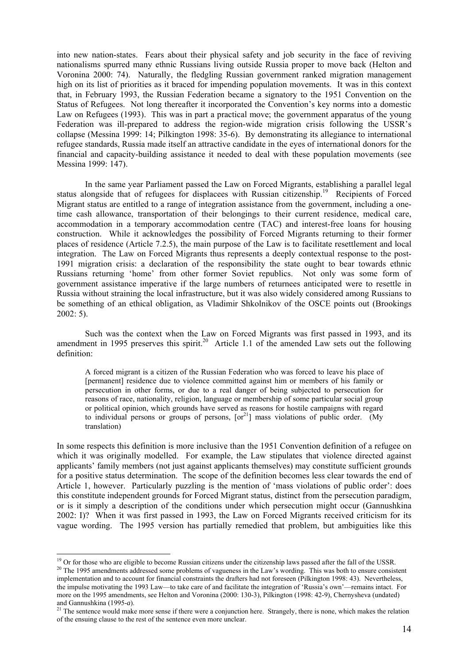into new nation-states. Fears about their physical safety and job security in the face of reviving nationalisms spurred many ethnic Russians living outside Russia proper to move back (Helton and Voronina 2000: 74). Naturally, the fledgling Russian government ranked migration management high on its list of priorities as it braced for impending population movements. It was in this context that, in February 1993, the Russian Federation became a signatory to the 1951 Convention on the Status of Refugees. Not long thereafter it incorporated the Convention's key norms into a domestic Law on Refugees (1993). This was in part a practical move; the government apparatus of the young Federation was ill-prepared to address the region-wide migration crisis following the USSR's collapse (Messina 1999: 14; Pilkington 1998: 35-6). By demonstrating its allegiance to international refugee standards, Russia made itself an attractive candidate in the eyes of international donors for the financial and capacity-building assistance it needed to deal with these population movements (see Messina 1999: 147).

In the same year Parliament passed the Law on Forced Migrants, establishing a parallel legal status alongside that of refugees for displacees with Russian citizenship.<sup>19</sup> Recipients of Forced Migrant status are entitled to a range of integration assistance from the government, including a onetime cash allowance, transportation of their belongings to their current residence, medical care, accommodation in a temporary accommodation centre (TAC) and interest-free loans for housing construction. While it acknowledges the possibility of Forced Migrants returning to their former places of residence (Article 7.2.5), the main purpose of the Law is to facilitate resettlement and local integration. The Law on Forced Migrants thus represents a deeply contextual response to the post-1991 migration crisis: a declaration of the responsibility the state ought to bear towards ethnic Russians returning 'home' from other former Soviet republics. Not only was some form of government assistance imperative if the large numbers of returnees anticipated were to resettle in Russia without straining the local infrastructure, but it was also widely considered among Russians to be something of an ethical obligation, as Vladimir Shkolnikov of the OSCE points out (Brookings 2002: 5).

Such was the context when the Law on Forced Migrants was first passed in 1993, and its amendment in 1995 preserves this spirit.<sup>20</sup> Article 1.1 of the amended Law sets out the following definition:

A forced migrant is a citizen of the Russian Federation who was forced to leave his place of [permanent] residence due to violence committed against him or members of his family or persecution in other forms, or due to a real danger of being subjected to persecution for reasons of race, nationality, religion, language or membership of some particular social group or political opinion, which grounds have served as reasons for hostile campaigns with regard to individual persons or groups of persons,  $[or<sup>21</sup>]$  mass violations of public order. (My translation)

In some respects this definition is more inclusive than the 1951 Convention definition of a refugee on which it was originally modelled. For example, the Law stipulates that violence directed against applicants' family members (not just against applicants themselves) may constitute sufficient grounds for a positive status determination. The scope of the definition becomes less clear towards the end of Article 1, however. Particularly puzzling is the mention of 'mass violations of public order': does this constitute independent grounds for Forced Migrant status, distinct from the persecution paradigm, or is it simply a description of the conditions under which persecution might occur (Gannushkina 2002: I)? When it was first passed in 1993, the Law on Forced Migrants received criticism for its vague wording. The 1995 version has partially remedied that problem, but ambiguities like this

<span id="page-16-1"></span><span id="page-16-0"></span><sup>&</sup>lt;sup>19</sup> Or for those who are eligible to become Russian citizens under the citizenship laws passed after the fall of the USSR. <sup>20</sup> The 1995 amendments addressed some problems of vagueness in the Law's wording. This was both to ensure consistent implementation and to account for financial constraints the drafters had not foreseen (Pilkington 1998: 43). Nevertheless, the impulse motivating the 1993 Law—to take care of and facilitate the integration of 'Russia's own'—remains intact. For more on the 1995 amendments, see Helton and Voronina (2000: 130-3), Pilkington (1998: 42-9), Chernysheva (undated)

<span id="page-16-2"></span>and Gannushkina (1995-*a*). <sup>21</sup> The sentence would make more sense if there were a conjunction here. Strangely, there is none, which makes the relation <sup>21</sup> of the ensuing clause to the rest of the sentence even more unclear.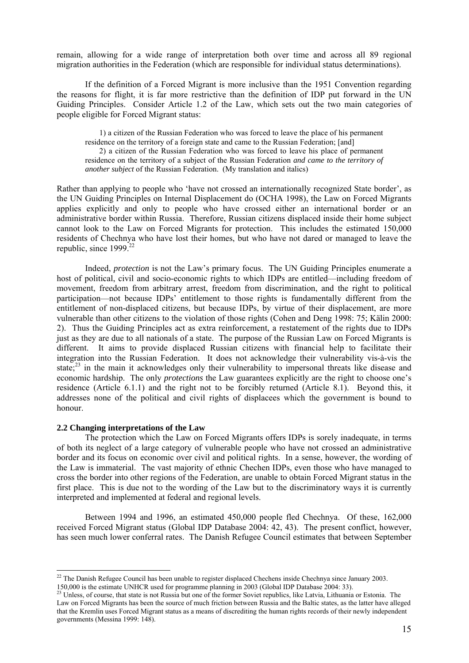remain, allowing for a wide range of interpretation both over time and across all 89 regional migration authorities in the Federation (which are responsible for individual status determinations).

If the definition of a Forced Migrant is more inclusive than the 1951 Convention regarding the reasons for flight, it is far more restrictive than the definition of IDP put forward in the UN Guiding Principles. Consider Article 1.2 of the Law, which sets out the two main categories of people eligible for Forced Migrant status:

1) a citizen of the Russian Federation who was forced to leave the place of his permanent residence on the territory of a foreign state and came to the Russian Federation; [and] 2) a citizen of the Russian Federation who was forced to leave his place of permanent residence on the territory of a subject of the Russian Federation *and came to the territory of another subject* of the Russian Federation. (My translation and italics)

Rather than applying to people who 'have not crossed an internationally recognized State border', as the UN Guiding Principles on Internal Displacement do (OCHA 1998), the Law on Forced Migrants applies explicitly and only to people who have crossed either an international border or an administrative border within Russia. Therefore, Russian citizens displaced inside their home subject cannot look to the Law on Forced Migrants for protection. This includes the estimated 150,000 residents of Chechnya who have lost their homes, but who have not dared or managed to leave the republic, since  $1999$ <sup>22</sup>

Indeed, *protection* is not the Law's primary focus. The UN Guiding Principles enumerate a host of political, civil and socio-economic rights to which IDPs are entitled—including freedom of movement, freedom from arbitrary arrest, freedom from discrimination, and the right to political participation—not because IDPs' entitlement to those rights is fundamentally different from the entitlement of non-displaced citizens, but because IDPs, by virtue of their displacement, are more vulnerable than other citizens to the violation of those rights (Cohen and Deng 1998: 75; Kälin 2000: 2). Thus the Guiding Principles act as extra reinforcement, a restatement of the rights due to IDPs just as they are due to all nationals of a state. The purpose of the Russian Law on Forced Migrants is different. It aims to provide displaced Russian citizens with financial help to facilitate their integration into the Russian Federation. It does not acknowledge their vulnerability vis-à-vis the state; $^{23}$  in the main it acknowledges only their vulnerability to impersonal threats like disease and economic hardship. The only *protections* the Law guarantees explicitly are the right to choose one's residence (Article 6.1.1) and the right not to be forcibly returned (Article 8.1). Beyond this, it addresses none of the political and civil rights of displacees which the government is bound to honour.

## **2.2 Changing interpretations of the Law**

 $\overline{a}$ 

The protection which the Law on Forced Migrants offers IDPs is sorely inadequate, in terms of both its neglect of a large category of vulnerable people who have not crossed an administrative border and its focus on economic over civil and political rights. In a sense, however, the wording of the Law is immaterial. The vast majority of ethnic Chechen IDPs, even those who have managed to cross the border into other regions of the Federation, are unable to obtain Forced Migrant status in the first place. This is due not to the wording of the Law but to the discriminatory ways it is currently interpreted and implemented at federal and regional levels.

Between 1994 and 1996, an estimated 450,000 people fled Chechnya. Of these, 162,000 received Forced Migrant status (Global IDP Database 2004: 42, 43). The present conflict, however, has seen much lower conferral rates. The Danish Refugee Council estimates that between September

<span id="page-17-0"></span> $22$  The Danish Refugee Council has been unable to register displaced Chechens inside Chechnya since January 2003. 150,000 is the estimate UNHCR used for programme planning in 2003 (Global IDP Database 2004: 33).<br><sup>23</sup> Unless, of course, that state is not Russia but one of the former Soviet republics, like Latvia, Lithuania or Estonia.

<span id="page-17-1"></span>Law on Forced Migrants has been the source of much friction between Russia and the Baltic states, as the latter have alleged that the Kremlin uses Forced Migrant status as a means of discrediting the human rights records of their newly independent governments (Messina 1999: 148).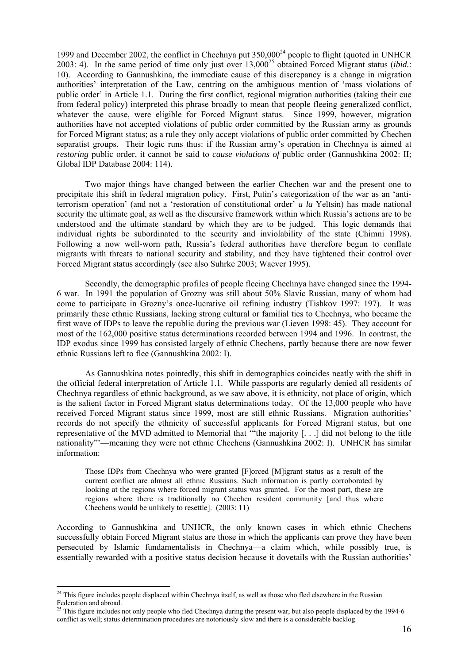1999 and December 2002, the conflict in Chechnya put  $350,000^{24}$  people to flight (quoted in UNHCR 2003: 4). In the same period of time only just over 13,000<sup>25</sup> obtained Forced Migrant status (*ibid.*: 10). According to Gannushkina, the immediate cause of this discrepancy is a change in migration authorities' interpretation of the Law, centring on the ambiguous mention of 'mass violations of public order' in Article 1.1. During the first conflict, regional migration authorities (taking their cue from federal policy) interpreted this phrase broadly to mean that people fleeing generalized conflict, whatever the cause, were eligible for Forced Migrant status. Since 1999, however, migration authorities have not accepted violations of public order committed by the Russian army as grounds for Forced Migrant status; as a rule they only accept violations of public order committed by Chechen separatist groups. Their logic runs thus: if the Russian army's operation in Chechnya is aimed at *restoring* public order, it cannot be said to *cause violations of* public order (Gannushkina 2002: II; Global IDP Database 2004: 114).

Two major things have changed between the earlier Chechen war and the present one to precipitate this shift in federal migration policy. First, Putin's categorization of the war as an 'antiterrorism operation' (and not a 'restoration of constitutional order' *a la* Yeltsin) has made national security the ultimate goal, as well as the discursive framework within which Russia's actions are to be understood and the ultimate standard by which they are to be judged. This logic demands that individual rights be subordinated to the security and inviolability of the state (Chimni 1998). Following a now well-worn path, Russia's federal authorities have therefore begun to conflate migrants with threats to national security and stability, and they have tightened their control over Forced Migrant status accordingly (see also Suhrke 2003; Waever 1995).

Secondly, the demographic profiles of people fleeing Chechnya have changed since the 1994- 6 war. In 1991 the population of Grozny was still about 50% Slavic Russian, many of whom had come to participate in Grozny's once-lucrative oil refining industry (Tishkov 1997: 197). It was primarily these ethnic Russians, lacking strong cultural or familial ties to Chechnya, who became the first wave of IDPs to leave the republic during the previous war (Lieven 1998: 45). They account for most of the 162,000 positive status determinations recorded between 1994 and 1996. In contrast, the IDP exodus since 1999 has consisted largely of ethnic Chechens, partly because there are now fewer ethnic Russians left to flee (Gannushkina 2002: I).

As Gannushkina notes pointedly, this shift in demographics coincides neatly with the shift in the official federal interpretation of Article 1.1. While passports are regularly denied all residents of Chechnya regardless of ethnic background, as we saw above, it is ethnicity, not place of origin, which is the salient factor in Forced Migrant status determinations today. Of the 13,000 people who have received Forced Migrant status since 1999, most are still ethnic Russians. Migration authorities' records do not specify the ethnicity of successful applicants for Forced Migrant status, but one representative of the MVD admitted to Memorial that '"the majority [. . .] did not belong to the title nationality"'—meaning they were not ethnic Chechens (Gannushkina 2002: I). UNHCR has similar information:

Those IDPs from Chechnya who were granted [F]orced [M]igrant status as a result of the current conflict are almost all ethnic Russians. Such information is partly corroborated by looking at the regions where forced migrant status was granted. For the most part, these are regions where there is traditionally no Chechen resident community [and thus where Chechens would be unlikely to resettle]. (2003: 11)

According to Gannushkina and UNHCR, the only known cases in which ethnic Chechens successfully obtain Forced Migrant status are those in which the applicants can prove they have been persecuted by Islamic fundamentalists in Chechnya—a claim which, while possibly true, is essentially rewarded with a positive status decision because it dovetails with the Russian authorities'

 $\overline{a}$ 

<span id="page-18-0"></span> $2<sup>4</sup>$  This figure includes people displaced within Chechnya itself, as well as those who fled elsewhere in the Russian Federation and abroad.

<span id="page-18-1"></span><sup>25</sup> This figure includes not only people who fled Chechnya during the present war, but also people displaced by the 1994-6 conflict as well; status determination procedures are notoriously slow and there is a considerable backlog.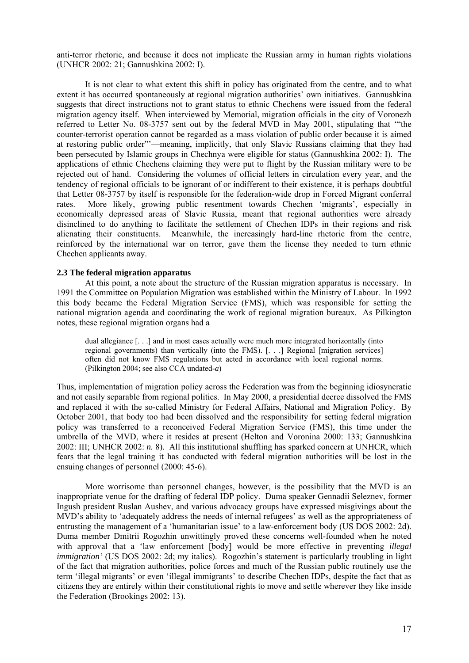anti-terror rhetoric, and because it does not implicate the Russian army in human rights violations (UNHCR 2002: 21; Gannushkina 2002: I).

 It is not clear to what extent this shift in policy has originated from the centre, and to what extent it has occurred spontaneously at regional migration authorities' own initiatives. Gannushkina suggests that direct instructions not to grant status to ethnic Chechens were issued from the federal migration agency itself. When interviewed by Memorial, migration officials in the city of Voronezh referred to Letter No. 08-3757 sent out by the federal MVD in May 2001, stipulating that '"the counter-terrorist operation cannot be regarded as a mass violation of public order because it is aimed at restoring public order"'—meaning, implicitly, that only Slavic Russians claiming that they had been persecuted by Islamic groups in Chechnya were eligible for status (Gannushkina 2002: I). The applications of ethnic Chechens claiming they were put to flight by the Russian military were to be rejected out of hand. Considering the volumes of official letters in circulation every year, and the tendency of regional officials to be ignorant of or indifferent to their existence, it is perhaps doubtful that Letter 08-3757 by itself is responsible for the federation-wide drop in Forced Migrant conferral rates. More likely, growing public resentment towards Chechen 'migrants', especially in economically depressed areas of Slavic Russia, meant that regional authorities were already disinclined to do anything to facilitate the settlement of Chechen IDPs in their regions and risk alienating their constituents. Meanwhile, the increasingly hard-line rhetoric from the centre, reinforced by the international war on terror, gave them the license they needed to turn ethnic Chechen applicants away.

## **2.3 The federal migration apparatus**

 At this point, a note about the structure of the Russian migration apparatus is necessary. In 1991 the Committee on Population Migration was established within the Ministry of Labour. In 1992 this body became the Federal Migration Service (FMS), which was responsible for setting the national migration agenda and coordinating the work of regional migration bureaux. As Pilkington notes, these regional migration organs had a

dual allegiance [. . .] and in most cases actually were much more integrated horizontally (into regional governments) than vertically (into the FMS). [. . .] Regional [migration services] often did not know FMS regulations but acted in accordance with local regional norms. (Pilkington 2004; see also CCA undated-*a*)

Thus, implementation of migration policy across the Federation was from the beginning idiosyncratic and not easily separable from regional politics. In May 2000, a presidential decree dissolved the FMS and replaced it with the so-called Ministry for Federal Affairs, National and Migration Policy. By October 2001, that body too had been dissolved and the responsibility for setting federal migration policy was transferred to a reconceived Federal Migration Service (FMS), this time under the umbrella of the MVD, where it resides at present (Helton and Voronina 2000: 133; Gannushkina 2002: III; UNHCR 2002: *n.* 8). All this institutional shuffling has sparked concern at UNHCR, which fears that the legal training it has conducted with federal migration authorities will be lost in the ensuing changes of personnel (2000: 45-6).

More worrisome than personnel changes, however, is the possibility that the MVD is an inappropriate venue for the drafting of federal IDP policy. Duma speaker Gennadii Seleznev, former Ingush president Ruslan Aushev, and various advocacy groups have expressed misgivings about the MVD's ability to 'adequately address the needs of internal refugees' as well as the appropriateness of entrusting the management of a 'humanitarian issue' to a law-enforcement body (US DOS 2002: 2d). Duma member Dmitrii Rogozhin unwittingly proved these concerns well-founded when he noted with approval that a 'law enforcement [body] would be more effective in preventing *illegal immigration'* (US DOS 2002: 2d; my italics). Rogozhin's statement is particularly troubling in light of the fact that migration authorities, police forces and much of the Russian public routinely use the term 'illegal migrants' or even 'illegal immigrants' to describe Chechen IDPs, despite the fact that as citizens they are entirely within their constitutional rights to move and settle wherever they like inside the Federation (Brookings 2002: 13).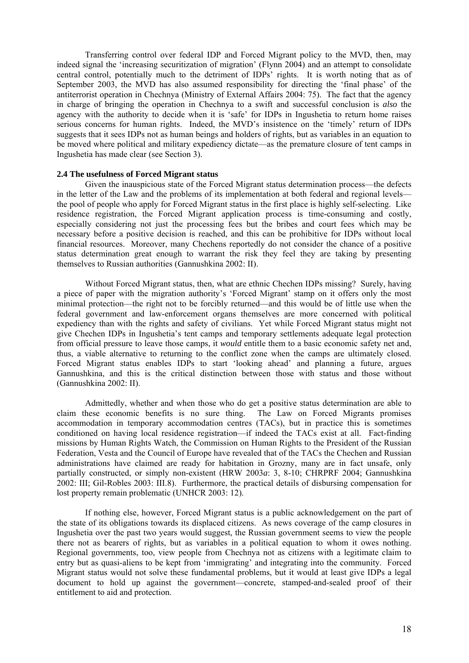Transferring control over federal IDP and Forced Migrant policy to the MVD, then, may indeed signal the 'increasing securitization of migration' (Flynn 2004) and an attempt to consolidate central control, potentially much to the detriment of IDPs' rights. It is worth noting that as of September 2003, the MVD has also assumed responsibility for directing the 'final phase' of the antiterrorist operation in Chechnya (Ministry of External Affairs 2004: 75). The fact that the agency in charge of bringing the operation in Chechnya to a swift and successful conclusion is *also* the agency with the authority to decide when it is 'safe' for IDPs in Ingushetia to return home raises serious concerns for human rights. Indeed, the MVD's insistence on the 'timely' return of IDPs suggests that it sees IDPs not as human beings and holders of rights, but as variables in an equation to be moved where political and military expediency dictate—as the premature closure of tent camps in Ingushetia has made clear (see Section 3).

#### **2.4 The usefulness of Forced Migrant status**

Given the inauspicious state of the Forced Migrant status determination process—the defects in the letter of the Law and the problems of its implementation at both federal and regional levels the pool of people who apply for Forced Migrant status in the first place is highly self-selecting. Like residence registration, the Forced Migrant application process is time-consuming and costly, especially considering not just the processing fees but the bribes and court fees which may be necessary before a positive decision is reached, and this can be prohibitive for IDPs without local financial resources. Moreover, many Chechens reportedly do not consider the chance of a positive status determination great enough to warrant the risk they feel they are taking by presenting themselves to Russian authorities (Gannushkina 2002: II).

Without Forced Migrant status, then, what are ethnic Chechen IDPs missing? Surely, having a piece of paper with the migration authority's 'Forced Migrant' stamp on it offers only the most minimal protection—the right not to be forcibly returned—and this would be of little use when the federal government and law-enforcement organs themselves are more concerned with political expediency than with the rights and safety of civilians. Yet while Forced Migrant status might not give Chechen IDPs in Ingushetia's tent camps and temporary settlements adequate legal protection from official pressure to leave those camps, it *would* entitle them to a basic economic safety net and, thus, a viable alternative to returning to the conflict zone when the camps are ultimately closed. Forced Migrant status enables IDPs to start 'looking ahead' and planning a future, argues Gannushkina, and this is the critical distinction between those with status and those without (Gannushkina 2002: II).

Admittedly, whether and when those who do get a positive status determination are able to claim these economic benefits is no sure thing. The Law on Forced Migrants promises accommodation in temporary accommodation centres (TACs), but in practice this is sometimes conditioned on having local residence registration—if indeed the TACs exist at all. Fact-finding missions by Human Rights Watch, the Commission on Human Rights to the President of the Russian Federation, Vesta and the Council of Europe have revealed that of the TACs the Chechen and Russian administrations have claimed are ready for habitation in Grozny, many are in fact unsafe, only partially constructed, or simply non-existent (HRW 2003*a*: 3, 8-10; CHRPRF 2004; Gannushkina 2002: III; Gil-Robles 2003: III.8). Furthermore, the practical details of disbursing compensation for lost property remain problematic (UNHCR 2003: 12).

If nothing else, however, Forced Migrant status is a public acknowledgement on the part of the state of its obligations towards its displaced citizens. As news coverage of the camp closures in Ingushetia over the past two years would suggest, the Russian government seems to view the people there not as bearers of rights, but as variables in a political equation to whom it owes nothing. Regional governments, too, view people from Chechnya not as citizens with a legitimate claim to entry but as quasi-aliens to be kept from 'immigrating' and integrating into the community. Forced Migrant status would not solve these fundamental problems, but it would at least give IDPs a legal document to hold up against the government—concrete, stamped-and-sealed proof of their entitlement to aid and protection.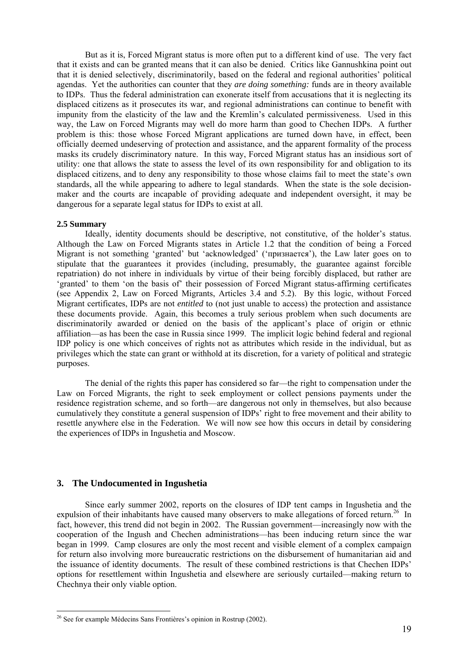<span id="page-21-0"></span> But as it is, Forced Migrant status is more often put to a different kind of use. The very fact that it exists and can be granted means that it can also be denied. Critics like Gannushkina point out that it is denied selectively, discriminatorily, based on the federal and regional authorities' political agendas. Yet the authorities can counter that they *are doing something:* funds are in theory available to IDPs. Thus the federal administration can exonerate itself from accusations that it is neglecting its displaced citizens as it prosecutes its war, and regional administrations can continue to benefit with impunity from the elasticity of the law and the Kremlin's calculated permissiveness. Used in this way, the Law on Forced Migrants may well do more harm than good to Chechen IDPs. A further problem is this: those whose Forced Migrant applications are turned down have, in effect, been officially deemed undeserving of protection and assistance, and the apparent formality of the process masks its crudely discriminatory nature. In this way, Forced Migrant status has an insidious sort of utility: one that allows the state to assess the level of its own responsibility for and obligation to its displaced citizens, and to deny any responsibility to those whose claims fail to meet the state's own standards, all the while appearing to adhere to legal standards. When the state is the sole decisionmaker and the courts are incapable of providing adequate and independent oversight, it may be dangerous for a separate legal status for IDPs to exist at all.

#### **2.5 Summary**

Ideally, identity documents should be descriptive, not constitutive, of the holder's status. Although the Law on Forced Migrants states in Article 1.2 that the condition of being a Forced Migrant is not something 'granted' but 'acknowledged' ('признается'), the Law later goes on to stipulate that the guarantees it provides (including, presumably, the guarantee against forcible repatriation) do not inhere in individuals by virtue of their being forcibly displaced, but rather are 'granted' to them 'on the basis of' their possession of Forced Migrant status-affirming certificates (see Appendix 2, Law on Forced Migrants, Articles 3.4 and 5.2). By this logic, without Forced Migrant certificates, IDPs are not *entitled* to (not just unable to access) the protection and assistance these documents provide. Again, this becomes a truly serious problem when such documents are discriminatorily awarded or denied on the basis of the applicant's place of origin or ethnic affiliation—as has been the case in Russia since 1999. The implicit logic behind federal and regional IDP policy is one which conceives of rights not as attributes which reside in the individual, but as privileges which the state can grant or withhold at its discretion, for a variety of political and strategic purposes.

The denial of the rights this paper has considered so far—the right to compensation under the Law on Forced Migrants, the right to seek employment or collect pensions payments under the residence registration scheme, and so forth—are dangerous not only in themselves, but also because cumulatively they constitute a general suspension of IDPs' right to free movement and their ability to resettle anywhere else in the Federation. We will now see how this occurs in detail by considering the experiences of IDPs in Ingushetia and Moscow.

## **3. The Undocumented in Ingushetia**

 $\overline{a}$ 

Since early summer 2002, reports on the closures of IDP tent camps in Ingushetia and the expulsion of their inhabitants have caused many observers to make allegations of forced return.<sup>26</sup> In fact, however, this trend did not begin in 2002. The Russian government—increasingly now with the cooperation of the Ingush and Chechen administrations—has been inducing return since the war began in 1999. Camp closures are only the most recent and visible element of a complex campaign for return also involving more bureaucratic restrictions on the disbursement of humanitarian aid and the issuance of identity documents. The result of these combined restrictions is that Chechen IDPs' options for resettlement within Ingushetia and elsewhere are seriously curtailed—making return to Chechnya their only viable option.

<span id="page-21-1"></span> $26$  See for example Médecins Sans Frontières's opinion in Rostrup (2002).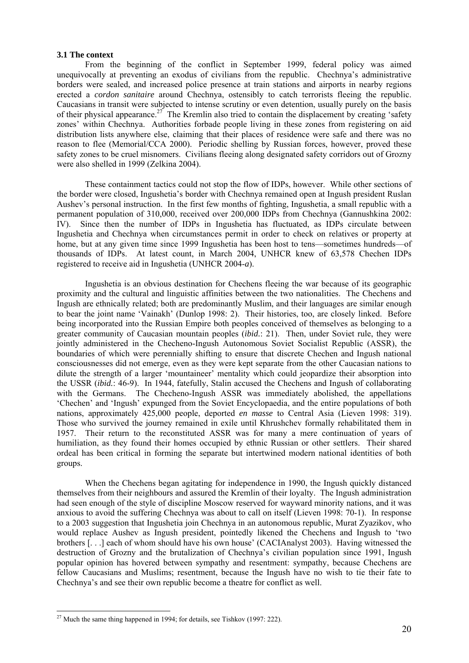#### **3.1 The context**

From the beginning of the conflict in September 1999, federal policy was aimed unequivocally at preventing an exodus of civilians from the republic. Chechnya's administrative borders were sealed, and increased police presence at train stations and airports in nearby regions erected a *cordon sanitaire* around Chechnya, ostensibly to catch terrorists fleeing the republic. Caucasians in transit were subjected to intense scrutiny or even detention, usually purely on the basis of their physical appearance.<sup>27</sup> The Kremlin also tried to contain the displacement by creating 'safety zones' within Chechnya. Authorities forbade people living in these zones from registering on aid distribution lists anywhere else, claiming that their places of residence were safe and there was no reason to flee (Memorial/CCA 2000). Periodic shelling by Russian forces, however, proved these safety zones to be cruel misnomers. Civilians fleeing along designated safety corridors out of Grozny were also shelled in 1999 (Zelkina 2004).

 These containment tactics could not stop the flow of IDPs, however. While other sections of the border were closed, Ingushetia's border with Chechnya remained open at Ingush president Ruslan Aushev's personal instruction. In the first few months of fighting, Ingushetia, a small republic with a permanent population of 310,000, received over 200,000 IDPs from Chechnya (Gannushkina 2002: IV). Since then the number of IDPs in Ingushetia has fluctuated, as IDPs circulate between Ingushetia and Chechnya when circumstances permit in order to check on relatives or property at home, but at any given time since 1999 Ingushetia has been host to tens—sometimes hundreds—of thousands of IDPs. At latest count, in March 2004, UNHCR knew of 63,578 Chechen IDPs registered to receive aid in Ingushetia (UNHCR 2004-*a*).

Ingushetia is an obvious destination for Chechens fleeing the war because of its geographic proximity and the cultural and linguistic affinities between the two nationalities. The Chechens and Ingush are ethnically related; both are predominantly Muslim, and their languages are similar enough to bear the joint name 'Vainakh' (Dunlop 1998: 2). Their histories, too, are closely linked. Before being incorporated into the Russian Empire both peoples conceived of themselves as belonging to a greater community of Caucasian mountain peoples (*ibid.*: 21). Then, under Soviet rule, they were jointly administered in the Checheno-Ingush Autonomous Soviet Socialist Republic (ASSR), the boundaries of which were perennially shifting to ensure that discrete Chechen and Ingush national consciousnesses did not emerge, even as they were kept separate from the other Caucasian nations to dilute the strength of a larger 'mountaineer' mentality which could jeopardize their absorption into the USSR (*ibid.*: 46-9). In 1944, fatefully, Stalin accused the Chechens and Ingush of collaborating with the Germans. The Checheno-Ingush ASSR was immediately abolished, the appellations 'Chechen' and 'Ingush' expunged from the Soviet Encyclopaedia, and the entire populations of both nations, approximately 425,000 people, deported *en masse* to Central Asia (Lieven 1998: 319). Those who survived the journey remained in exile until Khrushchev formally rehabilitated them in 1957. Their return to the reconstituted ASSR was for many a mere continuation of years of humiliation, as they found their homes occupied by ethnic Russian or other settlers. Their shared ordeal has been critical in forming the separate but intertwined modern national identities of both groups.

When the Chechens began agitating for independence in 1990, the Ingush quickly distanced themselves from their neighbours and assured the Kremlin of their loyalty. The Ingush administration had seen enough of the style of discipline Moscow reserved for wayward minority nations, and it was anxious to avoid the suffering Chechnya was about to call on itself (Lieven 1998: 70-1). In response to a 2003 suggestion that Ingushetia join Chechnya in an autonomous republic, Murat Zyazikov, who would replace Aushev as Ingush president, pointedly likened the Chechens and Ingush to 'two brothers [. . .] each of whom should have his own house' (CACIAnalyst 2003). Having witnessed the destruction of Grozny and the brutalization of Chechnya's civilian population since 1991, Ingush popular opinion has hovered between sympathy and resentment: sympathy, because Chechens are fellow Caucasians and Muslims; resentment, because the Ingush have no wish to tie their fate to Chechnya's and see their own republic become a theatre for conflict as well.

<span id="page-22-0"></span> $\overline{a}$ <sup>27</sup> Much the same thing happened in 1994; for details, see Tishkov (1997: 222).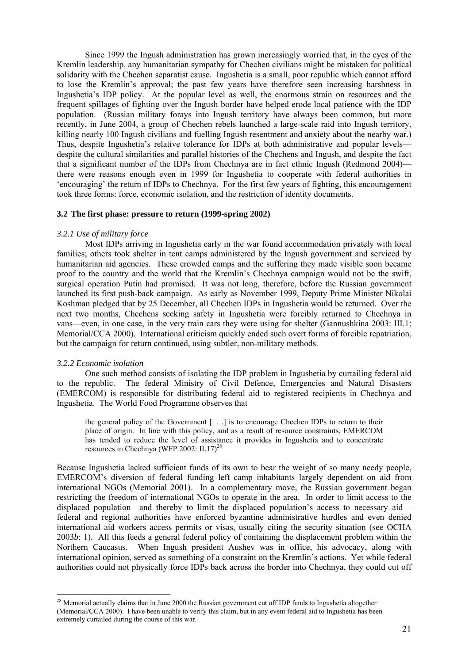Since 1999 the Ingush administration has grown increasingly worried that, in the eyes of the Kremlin leadership, any humanitarian sympathy for Chechen civilians might be mistaken for political solidarity with the Chechen separatist cause. Ingushetia is a small, poor republic which cannot afford to lose the Kremlin's approval; the past few years have therefore seen increasing harshness in Ingushetia's IDP policy. At the popular level as well, the enormous strain on resources and the frequent spillages of fighting over the Ingush border have helped erode local patience with the IDP population. (Russian military forays into Ingush territory have always been common, but more recently, in June 2004, a group of Chechen rebels launched a large-scale raid into Ingush territory, killing nearly 100 Ingush civilians and fuelling Ingush resentment and anxiety about the nearby war.) Thus, despite Ingushetia's relative tolerance for IDPs at both administrative and popular levels despite the cultural similarities and parallel histories of the Chechens and Ingush, and despite the fact that a significant number of the IDPs from Chechnya are in fact ethnic Ingush (Redmond 2004) there were reasons enough even in 1999 for Ingushetia to cooperate with federal authorities in 'encouraging' the return of IDPs to Chechnya. For the first few years of fighting, this encouragement took three forms: force, economic isolation, and the restriction of identity documents.

#### **3.2 The first phase: pressure to return (1999-spring 2002)**

#### *3.2.1 Use of military force*

Most IDPs arriving in Ingushetia early in the war found accommodation privately with local families; others took shelter in tent camps administered by the Ingush government and serviced by humanitarian aid agencies. These crowded camps and the suffering they made visible soon became proof to the country and the world that the Kremlin's Chechnya campaign would not be the swift, surgical operation Putin had promised. It was not long, therefore, before the Russian government launched its first push-back campaign. As early as November 1999, Deputy Prime Minister Nikolai Koshman pledged that by 25 December, all Chechen IDPs in Ingushetia would be returned. Over the next two months, Chechens seeking safety in Ingushetia were forcibly returned to Chechnya in vans—even, in one case, in the very train cars they were using for shelter (Gannushkina 2003: III.1; Memorial/CCA 2000). International criticism quickly ended such overt forms of forcible repatriation, but the campaign for return continued, using subtler, non-military methods.

#### *3.2.2 Economic isolation*

 $\overline{a}$ 

One such method consists of isolating the IDP problem in Ingushetia by curtailing federal aid to the republic. The federal Ministry of Civil Defence, Emergencies and Natural Disasters (EMERCOM) is responsible for distributing federal aid to registered recipients in Chechnya and Ingushetia. The World Food Programme observes that

the general policy of the Government [. . .] is to encourage Chechen IDPs to return to their place of origin. In line with this policy, and as a result of resource constraints, EMERCOM has tended to reduce the level of assistance it provides in Ingushetia and to concentrate resources in Chechnya (WFP 2002: II.17)<sup>28</sup>

Because Ingushetia lacked sufficient funds of its own to bear the weight of so many needy people, EMERCOM's diversion of federal funding left camp inhabitants largely dependent on aid from international NGOs (Memorial 2001). In a complementary move, the Russian government began restricting the freedom of international NGOs to operate in the area. In order to limit access to the displaced population—and thereby to limit the displaced population's access to necessary aid federal and regional authorities have enforced byzantine administrative hurdles and even denied international aid workers access permits or visas, usually citing the security situation (see OCHA 2003*b*: 1). All this feeds a general federal policy of containing the displacement problem within the Northern Caucasus. When Ingush president Aushev was in office, his advocacy, along with international opinion, served as something of a constraint on the Kremlin's actions. Yet while federal authorities could not physically force IDPs back across the border into Chechnya, they could cut off

<span id="page-23-0"></span> $28$  Memorial actually claims that in June 2000 the Russian government cut off IDP funds to Ingushetia altogether (Memorial/CCA 2000). I have been unable to verify this claim, but in any event federal aid to Ingushetia has been extremely curtailed during the course of this war.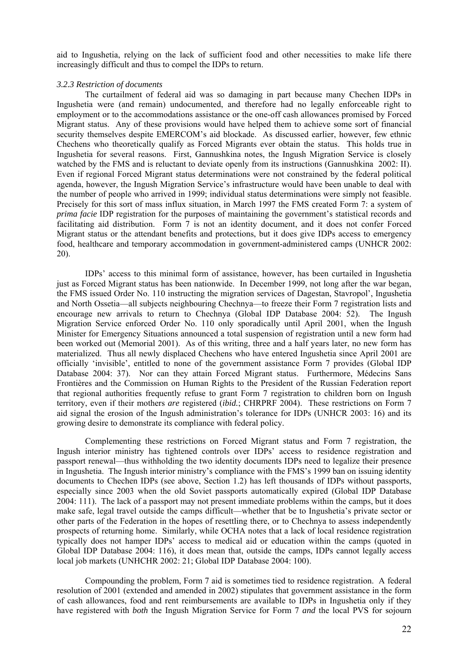aid to Ingushetia, relying on the lack of sufficient food and other necessities to make life there increasingly difficult and thus to compel the IDPs to return.

#### *3.2.3 Restriction of documents*

The curtailment of federal aid was so damaging in part because many Chechen IDPs in Ingushetia were (and remain) undocumented, and therefore had no legally enforceable right to employment or to the accommodations assistance or the one-off cash allowances promised by Forced Migrant status. Any of these provisions would have helped them to achieve some sort of financial security themselves despite EMERCOM's aid blockade. As discussed earlier, however, few ethnic Chechens who theoretically qualify as Forced Migrants ever obtain the status. This holds true in Ingushetia for several reasons. First, Gannushkina notes, the Ingush Migration Service is closely watched by the FMS and is reluctant to deviate openly from its instructions (Gannushkina 2002: II). Even if regional Forced Migrant status determinations were not constrained by the federal political agenda, however, the Ingush Migration Service's infrastructure would have been unable to deal with the number of people who arrived in 1999; individual status determinations were simply not feasible. Precisely for this sort of mass influx situation, in March 1997 the FMS created Form 7: a system of *prima facie* IDP registration for the purposes of maintaining the government's statistical records and facilitating aid distribution. Form 7 is not an identity document, and it does not confer Forced Migrant status or the attendant benefits and protections, but it does give IDPs access to emergency food, healthcare and temporary accommodation in government-administered camps (UNHCR 2002: 20).

IDPs' access to this minimal form of assistance, however, has been curtailed in Ingushetia just as Forced Migrant status has been nationwide. In December 1999, not long after the war began, the FMS issued Order No. 110 instructing the migration services of Dagestan, Stavropol', Ingushetia and North Ossetia—all subjects neighbouring Chechnya—to freeze their Form 7 registration lists and encourage new arrivals to return to Chechnya (Global IDP Database 2004: 52). The Ingush Migration Service enforced Order No. 110 only sporadically until April 2001, when the Ingush Minister for Emergency Situations announced a total suspension of registration until a new form had been worked out (Memorial 2001). As of this writing, three and a half years later, no new form has materialized. Thus all newly displaced Chechens who have entered Ingushetia since April 2001 are officially 'invisible', entitled to none of the government assistance Form 7 provides (Global IDP Database 2004: 37). Nor can they attain Forced Migrant status. Furthermore, Médecins Sans Frontières and the Commission on Human Rights to the President of the Russian Federation report that regional authorities frequently refuse to grant Form 7 registration to children born on Ingush territory, even if their mothers *are* registered (*ibid.*; CHRPRF 2004). These restrictions on Form 7 aid signal the erosion of the Ingush administration's tolerance for IDPs (UNHCR 2003: 16) and its growing desire to demonstrate its compliance with federal policy.

Complementing these restrictions on Forced Migrant status and Form 7 registration, the Ingush interior ministry has tightened controls over IDPs' access to residence registration and passport renewal—thus withholding the two identity documents IDPs need to legalize their presence in Ingushetia. The Ingush interior ministry's compliance with the FMS's 1999 ban on issuing identity documents to Chechen IDPs (see above, Section 1.2) has left thousands of IDPs without passports, especially since 2003 when the old Soviet passports automatically expired (Global IDP Database 2004: 111). The lack of a passport may not present immediate problems within the camps, but it does make safe, legal travel outside the camps difficult—whether that be to Ingushetia's private sector or other parts of the Federation in the hopes of resettling there, or to Chechnya to assess independently prospects of returning home. Similarly, while OCHA notes that a lack of local residence registration typically does not hamper IDPs' access to medical aid or education within the camps (quoted in Global IDP Database 2004: 116), it does mean that, outside the camps, IDPs cannot legally access local job markets (UNHCHR 2002: 21; Global IDP Database 2004: 100).

Compounding the problem, Form 7 aid is sometimes tied to residence registration. A federal resolution of 2001 (extended and amended in 2002) stipulates that government assistance in the form of cash allowances, food and rent reimbursements are available to IDPs in Ingushetia only if they have registered with *both* the Ingush Migration Service for Form 7 *and* the local PVS for sojourn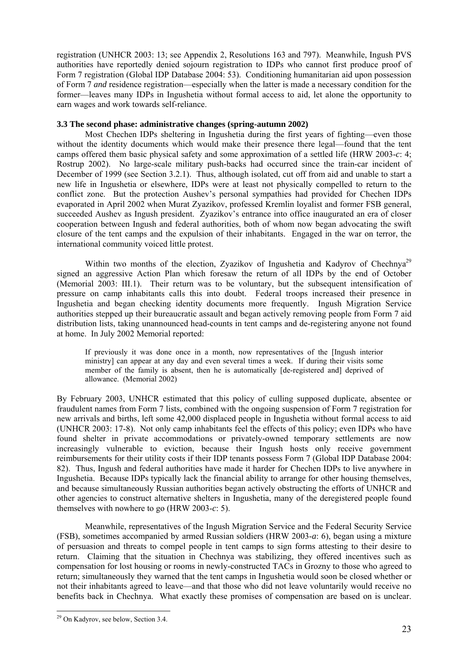registration (UNHCR 2003: 13; see Appendix 2, Resolutions 163 and 797). Meanwhile, Ingush PVS authorities have reportedly denied sojourn registration to IDPs who cannot first produce proof of Form 7 registration (Global IDP Database 2004: 53). Conditioning humanitarian aid upon possession of Form 7 *and* residence registration—especially when the latter is made a necessary condition for the former—leaves many IDPs in Ingushetia without formal access to aid, let alone the opportunity to earn wages and work towards self-reliance.

#### **3.3 The second phase: administrative changes (spring-autumn 2002)**

Most Chechen IDPs sheltering in Ingushetia during the first years of fighting—even those without the identity documents which would make their presence there legal—found that the tent camps offered them basic physical safety and some approximation of a settled life (HRW 2003-*c*: 4; Rostrup 2002). No large-scale military push-backs had occurred since the train-car incident of December of 1999 (see Section 3.2.1). Thus, although isolated, cut off from aid and unable to start a new life in Ingushetia or elsewhere, IDPs were at least not physically compelled to return to the conflict zone. But the protection Aushev's personal sympathies had provided for Chechen IDPs evaporated in April 2002 when Murat Zyazikov, professed Kremlin loyalist and former FSB general, succeeded Aushev as Ingush president. Zyazikov's entrance into office inaugurated an era of closer cooperation between Ingush and federal authorities, both of whom now began advocating the swift closure of the tent camps and the expulsion of their inhabitants. Engaged in the war on terror, the international community voiced little protest.

Within two months of the election, Zyazikov of Ingushetia and Kadyrov of Chechnya<sup>29</sup> signed an aggressive Action Plan which foresaw the return of all IDPs by the end of October (Memorial 2003: III.1). Their return was to be voluntary, but the subsequent intensification of pressure on camp inhabitants calls this into doubt. Federal troops increased their presence in Ingushetia and began checking identity documents more frequently. Ingush Migration Service authorities stepped up their bureaucratic assault and began actively removing people from Form 7 aid distribution lists, taking unannounced head-counts in tent camps and de-registering anyone not found at home. In July 2002 Memorial reported:

If previously it was done once in a month, now representatives of the [Ingush interior ministry] can appear at any day and even several times a week. If during their visits some member of the family is absent, then he is automatically [de-registered and] deprived of allowance. [\(Memorial](http://www.memo.ru/eng/hr/return02e.htm) 2002)

By February 2003, UNHCR estimated that this policy of culling supposed duplicate, absentee or fraudulent names from Form 7 lists, combined with the ongoing suspension of Form 7 registration for new arrivals and births, left some 42,000 displaced people in Ingushetia without formal access to aid (UNHCR 2003: 17-8). Not only camp inhabitants feel the effects of this policy; even IDPs who have found shelter in private accommodations or privately-owned temporary settlements are now increasingly vulnerable to eviction, because their Ingush hosts only receive government reimbursements for their utility costs if their IDP tenants possess Form 7 (Global IDP Database 2004: 82). Thus, Ingush and federal authorities have made it harder for Chechen IDPs to live anywhere in Ingushetia. Because IDPs typically lack the financial ability to arrange for other housing themselves, and because simultaneously Russian authorities began actively obstructing the efforts of UNHCR and other agencies to construct alternative shelters in Ingushetia, many of the deregistered people found themselves with nowhere to go (HRW 2003-*c*: 5).

 Meanwhile, representatives of the Ingush Migration Service and the Federal Security Service (FSB), sometimes accompanied by armed Russian soldiers (HRW 2003-*a*: 6), began using a mixture of persuasion and threats to compel people in tent camps to sign forms attesting to their desire to return. Claiming that the situation in Chechnya was stabilizing, they offered incentives such as compensation for lost housing or rooms in newly-constructed TACs in Grozny to those who agreed to return; simultaneously they warned that the tent camps in Ingushetia would soon be closed whether or not their inhabitants agreed to leave—and that those who did not leave voluntarily would receive no benefits back in Chechnya. What exactly these promises of compensation are based on is unclear.

 $\overline{a}$ 

<span id="page-25-0"></span><sup>&</sup>lt;sup>29</sup> On Kadyrov, see below, Section 3.4.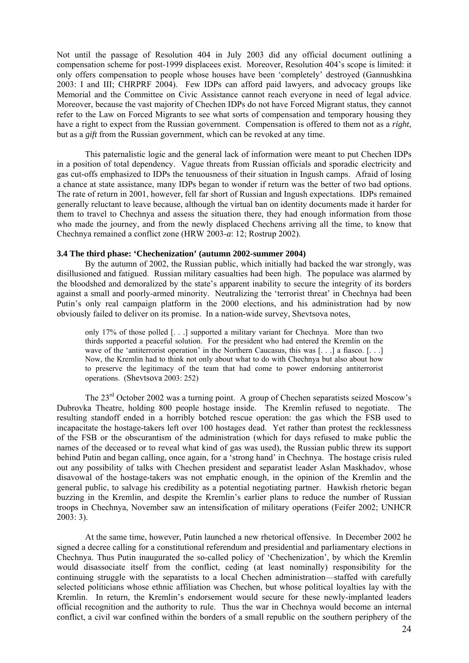Not until the passage of Resolution 404 in July 2003 did any official document outlining a compensation scheme for post-1999 displacees exist. Moreover, Resolution 404's scope is limited: it only offers compensation to people whose houses have been 'completely' destroyed (Gannushkina 2003: I and III; CHRPRF 2004). Few IDPs can afford paid lawyers, and advocacy groups like Memorial and the Committee on Civic Assistance cannot reach everyone in need of legal advice. Moreover, because the vast majority of Chechen IDPs do not have Forced Migrant status, they cannot refer to the Law on Forced Migrants to see what sorts of compensation and temporary housing they have a right to expect from the Russian government. Compensation is offered to them not as a *right*, but as a *gift* from the Russian government, which can be revoked at any time.

This paternalistic logic and the general lack of information were meant to put Chechen IDPs in a position of total dependency. Vague threats from Russian officials and sporadic electricity and gas cut-offs emphasized to IDPs the tenuousness of their situation in Ingush camps. Afraid of losing a chance at state assistance, many IDPs began to wonder if return was the better of two bad options. The rate of return in 2001, however, fell far short of Russian and Ingush expectations. IDPs remained generally reluctant to leave because, although the virtual ban on identity documents made it harder for them to travel to Chechnya and assess the situation there, they had enough information from those who made the journey, and from the newly displaced Chechens arriving all the time, to know that Chechnya remained a conflict zone (HRW 2003-*a*: 12; Rostrup 2002).

#### **3.4 The third phase: 'Chechenization' (autumn 2002-summer 2004)**

By the autumn of 2002, the Russian public, which initially had backed the war strongly, was disillusioned and fatigued. Russian military casualties had been high. The populace was alarmed by the bloodshed and demoralized by the state's apparent inability to secure the integrity of its borders against a small and poorly-armed minority. Neutralizing the 'terrorist threat' in Chechnya had been Putin's only real campaign platform in the 2000 elections, and his administration had by now obviously failed to deliver on its promise. In a nation-wide survey, Shevtsova notes,

only 17% of those polled [. . .] supported a military variant for Chechnya. More than two thirds supported a peaceful solution. For the president who had entered the Kremlin on the wave of the 'antiterrorist operation' in the Northern Caucasus, this was [...] a fiasco. [...] Now, the Kremlin had to think not only about what to do with Chechnya but also about how to preserve the legitimacy of the team that had come to power endorsing antiterrorist operations. (Shevtsova 2003: 252)

 The 23rd October 2002 was a turning point. A group of Chechen separatists seized Moscow's Dubrovka Theatre, holding 800 people hostage inside. The Kremlin refused to negotiate. The resulting standoff ended in a horribly botched rescue operation: the gas which the FSB used to incapacitate the hostage-takers left over 100 hostages dead. Yet rather than protest the recklessness of the FSB or the obscurantism of the administration (which for days refused to make public the names of the deceased or to reveal what kind of gas was used), the Russian public threw its support behind Putin and began calling, once again, for a 'strong hand' in Chechnya. The hostage crisis ruled out any possibility of talks with Chechen president and separatist leader Aslan Maskhadov, whose disavowal of the hostage-takers was not emphatic enough, in the opinion of the Kremlin and the general public, to salvage his credibility as a potential negotiating partner. Hawkish rhetoric began buzzing in the Kremlin, and despite the Kremlin's earlier plans to reduce the number of Russian troops in Chechnya, November saw an intensification of military operations (Feifer 2002; UNHCR  $2003:3$ ).

At the same time, however, Putin launched a new rhetorical offensive. In December 2002 he signed a decree calling for a constitutional referendum and presidential and parliamentary elections in Chechnya. Thus Putin inaugurated the so-called policy of 'Chechenization', by which the Kremlin would disassociate itself from the conflict, ceding (at least nominally) responsibility for the continuing struggle with the separatists to a local Chechen administration—staffed with carefully selected politicians whose ethnic affiliation was Chechen, but whose political loyalties lay with the Kremlin. In return, the Kremlin's endorsement would secure for these newly-implanted leaders official recognition and the authority to rule. Thus the war in Chechnya would become an internal conflict, a civil war confined within the borders of a small republic on the southern periphery of the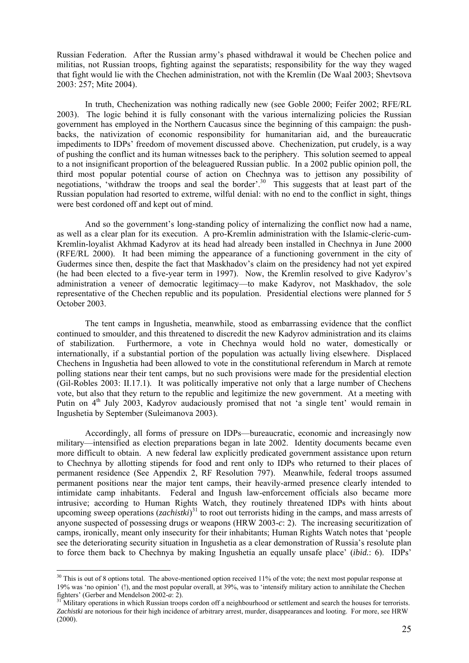Russian Federation. After the Russian army's phased withdrawal it would be Chechen police and militias, not Russian troops, fighting against the separatists; responsibility for the way they waged that fight would lie with the Chechen administration, not with the Kremlin (De Waal 2003; Shevtsova 2003: 257; Mite 2004).

In truth, Chechenization was nothing radically new (see Goble 2000; Feifer 2002; RFE/RL 2003). The logic behind it is fully consonant with the various internalizing policies the Russian government has employed in the Northern Caucasus since the beginning of this campaign: the pushbacks, the nativization of economic responsibility for humanitarian aid, and the bureaucratic impediments to IDPs' freedom of movement discussed above. Chechenization, put crudely, is a way of pushing the conflict and its human witnesses back to the periphery. This solution seemed to appeal to a not insignificant proportion of the beleaguered Russian public. In a 2002 public opinion poll, the third most popular potential course of action on Chechnya was to jettison any possibility of negotiations, 'withdraw the troops and seal the border'.<sup>30</sup> This suggests that at least part of the Russian population had resorted to extreme, wilful denial: with no end to the conflict in sight, things were best cordoned off and kept out of mind.

And so the government's long-standing policy of internalizing the conflict now had a name, as well as a clear plan for its execution. A pro-Kremlin administration with the Islamic-cleric-cum-Kremlin-loyalist Akhmad Kadyrov at its head had already been installed in Chechnya in June 2000 (RFE/RL 2000). It had been miming the appearance of a functioning government in the city of Gudermes since then, despite the fact that Maskhadov's claim on the presidency had not yet expired (he had been elected to a five-year term in 1997). Now, the Kremlin resolved to give Kadyrov's administration a veneer of democratic legitimacy—to make Kadyrov, not Maskhadov, the sole representative of the Chechen republic and its population. Presidential elections were planned for 5 October 2003.

The tent camps in Ingushetia, meanwhile, stood as embarrassing evidence that the conflict continued to smoulder, and this threatened to discredit the new Kadyrov administration and its claims of stabilization. Furthermore, a vote in Chechnya would hold no water, domestically or internationally, if a substantial portion of the population was actually living elsewhere. Displaced Chechens in Ingushetia had been allowed to vote in the constitutional referendum in March at remote polling stations near their tent camps, but no such provisions were made for the presidential election (Gil-Robles 2003: II.17.1). It was politically imperative not only that a large number of Chechens vote, but also that they return to the republic and legitimize the new government. At a meeting with Putin on 4<sup>th</sup> July 2003, Kadyrov audaciously promised that not 'a single tent' would remain in Ingushetia by September (Suleimanova 2003).

Accordingly, all forms of pressure on IDPs—bureaucratic, economic and increasingly now military—intensified as election preparations began in late 2002. Identity documents became even more difficult to obtain. A new federal law explicitly predicated government assistance upon return to Chechnya by allotting stipends for food and rent only to IDPs who returned to their places of permanent residence (See Appendix 2, RF Resolution 797). Meanwhile, federal troops assumed permanent positions near the major tent camps, their heavily-armed presence clearly intended to intimidate camp inhabitants. Federal and Ingush law-enforcement officials also became more intrusive; according to Human Rights Watch, they routinely threatened IDPs with hints about upcoming sweep operations (*zachistki*) [31](#page-27-1) to root out terrorists hiding in the camps, and mass arrests of anyone suspected of possessing drugs or weapons (HRW 2003-*c*: 2). The increasing securitization of camps, ironically, meant only insecurity for their inhabitants; Human Rights Watch notes that 'people see the deteriorating security situation in Ingushetia as a clear demonstration of Russia's resolute plan to force them back to Chechnya by making Ingushetia an equally unsafe place' (*ibid.*: 6). IDPs'

 $\overline{a}$ 

<span id="page-27-0"></span> $30$  This is out of 8 options total. The above-mentioned option received 11% of the vote; the next most popular response at 19% was 'no opinion' (!), and the most popular overall, at 39%, was to 'intensify military action to annihilate the Chechen fighters' (Gerber and Mendelson 2002-*a*: 2). 31 Military operations in which Russian troops cordon off a neighbourhood or settlement and search the houses for terrorists.

<span id="page-27-1"></span>*Zachistki* are notorious for their high incidence of arbitrary arrest, murder, disappearances and looting. For more, see HRW (2000).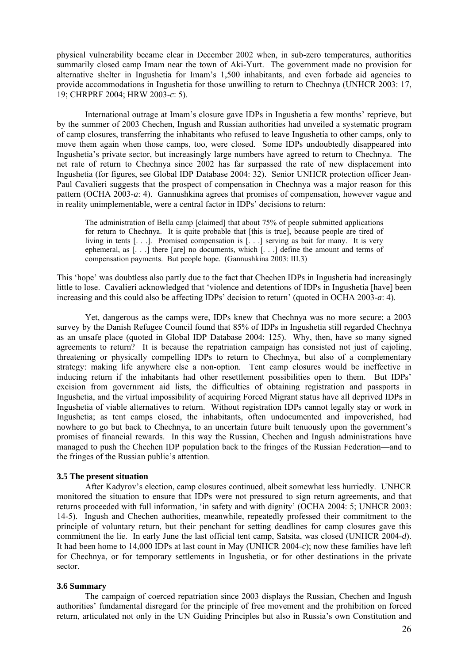physical vulnerability became clear in December 2002 when, in sub-zero temperatures, authorities summarily closed camp Imam near the town of Aki-Yurt. The government made no provision for alternative shelter in Ingushetia for Imam's 1,500 inhabitants, and even forbade aid agencies to provide accommodations in Ingushetia for those unwilling to return to Chechnya (UNHCR 2003: 17, 19; CHRPRF 2004; HRW 2003-*c*: 5).

International outrage at Imam's closure gave IDPs in Ingushetia a few months' reprieve, but by the summer of 2003 Chechen, Ingush and Russian authorities had unveiled a systematic program of camp closures, transferring the inhabitants who refused to leave Ingushetia to other camps, only to move them again when those camps, too, were closed. Some IDPs undoubtedly disappeared into Ingushetia's private sector, but increasingly large numbers have agreed to return to Chechnya. The net rate of return to Chechnya since 2002 has far surpassed the rate of new displacement into Ingushetia (for figures, see Global IDP Database 2004: 32). Senior UNHCR protection officer Jean-Paul Cavalieri suggests that the prospect of compensation in Chechnya was a major reason for this pattern (OCHA 2003-*a*: 4). Gannushkina agrees that promises of compensation, however vague and in reality unimplementable, were a central factor in IDPs' decisions to return:

The administration of Bella camp [claimed] that about 75% of people submitted applications for return to Chechnya. It is quite probable that [this is true], because people are tired of living in tents [. . .]. Promised compensation is [. . .] serving as bait for many. It is very ephemeral, as [. . .] there [are] no documents, which [. . .] define the amount and terms of compensation payments. But people hope. (Gannushkina 2003: III.3)

This 'hope' was doubtless also partly due to the fact that Chechen IDPs in Ingushetia had increasingly little to lose. Cavalieri acknowledged that 'violence and detentions of IDPs in Ingushetia [have] been increasing and this could also be affecting IDPs' decision to return' (quoted in OCHA 2003-*a*: 4).

Yet, dangerous as the camps were, IDPs knew that Chechnya was no more secure; a 2003 survey by the Danish Refugee Council found that 85% of IDPs in Ingushetia still regarded Chechnya as an unsafe place (quoted in Global IDP Database 2004: 125). Why, then, have so many signed agreements to return? It is because the repatriation campaign has consisted not just of cajoling, threatening or physically compelling IDPs to return to Chechnya, but also of a complementary strategy: making life anywhere else a non-option. Tent camp closures would be ineffective in inducing return if the inhabitants had other resettlement possibilities open to them. But IDPs' excision from government aid lists, the difficulties of obtaining registration and passports in Ingushetia, and the virtual impossibility of acquiring Forced Migrant status have all deprived IDPs in Ingushetia of viable alternatives to return. Without registration IDPs cannot legally stay or work in Ingushetia; as tent camps closed, the inhabitants, often undocumented and impoverished, had nowhere to go but back to Chechnya, to an uncertain future built tenuously upon the government's promises of financial rewards. In this way the Russian, Chechen and Ingush administrations have managed to push the Chechen IDP population back to the fringes of the Russian Federation—and to the fringes of the Russian public's attention.

#### **3.5 The present situation**

After Kadyrov's election, camp closures continued, albeit somewhat less hurriedly. UNHCR monitored the situation to ensure that IDPs were not pressured to sign return agreements, and that returns proceeded with full information, 'in safety and with dignity' (OCHA 2004: 5; UNHCR 2003: 14-5). Ingush and Chechen authorities, meanwhile, repeatedly professed their commitment to the principle of voluntary return, but their penchant for setting deadlines for camp closures gave this commitment the lie. In early June the last official tent camp, Satsita, was closed (UNHCR 2004-*d*). It had been home to 14,000 IDPs at last count in May (UNHCR 2004-*c*); now these families have left for Chechnya, or for temporary settlements in Ingushetia, or for other destinations in the private sector.

#### **3.6 Summary**

The campaign of coerced repatriation since 2003 displays the Russian, Chechen and Ingush authorities' fundamental disregard for the principle of free movement and the prohibition on forced return, articulated not only in the UN Guiding Principles but also in Russia's own Constitution and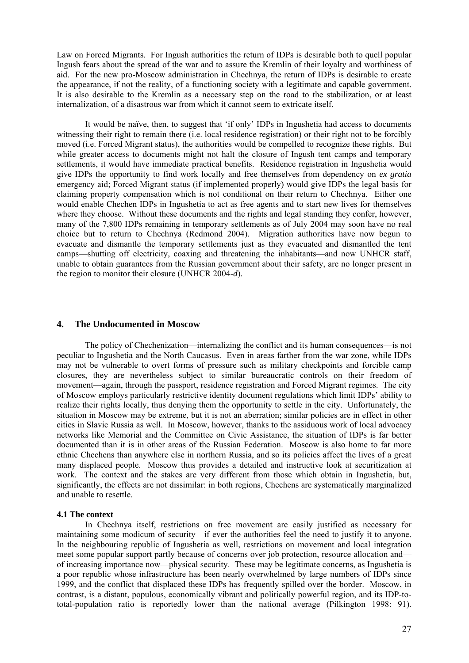<span id="page-29-0"></span>Law on Forced Migrants. For Ingush authorities the return of IDPs is desirable both to quell popular Ingush fears about the spread of the war and to assure the Kremlin of their loyalty and worthiness of aid. For the new pro-Moscow administration in Chechnya, the return of IDPs is desirable to create the appearance, if not the reality, of a functioning society with a legitimate and capable government. It is also desirable to the Kremlin as a necessary step on the road to the stabilization, or at least internalization, of a disastrous war from which it cannot seem to extricate itself.

It would be naïve, then, to suggest that 'if only' IDPs in Ingushetia had access to documents witnessing their right to remain there (i.e. local residence registration) or their right not to be forcibly moved (i.e. Forced Migrant status), the authorities would be compelled to recognize these rights. But while greater access to documents might not halt the closure of Ingush tent camps and temporary settlements, it would have immediate practical benefits. Residence registration in Ingushetia would give IDPs the opportunity to find work locally and free themselves from dependency on *ex gratia*  emergency aid; Forced Migrant status (if implemented properly) would give IDPs the legal basis for claiming property compensation which is not conditional on their return to Chechnya. Either one would enable Chechen IDPs in Ingushetia to act as free agents and to start new lives for themselves where they choose. Without these documents and the rights and legal standing they confer, however, many of the 7,800 IDPs remaining in temporary settlements as of July 2004 may soon have no real choice but to return to Chechnya (Redmond 2004). Migration authorities have now begun to evacuate and dismantle the temporary settlements just as they evacuated and dismantled the tent camps—shutting off electricity, coaxing and threatening the inhabitants—and now UNHCR staff, unable to obtain guarantees from the Russian government about their safety, are no longer present in the region to monitor their closure (UNHCR 2004-*d*).

#### **4. The Undocumented in Moscow**

The policy of Chechenization—internalizing the conflict and its human consequences—is not peculiar to Ingushetia and the North Caucasus. Even in areas farther from the war zone, while IDPs may not be vulnerable to overt forms of pressure such as military checkpoints and forcible camp closures, they are nevertheless subject to similar bureaucratic controls on their freedom of movement—again, through the passport, residence registration and Forced Migrant regimes. The city of Moscow employs particularly restrictive identity document regulations which limit IDPs' ability to realize their rights locally, thus denying them the opportunity to settle in the city. Unfortunately, the situation in Moscow may be extreme, but it is not an aberration; similar policies are in effect in other cities in Slavic Russia as well. In Moscow, however, thanks to the assiduous work of local advocacy networks like Memorial and the Committee on Civic Assistance, the situation of IDPs is far better documented than it is in other areas of the Russian Federation. Moscow is also home to far more ethnic Chechens than anywhere else in northern Russia, and so its policies affect the lives of a great many displaced people. Moscow thus provides a detailed and instructive look at securitization at work. The context and the stakes are very different from those which obtain in Ingushetia, but, significantly, the effects are not dissimilar: in both regions, Chechens are systematically marginalized and unable to resettle.

#### **4.1 The context**

In Chechnya itself, restrictions on free movement are easily justified as necessary for maintaining some modicum of security—if ever the authorities feel the need to justify it to anyone. In the neighbouring republic of Ingushetia as well, restrictions on movement and local integration meet some popular support partly because of concerns over job protection, resource allocation and of increasing importance now—physical security. These may be legitimate concerns, as Ingushetia is a poor republic whose infrastructure has been nearly overwhelmed by large numbers of IDPs since 1999, and the conflict that displaced these IDPs has frequently spilled over the border. Moscow, in contrast, is a distant, populous, economically vibrant and politically powerful region, and its IDP-tototal-population ratio is reportedly lower than the national average (Pilkington 1998: 91).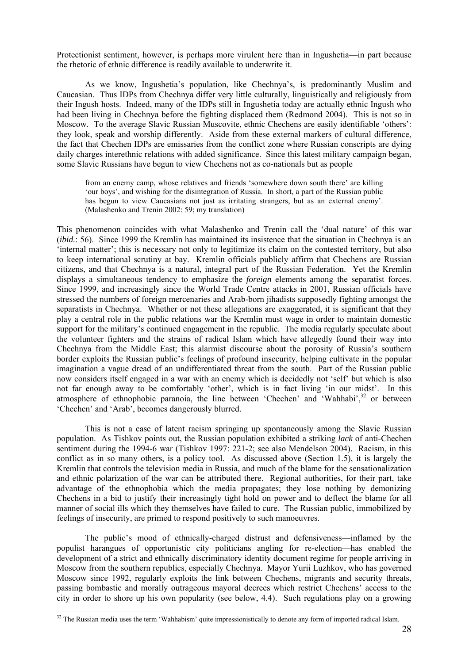Protectionist sentiment, however, is perhaps more virulent here than in Ingushetia—in part because the rhetoric of ethnic difference is readily available to underwrite it.

As we know, Ingushetia's population, like Chechnya's, is predominantly Muslim and Caucasian. Thus IDPs from Chechnya differ very little culturally, linguistically and religiously from their Ingush hosts. Indeed, many of the IDPs still in Ingushetia today are actually ethnic Ingush who had been living in Chechnya before the fighting displaced them (Redmond 2004). This is not so in Moscow. To the average Slavic Russian Muscovite, ethnic Chechens are easily identifiable 'others': they look, speak and worship differently. Aside from these external markers of cultural difference, the fact that Chechen IDPs are emissaries from the conflict zone where Russian conscripts are dying daily charges interethnic relations with added significance. Since this latest military campaign began, some Slavic Russians have begun to view Chechens not as co-nationals but as people

from an enemy camp, whose relatives and friends 'somewhere down south there' are killing 'our boys', and wishing for the disintegration of Russia. In short, a part of the Russian public has begun to view Caucasians not just as irritating strangers, but as an external enemy'. (Malashenko and Trenin 2002: 59; my translation)

This phenomenon coincides with what Malashenko and Trenin call the 'dual nature' of this war (*ibid.*: 56). Since 1999 the Kremlin has maintained its insistence that the situation in Chechnya is an 'internal matter'; this is necessary not only to legitimize its claim on the contested territory, but also to keep international scrutiny at bay. Kremlin officials publicly affirm that Chechens are Russian citizens, and that Chechnya is a natural, integral part of the Russian Federation. Yet the Kremlin displays a simultaneous tendency to emphasize the *foreign* elements among the separatist forces. Since 1999, and increasingly since the World Trade Centre attacks in 2001, Russian officials have stressed the numbers of foreign mercenaries and Arab-born jihadists supposedly fighting amongst the separatists in Chechnya. Whether or not these allegations are exaggerated, it is significant that they play a central role in the public relations war the Kremlin must wage in order to maintain domestic support for the military's continued engagement in the republic. The media regularly speculate about the volunteer fighters and the strains of radical Islam which have allegedly found their way into Chechnya from the Middle East; this alarmist discourse about the porosity of Russia's southern border exploits the Russian public's feelings of profound insecurity, helping cultivate in the popular imagination a vague dread of an undifferentiated threat from the south. Part of the Russian public now considers itself engaged in a war with an enemy which is decidedly not 'self' but which is also not far enough away to be comfortably 'other', which is in fact living 'in our midst'. In this atmosphere of ethnophobic paranoia, the line between 'Chechen' and 'Wahhabi',<sup>32</sup> or between 'Chechen' and 'Arab', becomes dangerously blurred.

This is not a case of latent racism springing up spontaneously among the Slavic Russian population. As Tishkov points out, the Russian population exhibited a striking *lack* of anti-Chechen sentiment during the 1994-6 war (Tishkov 1997: 221-2; see also Mendelson 2004). Racism, in this conflict as in so many others, is a policy tool. As discussed above (Section 1.5), it is largely the Kremlin that controls the television media in Russia, and much of the blame for the sensationalization and ethnic polarization of the war can be attributed there. Regional authorities, for their part, take advantage of the ethnophobia which the media propagates; they lose nothing by demonizing Chechens in a bid to justify their increasingly tight hold on power and to deflect the blame for all manner of social ills which they themselves have failed to cure. The Russian public, immobilized by feelings of insecurity, are primed to respond positively to such manoeuvres.

The public's mood of ethnically-charged distrust and defensiveness—inflamed by the populist harangues of opportunistic city politicians angling for re-election—has enabled the development of a strict and ethnically discriminatory identity document regime for people arriving in Moscow from the southern republics, especially Chechnya. Mayor Yurii Luzhkov, who has governed Moscow since 1992, regularly exploits the link between Chechens, migrants and security threats, passing bombastic and morally outrageous mayoral decrees which restrict Chechens' access to the city in order to shore up his own popularity (see below, 4.4). Such regulations play on a growing

 $\overline{a}$ 

<span id="page-30-0"></span> $32$  The Russian media uses the term 'Wahhabism' quite impressionistically to denote any form of imported radical Islam.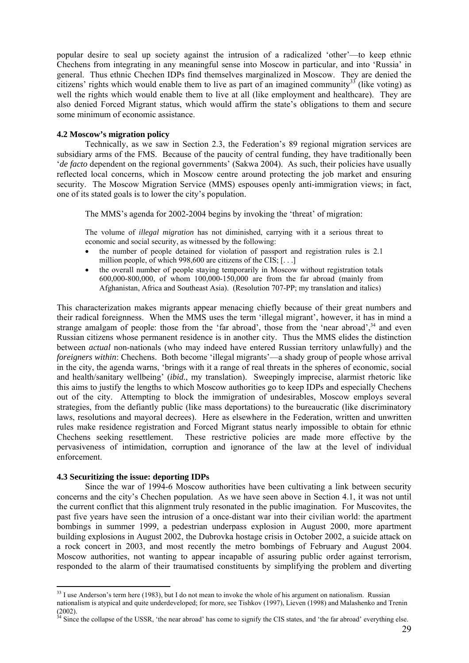popular desire to seal up society against the intrusion of a radicalized 'other'—to keep ethnic Chechens from integrating in any meaningful sense into Moscow in particular, and into 'Russia' in general. Thus ethnic Chechen IDPs find themselves marginalized in Moscow. They are denied the citizens' rights which would enable them to live as part of an imagined community<sup>33</sup> (like voting) as well the rights which would enable them to live at all (like employment and healthcare). They are also denied Forced Migrant status, which would affirm the state's obligations to them and secure some minimum of economic assistance.

#### **4.2 Moscow's migration policy**

Technically, as we saw in Section 2.3, the Federation's 89 regional migration services are subsidiary arms of the FMS. Because of the paucity of central funding, they have traditionally been *'de facto* dependent on the regional governments' (Sakwa 2004). As such, their policies have usually reflected local concerns, which in Moscow centre around protecting the job market and ensuring security. The Moscow Migration Service (MMS) espouses openly anti-immigration views; in fact, one of its stated goals is to lower the city's population.

The MMS's agenda for 2002-2004 begins by invoking the 'threat' of migration:

The volume of *illegal migration* has not diminished, carrying with it a serious threat to economic and social security, as witnessed by the following:

- the number of people detained for violation of passport and registration rules is 2.1 million people, of which 998,600 are citizens of the CIS; [. . .]
- the overall number of people staying temporarily in Moscow without registration totals 600,000-800,000, of whom 100,000-150,000 are from the far abroad (mainly from Afghanistan, Africa and Southeast Asia). (Resolution 707-PP; my translation and italics)

This characterization makes migrants appear menacing chiefly because of their great numbers and their radical foreignness. When the MMS uses the term 'illegal migrant', however, it has in mind a strange amalgam of people: those from the 'far abroad', those from the 'near abroad',<sup>34</sup> and even Russian citizens whose permanent residence is in another city. Thus the MMS elides the distinction between *actual* non-nationals (who may indeed have entered Russian territory unlawfully) and the *foreigners within*: Chechens. Both become 'illegal migrants'—a shady group of people whose arrival in the city, the agenda warns, 'brings with it a range of real threats in the spheres of economic, social and health/sanitary wellbeing' (*ibid.*, my translation). Sweepingly imprecise, alarmist rhetoric like this aims to justify the lengths to which Moscow authorities go to keep IDPs and especially Chechens out of the city. Attempting to block the immigration of undesirables, Moscow employs several strategies, from the defiantly public (like mass deportations) to the bureaucratic (like discriminatory laws, resolutions and mayoral decrees). Here as elsewhere in the Federation, written and unwritten rules make residence registration and Forced Migrant status nearly impossible to obtain for ethnic Chechens seeking resettlement. These restrictive policies are made more effective by the pervasiveness of intimidation, corruption and ignorance of the law at the level of individual enforcement.

#### **4.3 Securitizing the issue: deporting IDPs**

 $\overline{a}$ 

Since the war of 1994-6 Moscow authorities have been cultivating a link between security concerns and the city's Chechen population. As we have seen above in Section 4.1, it was not until the current conflict that this alignment truly resonated in the public imagination. For Muscovites, the past five years have seen the intrusion of a once-distant war into their civilian world: the apartment bombings in summer 1999, a pedestrian underpass explosion in August 2000, more apartment building explosions in August 2002, the Dubrovka hostage crisis in October 2002, a suicide attack on a rock concert in 2003, and most recently the metro bombings of February and August 2004. Moscow authorities, not wanting to appear incapable of assuring public order against terrorism, responded to the alarm of their traumatised constituents by simplifying the problem and diverting

<span id="page-31-0"></span> $33$  I use Anderson's term here (1983), but I do not mean to invoke the whole of his argument on nationalism. Russian nationalism is atypical and quite underdeveloped; for more, see Tishkov (1997), Lieven (1998) and Malashenko and Trenin (2002).

<span id="page-31-1"></span> $34$  Since the collapse of the USSR, 'the near abroad' has come to signify the CIS states, and 'the far abroad' everything else.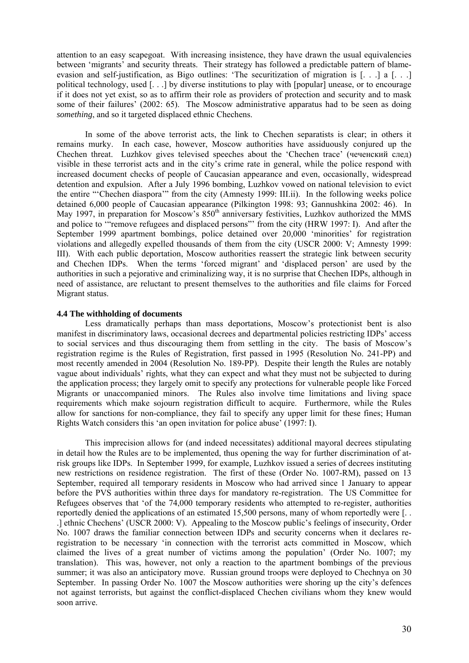attention to an easy scapegoat. With increasing insistence, they have drawn the usual equivalencies between 'migrants' and security threats. Their strategy has followed a predictable pattern of blameevasion and self-justification, as Bigo outlines: 'The securitization of migration is [. . .] a [. . .] political technology, used [. . .] by diverse institutions to play with [popular] unease, or to encourage if it does not yet exist, so as to affirm their role as providers of protection and security and to mask some of their failures' (2002: 65). The Moscow administrative apparatus had to be seen as doing *something*, and so it targeted displaced ethnic Chechens.

In some of the above terrorist acts, the link to Chechen separatists is clear; in others it remains murky. In each case, however, Moscow authorities have assiduously conjured up the Chechen threat. Luzhkov gives televised speeches about the 'Chechen trace' (чеченский след) visible in these terrorist acts and in the city's crime rate in general, while the police respond with increased document checks of people of Caucasian appearance and even, occasionally, widespread detention and expulsion. After a July 1996 bombing, Luzhkov vowed on national television to evict the entire "'Chechen diaspora'" from the city (Amnesty 1999: III.ii). In the following weeks police detained 6,000 people of Caucasian appearance (Pilkington 1998: 93; Gannushkina 2002: 46). In May 1997, in preparation for Moscow's  $850<sup>th</sup>$  anniversary festivities, Luzhkov authorized the MMS and police to '"remove refugees and displaced persons"' from the city (HRW 1997: I). And after the September 1999 apartment bombings, police detained over 20,000 'minorities' for registration violations and allegedly expelled thousands of them from the city (USCR 2000: V; Amnesty 1999: III). With each public deportation, Moscow authorities reassert the strategic link between security and Chechen IDPs. When the terms 'forced migrant' and 'displaced person' are used by the authorities in such a pejorative and criminalizing way, it is no surprise that Chechen IDPs, although in need of assistance, are reluctant to present themselves to the authorities and file claims for Forced Migrant status.

#### **4.4 The withholding of documents**

 Less dramatically perhaps than mass deportations, Moscow's protectionist bent is also manifest in discriminatory laws, occasional decrees and departmental policies restricting IDPs' access to social services and thus discouraging them from settling in the city. The basis of Moscow's registration regime is the Rules of Registration, first passed in 1995 (Resolution No. 241-PP) and most recently amended in 2004 (Resolution No. 189-PP). Despite their length the Rules are notably vague about individuals' rights, what they can expect and what they must not be subjected to during the application process; they largely omit to specify any protections for vulnerable people like Forced Migrants or unaccompanied minors. The Rules also involve time limitations and living space requirements which make sojourn registration difficult to acquire. Furthermore, while the Rules allow for sanctions for non-compliance, they fail to specify any upper limit for these fines; Human Rights Watch considers this 'an open invitation for police abuse' (1997: I).

This imprecision allows for (and indeed necessitates) additional mayoral decrees stipulating in detail how the Rules are to be implemented, thus opening the way for further discrimination of atrisk groups like IDPs. In September 1999, for example, Luzhkov issued a series of decrees instituting new restrictions on residence registration. The first of these (Order No. 1007-RM), passed on 13 September, required all temporary residents in Moscow who had arrived since 1 January to appear before the PVS authorities within three days for mandatory re-registration. The US Committee for Refugees observes that 'of the 74,000 temporary residents who attempted to re-register, authorities reportedly denied the applications of an estimated 15,500 persons, many of whom reportedly were [. . .] ethnic Chechens' (USCR 2000: V). Appealing to the Moscow public's feelings of insecurity, Order No. 1007 draws the familiar connection between IDPs and security concerns when it declares reregistration to be necessary 'in connection with the terrorist acts committed in Moscow, which claimed the lives of a great number of victims among the population' (Order No. 1007; my translation). This was, however, not only a reaction to the apartment bombings of the previous summer; it was also an anticipatory move. Russian ground troops were deployed to Chechnya on 30 September. In passing Order No. 1007 the Moscow authorities were shoring up the city's defences not against terrorists, but against the conflict-displaced Chechen civilians whom they knew would soon arrive.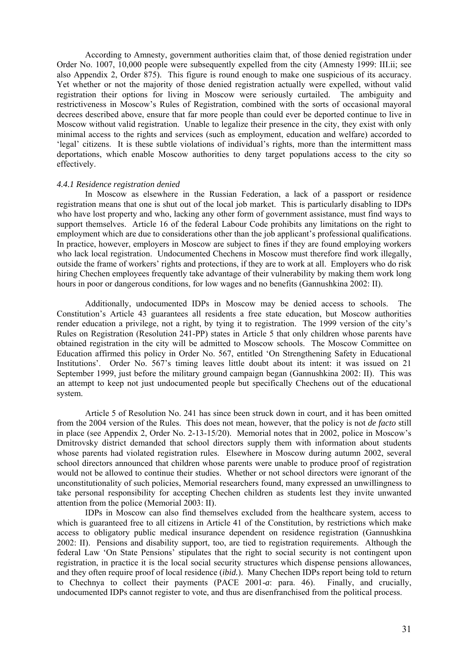According to Amnesty, government authorities claim that, of those denied registration under Order No. 1007, 10,000 people were subsequently expelled from the city (Amnesty 1999: III.ii; see also Appendix 2, Order 875). This figure is round enough to make one suspicious of its accuracy. Yet whether or not the majority of those denied registration actually were expelled, without valid registration their options for living in Moscow were seriously curtailed. The ambiguity and restrictiveness in Moscow's Rules of Registration, combined with the sorts of occasional mayoral decrees described above, ensure that far more people than could ever be deported continue to live in Moscow without valid registration. Unable to legalize their presence in the city, they exist with only minimal access to the rights and services (such as employment, education and welfare) accorded to 'legal' citizens. It is these subtle violations of individual's rights, more than the intermittent mass deportations, which enable Moscow authorities to deny target populations access to the city so effectively.

#### *4.4.1 Residence registration denied*

In Moscow as elsewhere in the Russian Federation, a lack of a passport or residence registration means that one is shut out of the local job market. This is particularly disabling to IDPs who have lost property and who, lacking any other form of government assistance, must find ways to support themselves. Article 16 of the federal Labour Code prohibits any limitations on the right to employment which are due to considerations other than the job applicant's professional qualifications. In practice, however, employers in Moscow are subject to fines if they are found employing workers who lack local registration. Undocumented Chechens in Moscow must therefore find work illegally, outside the frame of workers' rights and protections, if they are to work at all. Employers who do risk hiring Chechen employees frequently take advantage of their vulnerability by making them work long hours in poor or dangerous conditions, for low wages and no benefits (Gannushkina 2002: II).

Additionally, undocumented IDPs in Moscow may be denied access to schools. The Constitution's Article 43 guarantees all residents a free state education, but Moscow authorities render education a privilege, not a right, by tying it to registration. The 1999 version of the city's Rules on Registration (Resolution 241-PP) states in Article 5 that only children whose parents have obtained registration in the city will be admitted to Moscow schools. The Moscow Committee on Education affirmed this policy in Order No. 567, entitled 'On Strengthening Safety in Educational Institutions'. Order No. 567's timing leaves little doubt about its intent: it was issued on 21 September 1999, just before the military ground campaign began (Gannushkina 2002: II). This was an attempt to keep not just undocumented people but specifically Chechens out of the educational system.

Article 5 of Resolution No. 241 has since been struck down in court, and it has been omitted from the 2004 version of the Rules. This does not mean, however, that the policy is not *de facto* still in place (see Appendix 2, Order No. 2-13-15/20). Memorial notes that in 2002, police in Moscow's Dmitrovsky district demanded that school directors supply them with information about students whose parents had violated registration rules. Elsewhere in Moscow during autumn 2002, several school directors announced that children whose parents were unable to produce proof of registration would not be allowed to continue their studies. Whether or not school directors were ignorant of the unconstitutionality of such policies, Memorial researchers found, many expressed an unwillingness to take personal responsibility for accepting Chechen children as students lest they invite unwanted attention from the police (Memorial 2003: II).

IDPs in Moscow can also find themselves excluded from the healthcare system, access to which is guaranteed free to all citizens in Article 41 of the Constitution, by restrictions which make access to obligatory public medical insurance dependent on residence registration (Gannushkina 2002: II). Pensions and disability support, too, are tied to registration requirements. Although the federal Law 'On State Pensions' stipulates that the right to social security is not contingent upon registration, in practice it is the local social security structures which dispense pensions allowances, and they often require proof of local residence (*ibid.*). Many Chechen IDPs report being told to return to Chechnya to collect their payments (PACE 2001-*a*: para. 46). Finally, and crucially, undocumented IDPs cannot register to vote, and thus are disenfranchised from the political process.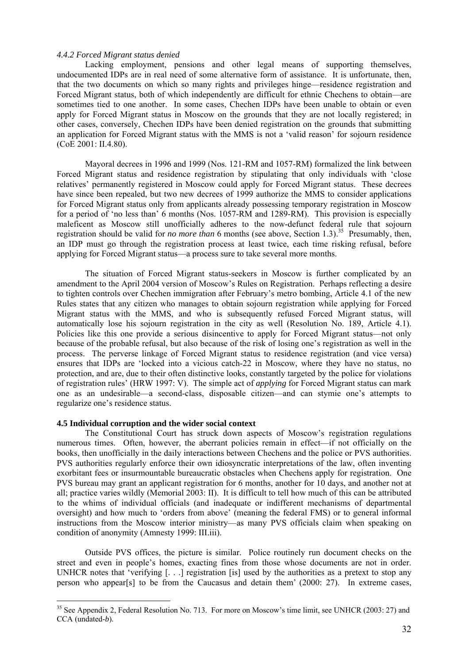#### *4.4.2 Forced Migrant status denied*

Lacking employment, pensions and other legal means of supporting themselves, undocumented IDPs are in real need of some alternative form of assistance. It is unfortunate, then, that the two documents on which so many rights and privileges hinge—residence registration and Forced Migrant status, both of which independently are difficult for ethnic Chechens to obtain—are sometimes tied to one another. In some cases, Chechen IDPs have been unable to obtain or even apply for Forced Migrant status in Moscow on the grounds that they are not locally registered; in other cases, conversely, Chechen IDPs have been denied registration on the grounds that submitting an application for Forced Migrant status with the MMS is not a 'valid reason' for sojourn residence (CoE 2001: II.4.80).

 Mayoral decrees in 1996 and 1999 (Nos. 121-RM and 1057-RM) formalized the link between Forced Migrant status and residence registration by stipulating that only individuals with 'close relatives' permanently registered in Moscow could apply for Forced Migrant status. These decrees have since been repealed, but two new decrees of 1999 authorize the MMS to consider applications for Forced Migrant status only from applicants already possessing temporary registration in Moscow for a period of 'no less than' 6 months (Nos. 1057-RM and 1289-RM). This provision is especially maleficent as Moscow still unofficially adheres to the now-defunct federal rule that sojourn registration should be valid for *no more than* 6 months (see above, Section 1.3)[.35](#page-34-0) Presumably, then, an IDP must go through the registration process at least twice, each time risking refusal, before applying for Forced Migrant status—a process sure to take several more months.

The situation of Forced Migrant status-seekers in Moscow is further complicated by an amendment to the April 2004 version of Moscow's Rules on Registration. Perhaps reflecting a desire to tighten controls over Chechen immigration after February's metro bombing, Article 4.1 of the new Rules states that any citizen who manages to obtain sojourn registration while applying for Forced Migrant status with the MMS, and who is subsequently refused Forced Migrant status, will automatically lose his sojourn registration in the city as well (Resolution No. 189, Article 4.1). Policies like this one provide a serious disincentive to apply for Forced Migrant status—not only because of the probable refusal, but also because of the risk of losing one's registration as well in the process. The perverse linkage of Forced Migrant status to residence registration (and vice versa) ensures that IDPs are 'locked into a vicious catch-22 in Moscow, where they have no status, no protection, and are, due to their often distinctive looks, constantly targeted by the police for violations of registration rules' (HRW 1997: V). The simple act of *applying* for Forced Migrant status can mark one as an undesirable—a second-class, disposable citizen—and can stymie one's attempts to regularize one's residence status.

## **4.5 Individual corruption and the wider social context**

 $\overline{a}$ 

The Constitutional Court has struck down aspects of Moscow's registration regulations numerous times. Often, however, the aberrant policies remain in effect—if not officially on the books, then unofficially in the daily interactions between Chechens and the police or PVS authorities. PVS authorities regularly enforce their own idiosyncratic interpretations of the law, often inventing exorbitant fees or insurmountable bureaucratic obstacles when Chechens apply for registration. One PVS bureau may grant an applicant registration for 6 months, another for 10 days, and another not at all; practice varies wildly (Memorial 2003: II). It is difficult to tell how much of this can be attributed to the whims of individual officials (and inadequate or indifferent mechanisms of departmental oversight) and how much to 'orders from above' (meaning the federal FMS) or to general informal instructions from the Moscow interior ministry—as many PVS officials claim when speaking on condition of anonymity (Amnesty 1999: III.iii).

Outside PVS offices, the picture is similar. Police routinely run document checks on the street and even in people's homes, exacting fines from those whose documents are not in order. UNHCR notes that 'verifying [...] registration [is] used by the authorities as a pretext to stop any person who appear[s] to be from the Caucasus and detain them' (2000: 27). In extreme cases,

<span id="page-34-0"></span><sup>&</sup>lt;sup>35</sup> See Appendix 2, Federal Resolution No. 713. For more on Moscow's time limit, see UNHCR (2003: 27) and CCA (undated-*b*).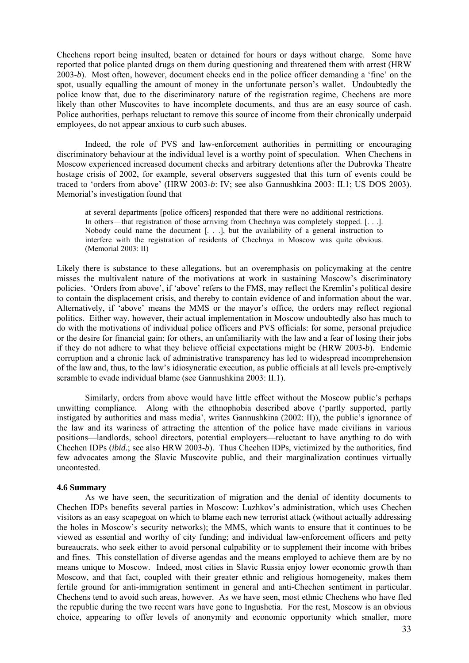Chechens report being insulted, beaten or detained for hours or days without charge. Some have reported that police planted drugs on them during questioning and threatened them with arrest (HRW 2003-*b*). Most often, however, document checks end in the police officer demanding a 'fine' on the spot, usually equalling the amount of money in the unfortunate person's wallet. Undoubtedly the police know that, due to the discriminatory nature of the registration regime, Chechens are more likely than other Muscovites to have incomplete documents, and thus are an easy source of cash. Police authorities, perhaps reluctant to remove this source of income from their chronically underpaid employees, do not appear anxious to curb such abuses.

Indeed, the role of PVS and law-enforcement authorities in permitting or encouraging discriminatory behaviour at the individual level is a worthy point of speculation. When Chechens in Moscow experienced increased document checks and arbitrary detentions after the Dubrovka Theatre hostage crisis of 2002, for example, several observers suggested that this turn of events could be traced to 'orders from above' (HRW 2003-*b*: IV; see also Gannushkina 2003: II.1; US DOS 2003). Memorial's investigation found that

at several departments [police officers] responded that there were no additional restrictions. In others—that registration of those arriving from Chechnya was completely stopped. [. . .]. Nobody could name the document [. . .], but the availability of a general instruction to interfere with the registration of residents of Chechnya in Moscow was quite obvious. (Memorial 2003: II)

Likely there is substance to these allegations, but an overemphasis on policymaking at the centre misses the multivalent nature of the motivations at work in sustaining Moscow's discriminatory policies. 'Orders from above', if 'above' refers to the FMS, may reflect the Kremlin's political desire to contain the displacement crisis, and thereby to contain evidence of and information about the war. Alternatively, if 'above' means the MMS or the mayor's office, the orders may reflect regional politics. Either way, however, their actual implementation in Moscow undoubtedly also has much to do with the motivations of individual police officers and PVS officials: for some, personal prejudice or the desire for financial gain; for others, an unfamiliarity with the law and a fear of losing their jobs if they do not adhere to what they believe official expectations might be (HRW 2003-*b*). Endemic corruption and a chronic lack of administrative transparency has led to widespread incomprehension of the law and, thus, to the law's idiosyncratic execution, as public officials at all levels pre-emptively scramble to evade individual blame (see Gannushkina 2003: II.1).

 Similarly, orders from above would have little effect without the Moscow public's perhaps unwitting compliance. Along with the ethnophobia described above ('partly supported, partly instigated by authorities and mass media', writes Gannushkina (2002: II)), the public's ignorance of the law and its wariness of attracting the attention of the police have made civilians in various positions—landlords, school directors, potential employers—reluctant to have anything to do with Chechen IDPs (*ibid.*; see also HRW 2003-*b*). Thus Chechen IDPs, victimized by the authorities, find few advocates among the Slavic Muscovite public, and their marginalization continues virtually uncontested.

#### **4.6 Summary**

As we have seen, the securitization of migration and the denial of identity documents to Chechen IDPs benefits several parties in Moscow: Luzhkov's administration, which uses Chechen visitors as an easy scapegoat on which to blame each new terrorist attack (without actually addressing the holes in Moscow's security networks); the MMS, which wants to ensure that it continues to be viewed as essential and worthy of city funding; and individual law-enforcement officers and petty bureaucrats, who seek either to avoid personal culpability or to supplement their income with bribes and fines. This constellation of diverse agendas and the means employed to achieve them are by no means unique to Moscow. Indeed, most cities in Slavic Russia enjoy lower economic growth than Moscow, and that fact, coupled with their greater ethnic and religious homogeneity, makes them fertile ground for anti-immigration sentiment in general and anti-Chechen sentiment in particular. Chechens tend to avoid such areas, however. As we have seen, most ethnic Chechens who have fled the republic during the two recent wars have gone to Ingushetia. For the rest, Moscow is an obvious choice, appearing to offer levels of anonymity and economic opportunity which smaller, more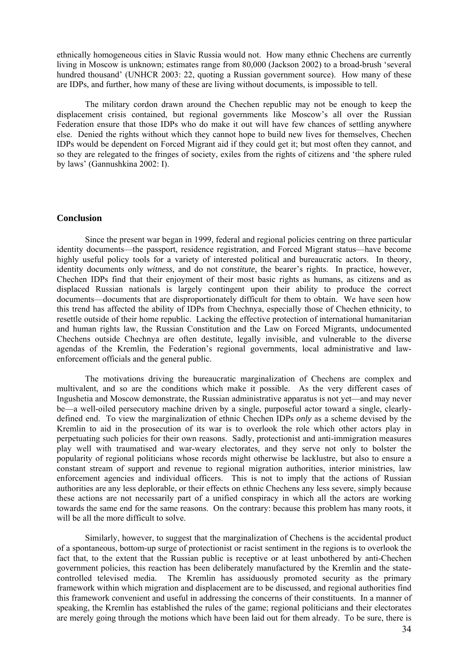<span id="page-36-0"></span>ethnically homogeneous cities in Slavic Russia would not. How many ethnic Chechens are currently living in Moscow is unknown; estimates range from 80,000 (Jackson 2002) to a broad-brush 'several hundred thousand' (UNHCR 2003: 22, quoting a Russian government source). How many of these are IDPs, and further, how many of these are living without documents, is impossible to tell.

The military cordon drawn around the Chechen republic may not be enough to keep the displacement crisis contained, but regional governments like Moscow's all over the Russian Federation ensure that those IDPs who do make it out will have few chances of settling anywhere else. Denied the rights without which they cannot hope to build new lives for themselves, Chechen IDPs would be dependent on Forced Migrant aid if they could get it; but most often they cannot, and so they are relegated to the fringes of society, exiles from the rights of citizens and 'the sphere ruled by laws' (Gannushkina 2002: I).

## **Conclusion**

Since the present war began in 1999, federal and regional policies centring on three particular identity documents—the passport, residence registration, and Forced Migrant status—have become highly useful policy tools for a variety of interested political and bureaucratic actors. In theory, identity documents only *witness*, and do not *constitute*, the bearer's rights. In practice, however, Chechen IDPs find that their enjoyment of their most basic rights as humans, as citizens and as displaced Russian nationals is largely contingent upon their ability to produce the correct documents—documents that are disproportionately difficult for them to obtain. We have seen how this trend has affected the ability of IDPs from Chechnya, especially those of Chechen ethnicity, to resettle outside of their home republic. Lacking the effective protection of international humanitarian and human rights law, the Russian Constitution and the Law on Forced Migrants, undocumented Chechens outside Chechnya are often destitute, legally invisible, and vulnerable to the diverse agendas of the Kremlin, the Federation's regional governments, local administrative and lawenforcement officials and the general public.

The motivations driving the bureaucratic marginalization of Chechens are complex and multivalent, and so are the conditions which make it possible. As the very different cases of Ingushetia and Moscow demonstrate, the Russian administrative apparatus is not yet—and may never be—a well-oiled persecutory machine driven by a single, purposeful actor toward a single, clearlydefined end. To view the marginalization of ethnic Chechen IDPs *only* as a scheme devised by the Kremlin to aid in the prosecution of its war is to overlook the role which other actors play in perpetuating such policies for their own reasons. Sadly, protectionist and anti-immigration measures play well with traumatised and war-weary electorates, and they serve not only to bolster the popularity of regional politicians whose records might otherwise be lacklustre, but also to ensure a constant stream of support and revenue to regional migration authorities, interior ministries, law enforcement agencies and individual officers. This is not to imply that the actions of Russian authorities are any less deplorable, or their effects on ethnic Chechens any less severe, simply because these actions are not necessarily part of a unified conspiracy in which all the actors are working towards the same end for the same reasons. On the contrary: because this problem has many roots, it will be all the more difficult to solve.

Similarly, however, to suggest that the marginalization of Chechens is the accidental product of a spontaneous, bottom-up surge of protectionist or racist sentiment in the regions is to overlook the fact that, to the extent that the Russian public is receptive or at least unbothered by anti-Chechen government policies, this reaction has been deliberately manufactured by the Kremlin and the statecontrolled televised media. The Kremlin has assiduously promoted security as the primary framework within which migration and displacement are to be discussed, and regional authorities find this framework convenient and useful in addressing the concerns of their constituents. In a manner of speaking, the Kremlin has established the rules of the game; regional politicians and their electorates are merely going through the motions which have been laid out for them already. To be sure, there is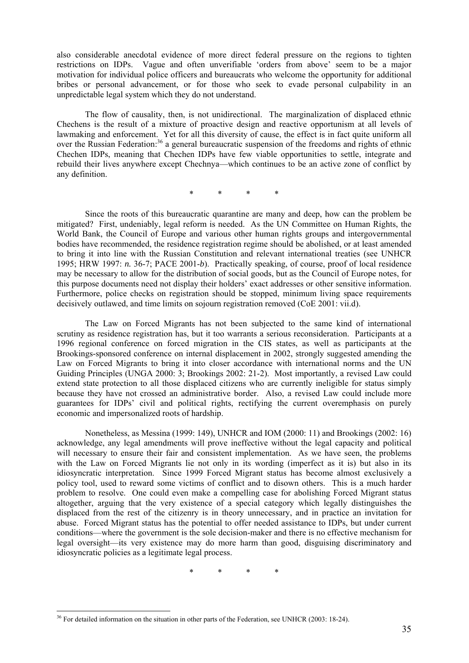also considerable anecdotal evidence of more direct federal pressure on the regions to tighten restrictions on IDPs. Vague and often unverifiable 'orders from above' seem to be a major motivation for individual police officers and bureaucrats who welcome the opportunity for additional bribes or personal advancement, or for those who seek to evade personal culpability in an unpredictable legal system which they do not understand.

The flow of causality, then, is not unidirectional. The marginalization of displaced ethnic Chechens is the result of a mixture of proactive design and reactive opportunism at all levels of lawmaking and enforcement. Yet for all this diversity of cause, the effect is in fact quite uniform all over the Russian Federation:<sup>36</sup> a general bureaucratic suspension of the freedoms and rights of ethnic Chechen IDPs, meaning that Chechen IDPs have few viable opportunities to settle, integrate and rebuild their lives anywhere except Chechnya—which continues to be an active zone of conflict by any definition.

\* \* \* \*

Since the roots of this bureaucratic quarantine are many and deep, how can the problem be mitigated? First, undeniably, legal reform is needed. As the UN Committee on Human Rights, the World Bank, the Council of Europe and various other human rights groups and intergovernmental bodies have recommended, the residence registration regime should be abolished, or at least amended to bring it into line with the Russian Constitution and relevant international treaties (see UNHCR 1995; HRW 1997: *n.* 36-7; PACE 2001-*b*). Practically speaking, of course, proof of local residence may be necessary to allow for the distribution of social goods, but as the Council of Europe notes, for this purpose documents need not display their holders' exact addresses or other sensitive information. Furthermore, police checks on registration should be stopped, minimum living space requirements decisively outlawed, and time limits on sojourn registration removed (CoE 2001: vii.d).

The Law on Forced Migrants has not been subjected to the same kind of international scrutiny as residence registration has, but it too warrants a serious reconsideration. Participants at a 1996 regional conference on forced migration in the CIS states, as well as participants at the Brookings-sponsored conference on internal displacement in 2002, strongly suggested amending the Law on Forced Migrants to bring it into closer accordance with international norms and the UN Guiding Principles (UNGA 2000: 3; Brookings 2002: 21-2). Most importantly, a revised Law could extend state protection to all those displaced citizens who are currently ineligible for status simply because they have not crossed an administrative border. Also, a revised Law could include more guarantees for IDPs' civil and political rights, rectifying the current overemphasis on purely economic and impersonalized roots of hardship.

Nonetheless, as Messina (1999: 149), UNHCR and IOM (2000: 11) and Brookings (2002: 16) acknowledge, any legal amendments will prove ineffective without the legal capacity and political will necessary to ensure their fair and consistent implementation. As we have seen, the problems with the Law on Forced Migrants lie not only in its wording (imperfect as it is) but also in its idiosyncratic interpretation. Since 1999 Forced Migrant status has become almost exclusively a policy tool, used to reward some victims of conflict and to disown others. This is a much harder problem to resolve. One could even make a compelling case for abolishing Forced Migrant status altogether, arguing that the very existence of a special category which legally distinguishes the displaced from the rest of the citizenry is in theory unnecessary, and in practice an invitation for abuse. Forced Migrant status has the potential to offer needed assistance to IDPs, but under current conditions—where the government is the sole decision-maker and there is no effective mechanism for legal oversight—its very existence may do more harm than good, disguising discriminatory and idiosyncratic policies as a legitimate legal process.

\* \* \* \*

 $\overline{a}$ 

<span id="page-37-0"></span><sup>&</sup>lt;sup>36</sup> For detailed information on the situation in other parts of the Federation, see UNHCR (2003: 18-24).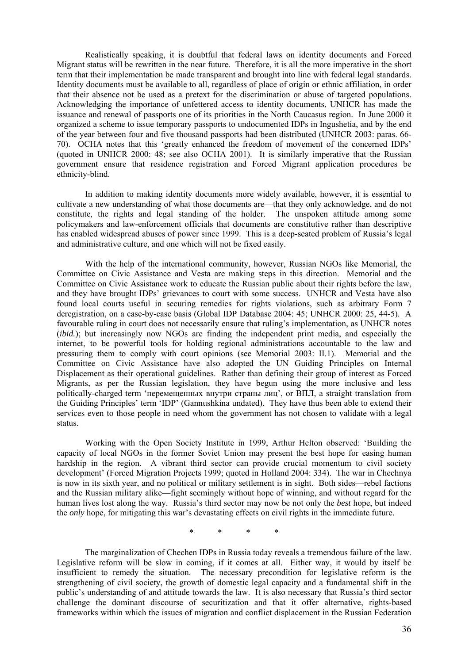Realistically speaking, it is doubtful that federal laws on identity documents and Forced Migrant status will be rewritten in the near future. Therefore, it is all the more imperative in the short term that their implementation be made transparent and brought into line with federal legal standards. Identity documents must be available to all, regardless of place of origin or ethnic affiliation, in order that their absence not be used as a pretext for the discrimination or abuse of targeted populations. Acknowledging the importance of unfettered access to identity documents, UNHCR has made the issuance and renewal of passports one of its priorities in the North Caucasus region. In June 2000 it organized a scheme to issue temporary passports to undocumented IDPs in Ingushetia, and by the end of the year between four and five thousand passports had been distributed (UNHCR 2003: paras. 66- 70). OCHA notes that this 'greatly enhanced the freedom of movement of the concerned IDPs' (quoted in UNHCR 2000: 48; see also OCHA 2001). It is similarly imperative that the Russian government ensure that residence registration and Forced Migrant application procedures be ethnicity-blind.

In addition to making identity documents more widely available, however, it is essential to cultivate a new understanding of what those documents are—that they only acknowledge, and do not constitute, the rights and legal standing of the holder. The unspoken attitude among some policymakers and law-enforcement officials that documents are constitutive rather than descriptive has enabled widespread abuses of power since 1999. This is a deep-seated problem of Russia's legal and administrative culture, and one which will not be fixed easily.

With the help of the international community, however, Russian NGOs like Memorial, the Committee on Civic Assistance and Vesta are making steps in this direction. Memorial and the Committee on Civic Assistance work to educate the Russian public about their rights before the law, and they have brought IDPs' grievances to court with some success. UNHCR and Vesta have also found local courts useful in securing remedies for rights violations, such as arbitrary Form 7 deregistration, on a case-by-case basis (Global IDP Database 2004: 45; UNHCR 2000: 25, 44-5). A favourable ruling in court does not necessarily ensure that ruling's implementation, as UNHCR notes (*ibid.*); but increasingly now NGOs are finding the independent print media, and especially the internet, to be powerful tools for holding regional administrations accountable to the law and pressuring them to comply with court opinions (see Memorial 2003: II.1). Memorial and the Committee on Civic Assistance have also adopted the UN Guiding Principles on Internal Displacement as their operational guidelines. Rather than defining their group of interest as Forced Migrants, as per the Russian legislation, they have begun using the more inclusive and less politically-charged term 'перемещенных внутри страны лиц', or ВПЛ, a straight translation from the Guiding Principles' term 'IDP' (Gannushkina undated). They have thus been able to extend their services even to those people in need whom the government has not chosen to validate with a legal status.

Working with the Open Society Institute in 1999, Arthur Helton observed: 'Building the capacity of local NGOs in the former Soviet Union may present the best hope for easing human hardship in the region. A vibrant third sector can provide crucial momentum to civil society development' (Forced Migration Projects 1999; quoted in Holland 2004: 334). The war in Chechnya is now in its sixth year, and no political or military settlement is in sight. Both sides—rebel factions and the Russian military alike—fight seemingly without hope of winning, and without regard for the human lives lost along the way. Russia's third sector may now be not only the *best* hope, but indeed the *only* hope, for mitigating this war's devastating effects on civil rights in the immediate future.

\* \* \* \*

The marginalization of Chechen IDPs in Russia today reveals a tremendous failure of the law. Legislative reform will be slow in coming, if it comes at all. Either way, it would by itself be insufficient to remedy the situation. The necessary precondition for legislative reform is the strengthening of civil society, the growth of domestic legal capacity and a fundamental shift in the public's understanding of and attitude towards the law. It is also necessary that Russia's third sector challenge the dominant discourse of securitization and that it offer alternative, rights-based frameworks within which the issues of migration and conflict displacement in the Russian Federation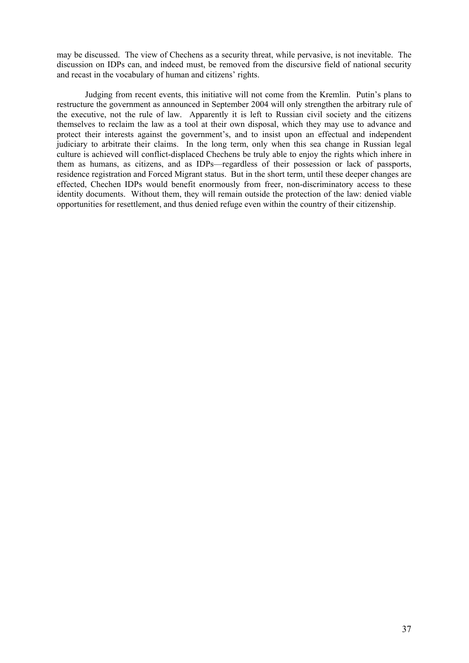may be discussed. The view of Chechens as a security threat, while pervasive, is not inevitable. The discussion on IDPs can, and indeed must, be removed from the discursive field of national security and recast in the vocabulary of human and citizens' rights.

Judging from recent events, this initiative will not come from the Kremlin. Putin's plans to restructure the government as announced in September 2004 will only strengthen the arbitrary rule of the executive, not the rule of law. Apparently it is left to Russian civil society and the citizens themselves to reclaim the law as a tool at their own disposal, which they may use to advance and protect their interests against the government's, and to insist upon an effectual and independent judiciary to arbitrate their claims. In the long term, only when this sea change in Russian legal culture is achieved will conflict-displaced Chechens be truly able to enjoy the rights which inhere in them as humans, as citizens, and as IDPs—regardless of their possession or lack of passports, residence registration and Forced Migrant status. But in the short term, until these deeper changes are effected, Chechen IDPs would benefit enormously from freer, non-discriminatory access to these identity documents. Without them, they will remain outside the protection of the law: denied viable opportunities for resettlement, and thus denied refuge even within the country of their citizenship.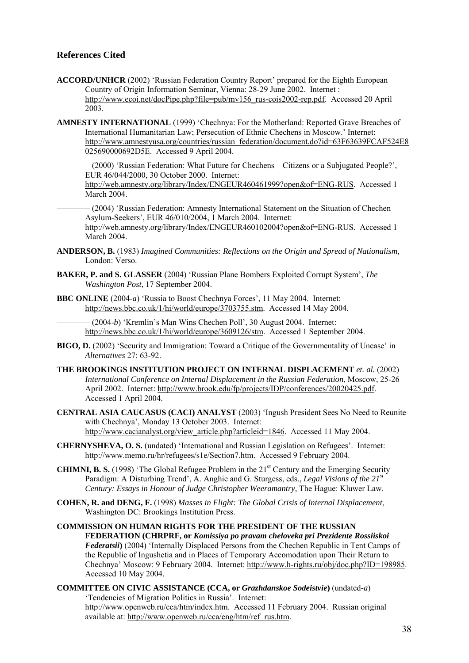## <span id="page-40-0"></span>**References Cited**

- **ACCORD/UNHCR** (2002) 'Russian Federation Country Report' prepared for the Eighth European Country of Origin Information Seminar, Vienna: 28-29 June 2002. Internet : [http://www.ecoi.net/docPipe.php?file=pub/mv156\\_rus-cois2002-rep.pdf.](http://www.ecoi.net/docPipe.php?file=pub/mv156_rus-cois2002-rep.pdf) Accessed 20 April 2003.
- **AMNESTY INTERNATIONAL** (1999) 'Chechnya: For the Motherland: Reported Grave Breaches of International Humanitarian Law; Persecution of Ethnic Chechens in Moscow.' Internet: [http://www.amnestyusa.org/countries/russian\\_federation/document.do?id=63F63639FCAF524E8](http://www.amnestyusa.org/countries/russian_federation/document.do?id=63F63639FCAF524E8025690000692D5E) [025690000692D5E](http://www.amnestyusa.org/countries/russian_federation/document.do?id=63F63639FCAF524E8025690000692D5E). Accessed 9 April 2004.

– (2000) 'Russian Federation: What Future for Chechens—Citizens or a Subjugated People?', EUR 46/044/2000, 30 October 2000. Internet: [http://web.amnesty.org/library/Index/ENGEUR460461999?open&of=ENG-RUS.](http://web.amnesty.org/library/Index/ENGEUR460461999?open&of=ENG-RUS) Accessed 1 March 2004.

 $-(2004)$  'Russian Federation: Amnesty International Statement on the Situation of Chechen Asylum-Seekers', EUR 46/010/2004, 1 March 2004. Internet: [http://web.amnesty.org/library/Index/ENGEUR460102004?open&of=ENG-RUS.](http://web.amnesty.org/library/Index/ENGEUR460102004?open&of=ENG-RUS) Accessed 1 March 2004.

- **ANDERSON, B.** (1983) *Imagined Communities: Reflections on the Origin and Spread of Nationalism,*  London: Verso.
- **BAKER, P. and S. GLASSER** (2004) 'Russian Plane Bombers Exploited Corrupt System', *The Washington Post*, 17 September 2004.
- **BBC ONLINE** (2004-*a*) 'Russia to Boost Chechnya Forces', 11 May 2004. Internet: [http://news.bbc.co.uk/1/hi/world/europe/3703755.stm.](http://news.bbc.co.uk/1/hi/world/europe/3703755.stm) Accessed 14 May 2004.

———— (2004-*b*) 'Kremlin's Man Wins Chechen Poll', 30 August 2004. Internet: [http://news.bbc.co.uk/1/hi/world/europe/3609126/stm.](http://news.bbc.co.uk/1/hi/world/europe/3609126/stm) Accessed 1 September 2004.

- **BIGO, D.** (2002) 'Security and Immigration: Toward a Critique of the Governmentality of Unease' in *Alternatives* 27: 63-92.
- **THE BROOKINGS INSTITUTION PROJECT ON INTERNAL DISPLACEMENT** *et. al.* (2002) *International Conference on Internal Displacement in the Russian Federation*, Moscow, 25-26 April 2002. Internet: [http://www.brook.edu/fp/projects/IDP/conferences/20020425.pdf.](http://www.brook.edu/fp/projects/IDP/conferences/20020425.pdf) Accessed 1 April 2004.
- **CENTRAL ASIA CAUCASUS (CACI) ANALYST** (2003) 'Ingush President Sees No Need to Reunite with Chechnya', Monday 13 October 2003. Internet: http://www.cacianalyst.org/view\_article.php?articleid=1846. Accessed 11 May 2004.
- **CHERNYSHEVA, O. S.** (undated) 'International and Russian Legislation on Refugees'. Internet: [http://www.memo.ru/hr/refugees/s1e/Section7.htm.](http://www.memo.ru/hr/refugees/s1e/Chapter7.htm) Accessed 9 February 2004.
- **CHIMNI, B. S.** (1998) 'The Global Refugee Problem in the 21<sup>st</sup> Century and the Emerging Security Paradigm: A Disturbing Trend', A. Anghie and G. Sturgess, eds., *Legal Visions of the 21st Century: Essays in Honour of Judge Christopher Weeramantry,* The Hague: Kluwer Law.
- **COHEN, R. and DENG, F.** (1998) *Masses in Flight: The Global Crisis of Internal Displacement*, Washington DC: Brookings Institution Press.

### **COMMISSION ON HUMAN RIGHTS FOR THE PRESIDENT OF THE RUSSIAN FEDERATION (CHRPRF, or** *Komissiya po pravam cheloveka pri Prezidente Rossiiskoi Federatsii***)** (2004) 'Intеrnаlly Disрlасеd Реrsоns frоm thе Сhесhеn Rерubliс in Теnt Саmрs оf thе Rерubliс оf Ingushеtiа аnd in Рlасеs оf Теmроrаry Ассоmоdаtiоn uроn Thеir Rеturn tо Сhесhnyа' Moscow: 9 February 2004. Internet: [http://www.h-rights.ru/obj/doc.php?ID=198985.](http://www.h-rights.ru/obj/doc.php?ID=198985) Accessed 10 May 2004.

**COMMITTEE ON CIVIC ASSISTANCE (CCA, or** *Grazhdanskoe Sodeistvie***)** (undated-*a*) 'Tendencies of Migration Politics in Russia'. Internet: [http://www.openweb.ru/cca/htm/index.htm.](http://www.openweb.ru/cca/htm/index.htm) Accessed 11 February 2004. Russian original available at: [http://www.openweb.ru/cca/eng/htm/ref\\_rus.htm](http://www.openweb.ru/cca/eng/htm/ref_rus.htm).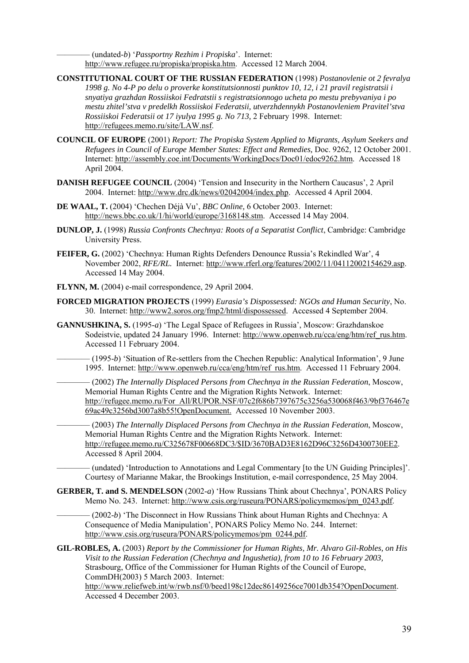———— (undated-*b*) '*Passportny Rezhim i Propiska*'. Internet: <http://www.refugee.ru/propiska/propiska.htm>. Accessed 12 March 2004.

- **CONSTITUTIONAL COURT OF THE RUSSIAN FEDERATION** (1998) *Postanovlenie ot 2 fevralya 1998 g. No 4-P po delu o proverke konstitutsionnosti punktov 10, 12, i 21 pravil registratsii i snyatiya grazhdan Rossiiskoi Fedratstii s registratsionnogo ucheta po mestu prebyvaniya i po mestu zhitel'stva v predelkh Rossiiskoi Federatsii, utverzhdennykh Postanovleniem Pravitel'stva Rossiiskoi Federatsii ot 17 iyulya 1995 g. No 713,* 2 February 1998. Internet: [http://refugees.memo.ru/site/LAW.nsf.](http://refugees.memo.ru/site/LAW.nsf)
- **COUNCIL OF EUROPE** (2001) *Report: The Propiska System Applied to Migrants, Asylum Seekers and Refugees in Council of Europe Member States: Effect and Remedies,* Doc. 9262, 12 October 2001. Internet: [http://assembly.coe.int/Documents/WorkingDocs/Doc01/edoc9262.htm.](http://assembly.coe.int/Documents/WorkingDocs/Doc01/edoc9262.htm) Accessed 18 April 2004.
- **DANISH REFUGEE COUNCIL** (2004) 'Tension and Insecurity in the Northern Caucasus', 2 April 2004. Internet:<http://www.drc.dk/news/02042004/index.php>. Accessed 4 April 2004.
- **DE WAAL, T.** (2004) 'Chechen Déjà Vu', *BBC Online,* 6 October 2003. Internet: http://news.bbc.co.uk/1/hi/world/europe/3168148.stm. Accessed 14 May 2004.
- **DUNLOP, J.** (1998) *Russia Confronts Chechnya: Roots of a Separatist Conflict*, Cambridge: Cambridge University Press.
- **FEIFER, G.** (2002) 'Chechnya: Human Rights Defenders Denounce Russia's Rekindled War', 4 November 2002, *RFE/RL.* Internet: http://www.rferl.org/features/2002/11/04112002154629.asp. Accessed 14 May 2004.
- **FLYNN, M.** (2004) e-mail correspondence, 29 April 2004.
- **FORCED MIGRATION PROJECTS** (1999) *Eurasia's Dispossessed: NGOs and Human Security*, No. 30. Internet: [http://www2.soros.org/fmp2/html/dispossessed.](http://www2.soros.org/fmp2/html/dispossessed) Accessed 4 September 2004.
- **GANNUSHKINA, S.** (1995-*a*) 'The Legal Space of Refugees in Russia', Moscow: Grazhdanskoe Sodeistvie, updated 24 January 1996. Internet: [http://www.openweb.ru/cca/eng/htm/ref\\_rus.htm.](http://www.openweb.ru/cca/eng/htm/ref_rus.htm) Accessed 11 February 2004.

 $-(1995-b)$  'Situation of Re-settlers from the Chechen Republic: Analytical Information', 9 June 1995. Internet: [http://www.openweb.ru/cca/eng/htm/ref\\_rus.htm.](http://www.openweb.ru/cca/eng/htm/ref_rus.htm) Accessed 11 February 2004.

———— (2002) *The Internally Displaced Persons from Chechnya in the Russian Federation*, Moscow, Memorial Human Rights Centre and the Migration Rights Network. Internet: [http://refugee.memo.ru/For\\_All/RUPOR.NSF/07c2f686b7397675c3256a530068f463/9bf376467e](http://refugee.memo.ru/For_All/RUPOR.NSF/07c2f686b7397675c3256a530068f463/9bf376467e69ac49c3256bd3007a8b55!OpenDocument) [69ac49c3256bd3007a8b55!OpenDocument](http://refugee.memo.ru/For_All/RUPOR.NSF/07c2f686b7397675c3256a530068f463/9bf376467e69ac49c3256bd3007a8b55!OpenDocument). Accessed 10 November 2003.

———— (2003) *The Internally Displaced Persons from Chechnya in the Russian Federation*, Moscow, Memorial Human Rights Centre and the Migration Rights Network. Internet: [http://refugee.memo.ru/C325678F00668DC3/\\$ID/3670BAD3E8162D96C3256D4300730EE2.](http://refugee.memo.ru/C325678F00668DC3/$ID/3670BAD3E8162D96C3256D4300730EE2) Accessed 8 April 2004.

———— (undated) 'Introduction to Annotations and Legal Commentary [to the UN Guiding Principles]'. Courtesy of Marianne Makar, the Brookings Institution, e-mail correspondence, 25 May 2004.

**GERBER, T. and S. MENDELSON** (2002-*a*) 'How Russians Think about Chechnya', PONARS Policy Memo No. 243. Internet: [http://www.csis.org/ruseura/PONARS/policymemos/pm\\_0243.pdf.](http://www.csis.org/ruseura/PONARS/policymemos/pm_0243.pdf)

———— (2002-*b*) 'The Disconnect in How Russians Think about Human Rights and Chechnya: A Consequence of Media Manipulation', PONARS Policy Memo No. 244. Internet: [http://www.csis.org/ruseura/PONARS/policymemos/pm\\_0244.pdf.](http://www.csis.org/ruseura/PONARS/policymemos/pm_0243.pdf)

**GIL-ROBLES, A.** (2003) *Report by the Commissioner for Human Rights, Mr. Alvaro Gil-Robles, on His Visit to the Russian Federation (Chechnya and Ingushetia), from 10 to 16 February 2003,*  Strasbourg, Office of the Commissioner for Human Rights of the Council of Europe, CommDH(2003) 5 March 2003. Internet: <http://www.reliefweb.int/w/rwb.nsf/0/beed198c12dec86149256ce7001db354?OpenDocument>.

Accessed 4 December 2003.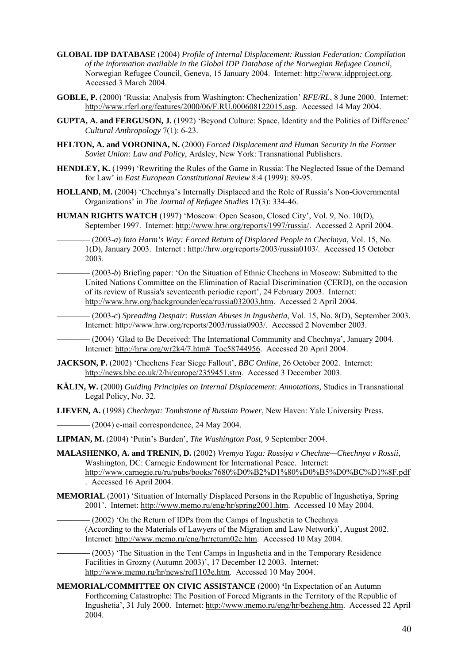- **GLOBAL IDP DATABASE** (2004) *Profile of Internal Displacement: Russian Federation: Compilation of the information available in the Global IDP Database of the Norwegian Refugee Council,* Norwegian Refugee Council, Geneva, 15 January 2004. Internet: [http://www.idpproject.org.](http://www.idpproject.org/) Accessed 3 March 2004.
- **GOBLE, P.** (2000) 'Russia: Analysis from Washington: Chechenization' *RFE/RL*, 8 June 2000. Internet: [http://www.rferl.org/features/2000/06/F.RU.000608122015.asp.](http://www.rferl.org/features/2000/06/F.RU.000608122015.asp) Accessed 14 May 2004.
- **GUPTA, A. and FERGUSON, J.** (1992) 'Beyond Culture: Space, Identity and the Politics of Difference' *Cultural Anthropology* 7(1): 6-23.
- **HELTON, A. and VORONINA, N.** (2000) *Forced Displacement and Human Security in the Former Soviet Union: Law and Policy*, Ardsley, New York: Transnational Publishers.
- **HENDLEY, K.** (1999) 'Rewriting the Rules of the Game in Russia: The Neglected Issue of the Demand for Law' in *East European Constitutional Review* 8:4 (1999): 89-95.
- **HOLLAND, M.** (2004) 'Chechnya's Internally Displaced and the Role of Russia's Non-Governmental Organizations' in *The Journal of Refugee Studies* 17(3): 334-46.
- **HUMAN RIGHTS WATCH** (1997) 'Moscow: Open Season, Closed City', Vol. 9, No. 10(D), September 1997. Internet: <http://www.hrw.org/reports/1997/russia/>. Accessed 2 April 2004.

———— (2003-*a*) *Into Harm's Way: Forced Return of Displaced People to Chechnya*, Vol. 15, No. 1(D), January 2003. Internet :<http://hrw.org/reports/2003/russia0103/>. Accessed 15 October 2003.

———— (2003-*b*) Briefing paper: 'On the Situation of Ethnic Chechens in Moscow: Submitted to the United Nations Committee on the Elimination of Racial Discrimination (CERD), on the occasion of its review of Russia's seventeenth periodic report', 24 February 2003. Internet: [http://www.hrw.org/backgrounder/eca/russia032003.htm.](http://www.hrw.org/backgrounder/eca/russia032003.htm) Accessed 2 April 2004.

———— (2003-*c*) *Spreading Despair: Russian Abuses in Ingushetia*, Vol. 15, No. 8(D), September 2003. Internet: [http://www.hrw.org/reports/2003/russia0903/.](http://www.hrw.org/reports/2003/russia0903/) Accessed 2 November 2003.

———— (2004) 'Glad to Be Deceived: The International Community and Chechnya', January 2004. Internet: http://hrw.org/wr2k4/7.htm#\_Toc58744956. Accessed 20 April 2004.

- **JACKSON, P.** (2002) 'Chechens Fear Siege Fallout', *BBC Online*, 26 October 2002. Internet: <http://news.bbc.co.uk/2/hi/europe/2359451.stm>. Accessed 3 December 2003.
- **KÄLIN, W.** (2000) *Guiding Principles on Internal Displacement: Annotations,* Studies in Transnational Legal Policy, No. 32.

**LIEVEN, A.** (1998) *Chechnya: Tombstone of Russian Power*, New Haven: Yale University Press.

 $-$  (2004) e-mail correspondence, 24 May 2004.

**LIPMAN, M.** (2004) 'Putin's Burden', *The Washington Post,* 9 September 2004.

- **MALASHENKO, A. and TRENIN, D.** (2002) *Vremya Yuga: Rossiya v Chechne—Chechnya v Rossii*, Washington, DC: Carnegie Endowment for International Peace. Internet: <http://www.carnegie.ru/ru/pubs/books/7680%D0%B2%D1%80%D0%B5%D0%BC%D1%8F.pdf> . Accessed 16 April 2004.
- **MEMORIAL** (2001) 'Situation of Internally Displaced Persons in the Republic of Ingushetiya, Spring 2001'. Internet: [http://www.memo.ru/eng/hr/spring2001.htm.](http://www.memo.ru/eng/hr/spring2001.htm) Accessed 10 May 2004.

- (2002) 'On the Return of IDPs from the Camps of Ingushetia to Chechnya (According to the Materials of Lawyers of the Migration and Law Network)', August 2002. Internet:<http://www.memo.ru/eng/hr/return02e.htm>. Accessed 10 May 2004.

**————** (2003) 'The Situation in the Tent Camps in Ingushetia and in the Temporary Residence Facilities in Grozny (Autumn 2003)', 17 December 12 2003. Internet: <http://www.memo.ru/hr/news/ref1103e.htm>. Accessed 10 May 2004.

**MEMORIAL/COMMITTEE ON CIVIC ASSISTANCE** (2000) **'**In Expectation of an Autumn Forthcoming Catastrophe: The Position of Forced Migrants in the Territory of the Republic of Ingushetia', 31 July 2000. Internet: <http://www.memo.ru/eng/hr/bezheng.htm>. Accessed 22 April 2004.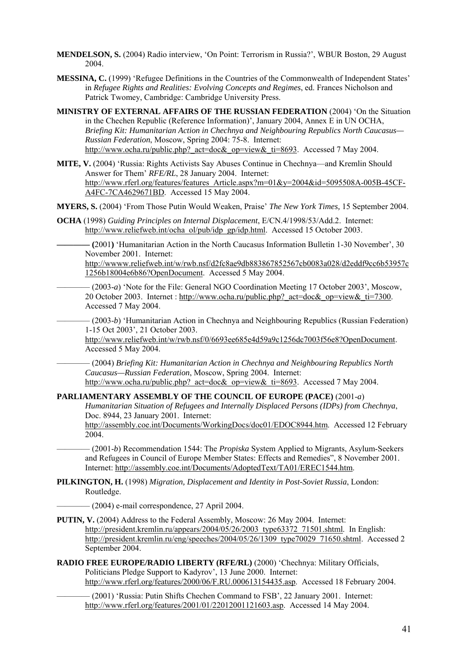- **MENDELSON, S.** (2004) Radio interview, 'On Point: Terrorism in Russia?', WBUR Boston, 29 August 2004.
- **MESSINA, C.** (1999) 'Refugee Definitions in the Countries of the Commonwealth of Independent States' in *Refugee Rights and Realities: Evolving Concepts and Regimes*, ed. Frances Nicholson and Patrick Twomey, Cambridge: Cambridge University Press.
- **MINISTRY OF EXTERNAL AFFAIRS OF THE RUSSIAN FEDERATION** (2004) 'On the Situation in the Chechen Republic (Reference Information)', January 2004, Annex E in UN OCHA, *Briefing Kit: Humanitarian Action in Chechnya and Neigh[bo](http://www.ocha.ru/public.php?_act=file&_op=download&_ti=636)uring Republics North Caucasus— Russian Federation*, Moscow, Spring 2004: 75-8. Internet: [http://www.ocha.ru/public.php?\\_act=doc&\\_op=view&\\_ti=8693.](http://www.ocha.ru/public.php?_act=file&_op=download&_ti=636) Accessed 7 May 2004.
- **MITE, V.** (2004) 'Russia: Rights Activists Say Abuses Continue in Chechnya—and Kremlin Should Answer for Them' *RFE/RL*, 28 January 2004. Internet: [http://www.rferl.org/features/features\\_Article.aspx?m=01&y=2004&id=5095508A-005B-45CF-](http://www.rferl.org/features/features_Article.aspx?m=01&y=2004&id=5095508A-005B-45CF-A4FC-7CA4629671BD)[A4FC-7CA4629671BD](http://www.rferl.org/features/features_Article.aspx?m=01&y=2004&id=5095508A-005B-45CF-A4FC-7CA4629671BD). Accessed 15 May 2004.

**MYERS, S.** (2004) 'From Those Putin Would Weaken, Praise' *The New York Times,* 15 September 2004.

**OCHA** (1998) *Guiding Principles on Internal Displacement*, E/CN.4/1998/53/Add.2. Internet: [http://www.reliefweb.int/ocha\\_ol/pub/idp\\_gp/idp.html.](http://www.reliefweb.int/ocha_ol/pub/idp_gp/idp.html) Accessed 15 October 2003.

**———— (**2001**)** 'Humanitarian Action in the North Caucasus Information Bulletin 1-30 November', 30 November 2001. Internet:

[http://wwww.reliefweb.int/w/rwb.nsf/d2fc8ae9db883867852567cb0083a028/d2eddf9cc6b53957c](http://wwww.reliefweb.int/w/rwb.nsf/d2fc8ae9db883867852567cb0083a028/d2eddf9cc6b53957c1256b18004e6b86?OpenDocument) [1256b18004e6b86?OpenDocument](http://wwww.reliefweb.int/w/rwb.nsf/d2fc8ae9db883867852567cb0083a028/d2eddf9cc6b53957c1256b18004e6b86?OpenDocument). Accessed 5 May 2004.

———— (2003-*a*) 'Note for the File: General NGO Coordination Meeting 17 October 2003', Moscow, 20 October 2003. Internet : [http://www.ocha.ru/public.php?\\_act=doc&\\_op=view&\\_ti=7300](http://www.ocha.ru/public.php?_act=doc&_op=view&_ti=7300). Accessed 7 May 2004.

———— (2003-*b*) 'Humanitarian Action in Chechnya and Neighbouring Republics (Russian Federation) 1-15 Oct 2003', 21 October 2003.

<http://www.reliefweb.int/w/rwb.nsf/0/6693ee685e4d59a9c1256dc7003f56e8?OpenDocument>. Accessed 5 May 2004.

———— (2004) *Briefing Kit: Humanitarian Action in Chechnya and Nei[g](http://www.ocha.ru/public.php?_act=file&_op=download&_ti=636)hbouring Republics North Caucasus—Russian Federation*, Moscow, Spring 2004. Internet: [http://www.ocha.ru/public.php?\\_act=doc&\\_op=view&\\_ti=8693.](http://www.ocha.ru/public.php?_act=file&_op=download&_ti=636) Accessed 7 May 2004.

## **PARLIAMENTARY ASSEMBLY OF THE COUNCIL OF EUROPE (PACE)** (2001-*a*)

*Humanitarian Situation of Refugees and Internally Displaced Persons (IDPs) from Chechnya*, Doc. 8944, 23 January 2001. Internet:

[http://assembly.coe.int/Documents/WorkingDocs/doc01/EDOC8944.htm.](http://assembly.coe.int/Documents/WorkingDocs/doc01/EDOC8944.htm) Accessed 12 February 2004.

———— (2001-*b*) Recommendation 1544: The *Propiska* System Applied to Migrants, Asylum-Seekers and Refugees in Council of Europe Member States: Effects and Remedies", 8 November 2001. Internet: [http://assembly.coe.int/Documents/AdoptedText/TA01/EREC1544.htm.](http://assembly.coe.int/Documents/AdoptedText/TA01/EREC1544.htm)

**PILKINGTON, H.** (1998) *Migration, Displacement and Identity in Post-Soviet Russia*, London: Routledge.

 $-(2004)$  e-mail correspondence, 27 April 2004.

- **PUTIN, V.** (2004) Address to the Federal Assembly, Moscow: 26 May 2004. Internet: [http://president.kremlin.ru/appears/2004/05/26/2003\\_type63372\\_71501.shtml.](http://president.kremlin.ru/appears/2004/05/26/2003_type63372_71501.shtml) In English: [http://president.kremlin.ru/eng/speeches/2004/05/26/1309\\_type70029\\_71650.shtml](http://president.kremlin.ru/eng/speeches/2004/05/26/1309_type70029_71650.shtml). Accessed 2 September 2004.
- **RADIO FREE EUROPE/RADIO LIBERTY (RFE/RL)** (2000) 'Chechnya: Military Officials, Politicians Pledge Support to Kadyrov', 13 June 2000. Internet: [http://www.rferl.org/features/2000/06/F.RU.000613154435.asp.](http://www.rferl.org/features/2000/06/F.RU.000613154435.asp) Accessed 18 February 2004.

———— (2001) 'Russia: Putin Shifts Chechen Command to FSB', 22 January 2001. Internet: http://www.rferl.org/features/2001/01/22012001121603.asp. Accessed 14 May 2004.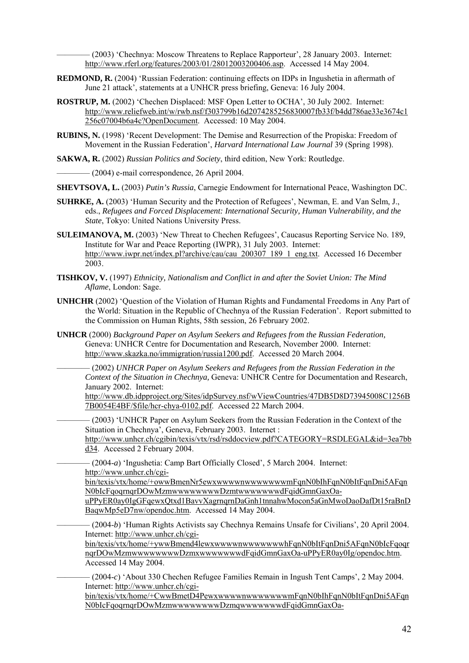———— (2003) 'Chechnya: Moscow Threatens to Replace Rapporteur', 28 January 2003. Internet: [http://www.rferl.org/features/2003/01/28012003200406.asp.](http://www.rferl.org/features/2003/01/28012003200406.asp) Accessed 14 May 2004.

- **REDMOND, R.** (2004) 'Russian Federation: continuing effects on IDPs in Ingushetia in aftermath of June 21 attack', statements at a UNHCR press briefing, Geneva: 16 July 2004.
- **ROSTRUP, M.** (2002) 'Chechen Displaced: MSF Open Letter to OCHA', 30 July 2002. Internet: [http://www.reliefweb.int/w/rwb.nsf/f303799b16d2074285256830007fb33f/b4dd786ae33e3674c1](http://www.reliefweb.int/w/rwb.nsf/f303799b16d2074285256830007fb33f/b4dd786ae33e3674c1256c07004b6a4c?OpenDocument) [256c07004b6a4c?OpenDocument.](http://www.reliefweb.int/w/rwb.nsf/f303799b16d2074285256830007fb33f/b4dd786ae33e3674c1256c07004b6a4c?OpenDocument) Accessed: 10 May 2004.
- **RUBINS, N.** (1998) 'Recent Development: The Demise and Resurrection of the Propiska: Freedom of Movement in the Russian Federation', *Harvard International Law Journal* 39 (Spring 1998).

**SAKWA, R.** (2002) *Russian Politics and Society*, third edition, New York: Routledge.

 $-$  (2004) e-mail correspondence, 26 April 2004.

**SHEVTSOVA, L.** (2003) *Putin's Russia*, Carnegie Endowment for International Peace, Washington DC.

- **SUHRKE, A.** (2003) 'Human Security and the Protection of Refugees', Newman, E. and Van Selm, J., eds., *Refugees and Forced Displacement: International Security, Human Vulnerability, and the State*, Tokyo: United Nations University Press.
- **SULEIMANOVA, M.** (2003) 'New Threat to Chechen Refugees', Caucasus Reporting Service No. 189, Institute for War and Peace Reporting (IWPR), 31 July 2003. Internet: [http://www.iwpr.net/index.pl?archive/cau/cau\\_200307\\_189\\_1\\_eng.txt](http://www.iwpr.net/index.pl?archive/cau/cau_200307_189_1_eng.txt). Accessed 16 December 2003.
- **TISHKOV, V.** (1997) *Ethnicity, Nationalism and Conflict in and after the Soviet Union: The Mind Aflame*, London: Sage.
- **UNHCHR** (2002) 'Question of the Violation of Human Rights and Fundamental Freedoms in Any Part of the World: Situation in the Republic of Chechnya of the Russian Federation'. Report submitted to the Commission on Human Rights, 58th session, 26 February 2002.
- **UNHCR** (2000) *Background Paper on Asylum Seekers and Refugees from the Russian Federation,*  Geneva: UNHCR Centre for Documentation and Research, November 2000. Internet: <http://www.skazka.no/immigration/russia1200.pdf>. Accessed 20 March 2004.

———— (2002) *UNHCR Paper on Asylum Seekers and Refugees from the Russian Federation in the Context of the Situation in Chechnya,* Geneva: UNHCR Centre for Documentation and Research, January 2002. Internet:

[http://www.db.idpproject.org/Sites/idpSurvey.nsf/wViewCountries/47DB5D8D73945008C1256B](http://www.db.idpproject.org/Sites/idpSurvey.nsf/wViewCountries/47DB5D8D73945008C1256B7B0054E4BF/$file/hcr-chya-0102.pdf) [7B0054E4BF/\\$file/hcr-chya-0102.pdf.](http://www.db.idpproject.org/Sites/idpSurvey.nsf/wViewCountries/47DB5D8D73945008C1256B7B0054E4BF/$file/hcr-chya-0102.pdf) Accessed 22 March 2004.

———— (2003) 'UNHCR Paper on Asylum Seekers from the Russian Federation in the Context of the Situation in Chechnya', Geneva, February 2003. Internet : [http://www.unhcr.ch/cgibin/texis/vtx/rsd/rsddocview.pdf?CATEGORY=RSDLEGAL&id=3ea7bb](http://www.unhcr.ch/cgibin/texis/vtx/rsd/rsddocview.pdf?CATEGORY=RSDLEGAL&id=3ea7bbd34) [d34.](http://www.unhcr.ch/cgibin/texis/vtx/rsd/rsddocview.pdf?CATEGORY=RSDLEGAL&id=3ea7bbd34) Accessed 2 February 2004.

———— (2004-*a*) 'Ingushetia: Camp Bart Officially Closed', 5 March 2004. Internet: [http://www.unhcr.ch/cgi-](http://www.unhcr.ch/cgi-bin/texis/vtx/home/+owwBmenNr5ewxwwwwnwwwwwwwmFqnN0bIhFqnN0bItFqnDni5AFqnN0bIcFqoqrnqrDOwMzmwwwwwwwwDzmtwwwwwwwdFqidGmnGaxOa-uPPyER0ay0IgGFqewxQtxd1BavvXagrnqrnDaGnh1tnnahwMocon5aGnMwoDaoDafDt15raBnDBaqwMp5eD7nw/opendoc.htm)

[bin/texis/vtx/home/+owwBmenNr5ewxwwwwnwwwwwwwmFqnN0bIhFqnN0bItFqnDni5AFqn](http://www.unhcr.ch/cgi-bin/texis/vtx/home/+owwBmenNr5ewxwwwwnwwwwwwwmFqnN0bIhFqnN0bItFqnDni5AFqnN0bIcFqoqrnqrDOwMzmwwwwwwwwDzmtwwwwwwwdFqidGmnGaxOa-uPPyER0ay0IgGFqewxQtxd1BavvXagrnqrnDaGnh1tnnahwMocon5aGnMwoDaoDafDt15raBnDBaqwMp5eD7nw/opendoc.htm) [N0bIcFqoqrnqrDOwMzmwwwwwwwwDzmtwwwwwwwdFqidGmnGaxOa-](http://www.unhcr.ch/cgi-bin/texis/vtx/home/+owwBmenNr5ewxwwwwnwwwwwwwmFqnN0bIhFqnN0bItFqnDni5AFqnN0bIcFqoqrnqrDOwMzmwwwwwwwwDzmtwwwwwwwdFqidGmnGaxOa-uPPyER0ay0IgGFqewxQtxd1BavvXagrnqrnDaGnh1tnnahwMocon5aGnMwoDaoDafDt15raBnDBaqwMp5eD7nw/opendoc.htm)

[uPPyER0ay0IgGFqewxQtxd1BavvXagrnqrnDaGnh1tnnahwMocon5aGnMwoDaoDafDt15raBnD](http://www.unhcr.ch/cgi-bin/texis/vtx/home/+owwBmenNr5ewxwwwwnwwwwwwwmFqnN0bIhFqnN0bItFqnDni5AFqnN0bIcFqoqrnqrDOwMzmwwwwwwwwDzmtwwwwwwwdFqidGmnGaxOa-uPPyER0ay0IgGFqewxQtxd1BavvXagrnqrnDaGnh1tnnahwMocon5aGnMwoDaoDafDt15raBnDBaqwMp5eD7nw/opendoc.htm) [BaqwMp5eD7nw/opendoc.htm](http://www.unhcr.ch/cgi-bin/texis/vtx/home/+owwBmenNr5ewxwwwwnwwwwwwwmFqnN0bIhFqnN0bItFqnDni5AFqnN0bIcFqoqrnqrDOwMzmwwwwwwwwDzmtwwwwwwwdFqidGmnGaxOa-uPPyER0ay0IgGFqewxQtxd1BavvXagrnqrnDaGnh1tnnahwMocon5aGnMwoDaoDafDt15raBnDBaqwMp5eD7nw/opendoc.htm). Accessed 14 May 2004.

———— (2004-*b*) 'Human Rights Activists say Chechnya Remains Unsafe for Civilians', 20 April 2004. Internet: [http://www.unhcr.ch/cgi-](http://www.unhcr.ch/cgi-bin/texis/vtx/home/+ywwBmend4lewxwwwwnwwwwwwwhFqnN0bItFqnDni5AFqnN0bIcFqoqrnqrDOwMzmwwwwwwwwDzmxwwwwwwwdFqidGmnGaxOa-uPPyER0ay0Ig/opendoc.htm)

[bin/texis/vtx/home/+ywwBmend4lewxwwwwnwwwwwwwhFqnN0bItFqnDni5AFqnN0bIcFqoqr](http://www.unhcr.ch/cgi-bin/texis/vtx/home/+ywwBmend4lewxwwwwnwwwwwwwhFqnN0bItFqnDni5AFqnN0bIcFqoqrnqrDOwMzmwwwwwwwwDzmxwwwwwwwdFqidGmnGaxOa-uPPyER0ay0Ig/opendoc.htm) [nqrDOwMzmwwwwwwwwDzmxwwwwwwwdFqidGmnGaxOa-uPPyER0ay0Ig/opendoc.htm](http://www.unhcr.ch/cgi-bin/texis/vtx/home/+ywwBmend4lewxwwwwnwwwwwwwhFqnN0bItFqnDni5AFqnN0bIcFqoqrnqrDOwMzmwwwwwwwwDzmxwwwwwwwdFqidGmnGaxOa-uPPyER0ay0Ig/opendoc.htm). Accessed 14 May 2004.

———— (2004-*c*) 'About 330 Chechen Refugee Families Remain in Ingush Tent Camps', 2 May 2004. Internet: [http://www.unhcr.ch/cgi-](http://www.unhcr.ch/cgi-bin/texis/vtx/home/+CwwBmetD4PewxwwwwnwwwwwwwmFqnN0bIhFqnN0bItFqnDni5AFqnN0bIcFqoqrnqrDOwMzmwwwwwwwwDzmqwwwwwwwdFqidGmnGaxOa-uPPyER0ay0IgGFqNfDt15rnBoweuG4wwMpaFwGBadhhoqowccOaqcd5nm/opendoc.htm)

[bin/texis/vtx/home/+CwwBmetD4PewxwwwwnwwwwwwwmFqnN0bIhFqnN0bItFqnDni5AFqn](http://www.unhcr.ch/cgi-bin/texis/vtx/home/+CwwBmetD4PewxwwwwnwwwwwwwmFqnN0bIhFqnN0bItFqnDni5AFqnN0bIcFqoqrnqrDOwMzmwwwwwwwwDzmqwwwwwwwdFqidGmnGaxOa-uPPyER0ay0IgGFqNfDt15rnBoweuG4wwMpaFwGBadhhoqowccOaqcd5nm/opendoc.htm) [N0bIcFqoqrnqrDOwMzmwwwwwwwwDzmqwwwwwwwdFqidGmnGaxOa-](http://www.unhcr.ch/cgi-bin/texis/vtx/home/+CwwBmetD4PewxwwwwnwwwwwwwmFqnN0bIhFqnN0bItFqnDni5AFqnN0bIcFqoqrnqrDOwMzmwwwwwwwwDzmqwwwwwwwdFqidGmnGaxOa-uPPyER0ay0IgGFqNfDt15rnBoweuG4wwMpaFwGBadhhoqowccOaqcd5nm/opendoc.htm)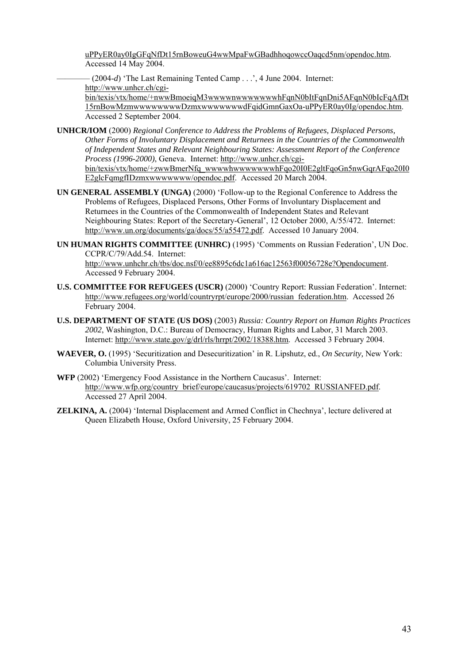[uPPyER0ay0IgGFqNfDt15rnBoweuG4wwMpaFwGBadhhoqowccOaqcd5nm/opendoc.htm.](http://www.unhcr.ch/cgi-bin/texis/vtx/home/+CwwBmetD4PewxwwwwnwwwwwwwmFqnN0bIhFqnN0bItFqnDni5AFqnN0bIcFqoqrnqrDOwMzmwwwwwwwwDzmqwwwwwwwdFqidGmnGaxOa-uPPyER0ay0IgGFqNfDt15rnBoweuG4wwMpaFwGBadhhoqowccOaqcd5nm/opendoc.htm) Accessed 14 May 2004.

———— (2004-*d*) 'The Last Remaining Tented Camp . . .', 4 June 2004. Internet: [http://www.unhcr.ch/cgi-](http://www.unhcr.ch/cgi-bin/texis/vtx/home/+nwwBmoeiqM3wwwwnwwwwwwwhFqnN0bItFqnDni5AFqnN0bIcFqAfDt15rnBowMzmwwwwwwwwDzmxwwwwwwwdFqidGmnGaxOa-uPPyER0ay0Ig/opendoc.htm)

[bin/texis/vtx/home/+nwwBmoeiqM3wwwwnwwwwwwwhFqnN0bItFqnDni5AFqnN0bIcFqAfDt](http://www.unhcr.ch/cgi-bin/texis/vtx/home/+nwwBmoeiqM3wwwwnwwwwwwwhFqnN0bItFqnDni5AFqnN0bIcFqAfDt15rnBowMzmwwwwwwwwDzmxwwwwwwwdFqidGmnGaxOa-uPPyER0ay0Ig/opendoc.htm) [15rnBowMzmwwwwwwwwDzmxwwwwwwwdFqidGmnGaxOa-uPPyER0ay0Ig/opendoc.htm.](http://www.unhcr.ch/cgi-bin/texis/vtx/home/+nwwBmoeiqM3wwwwnwwwwwwwhFqnN0bItFqnDni5AFqnN0bIcFqAfDt15rnBowMzmwwwwwwwwDzmxwwwwwwwdFqidGmnGaxOa-uPPyER0ay0Ig/opendoc.htm) Accessed 2 September 2004.

**UNHCR/IOM** (2000) *Regional Conference to Address the Problems of Refugees, Displaced Persons, Other Forms of Involuntary Displacement and Returnees in the Countries of the Commonwealth of Independent States and Relevant Neighbouring States: Assessment Report of the Conference Process (1996-2000)*, Geneva. Internet: [http://www.unhcr.ch/cgi](http://www.unhcr.ch/cgi-bin/texis/vtx/home/+zwwBmerNfq_wwwwhwwwwwwwhFqo20I0E2gltFqoGn5nwGqrAFqo20I0E2glcFqmgfIDzmxwwwwwww/opendoc.pdf)[bin/texis/vtx/home/+zwwBmerNfq\\_wwwwhwwwwwwwhFqo20I0E2gltFqoGn5nwGqrAFqo20I0](http://www.unhcr.ch/cgi-bin/texis/vtx/home/+zwwBmerNfq_wwwwhwwwwwwwhFqo20I0E2gltFqoGn5nwGqrAFqo20I0E2glcFqmgfIDzmxwwwwwww/opendoc.pdf)

[E2glcFqmgfIDzmxwwwwwww/opendoc.pdf.](http://www.unhcr.ch/cgi-bin/texis/vtx/home/+zwwBmerNfq_wwwwhwwwwwwwhFqo20I0E2gltFqoGn5nwGqrAFqo20I0E2glcFqmgfIDzmxwwwwwww/opendoc.pdf) Accessed 20 March 2004.

- **UN GENERAL ASSEMBLY (UNGA)** (2000) 'Follow-up to the Regional Conference to Address the Problems of Refugees, Displaced Persons, Other Forms of Involuntary Displacement and Returnees in the Countries of the Commonwealth of Independent States and Relevant Neighbouring States: Report of the Secretary-General', 12 October 2000, A/55/472. Internet: [http://www.un.org/documents/ga/docs/55/a55472.pdf.](http://www.un.org/documents/ga/docs/55/a55472.pdf) Accessed 10 January 2004.
- **UN HUMAN RIGHTS COMMITTEE (UNHRC)** (1995) 'Comments on Russian Federation', UN Doc. CCPR/C/79/Add.54. Internet:

<http://www.unhchr.ch/tbs/doc.nsf/0/ee8895c6dc1a616ac12563f00056728e?Opendocument>. Accessed 9 February 2004.

- **U.S. COMMITTEE FOR REFUGEES (USCR)** (2000) 'Country Report: Russian Federation'. Internet: [http://www.refugees.org/world/countryrpt/europe/2000/russian\\_federation.htm.](http://www.refugees.org/world/countryrpt/europe/2000/russian_federation.htm) Accessed 26 February 2004.
- **U.S. DEPARTMENT OF STATE (US DOS)** (2003) *Russia: Country Report on Human Rights Practices 2002*, Washington, D.C.: Bureau of Democracy, Human Rights and Labor, 31 March 2003. Internet: [http://www.state.gov/g/drl/rls/hrrpt/2002/18388.htm.](http://www.state.gov/g/drl/rls/hrrpt/2002/18388.htm) Accessed 3 February 2004.
- **WAEVER, O.** (1995) 'Securitization and Desecuritization' in R. Lipshutz, ed., *On Security,* New York: Columbia University Press.
- **WFP** (2002) 'Emergency Food Assistance in the Northern Caucasus'. Internet: [http://www.wfp.org/country\\_brief/europe/caucasus/projects/619702\\_RUSSIANFED.pdf](http://www.wfp.org/country_brief/europe/caucasus/projects/619702_RUSSIANFED.pdf). Accessed 27 April 2004.
- **ZELKINA, A.** (2004) 'Internal Displacement and Armed Conflict in Chechnya', lecture delivered at Queen Elizabeth House, Oxford University, 25 February 2004.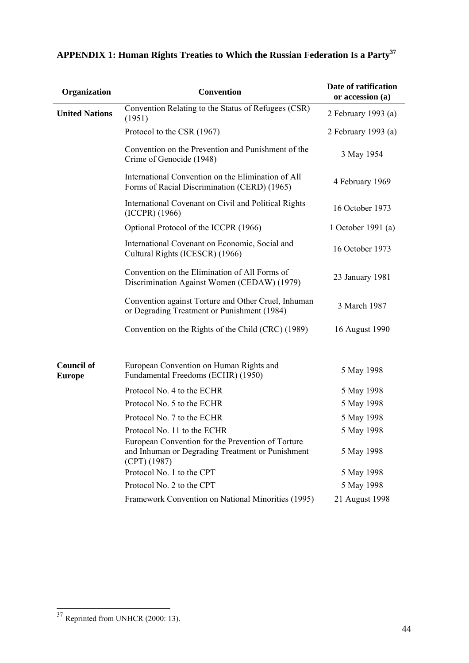| Organization                       | <b>Convention</b>                                                                                                       | Date of ratification<br>or accession (a) |
|------------------------------------|-------------------------------------------------------------------------------------------------------------------------|------------------------------------------|
| <b>United Nations</b>              | Convention Relating to the Status of Refugees (CSR)<br>(1951)                                                           | 2 February 1993 (a)                      |
|                                    | Protocol to the CSR (1967)                                                                                              | 2 February 1993 (a)                      |
|                                    | Convention on the Prevention and Punishment of the<br>Crime of Genocide (1948)                                          | 3 May 1954                               |
|                                    | International Convention on the Elimination of All<br>Forms of Racial Discrimination (CERD) (1965)                      | 4 February 1969                          |
|                                    | International Covenant on Civil and Political Rights<br>(ICCPR) (1966)                                                  | 16 October 1973                          |
|                                    | Optional Protocol of the ICCPR (1966)                                                                                   | 1 October 1991 (a)                       |
|                                    | International Covenant on Economic, Social and<br>Cultural Rights (ICESCR) (1966)                                       | 16 October 1973                          |
|                                    | Convention on the Elimination of All Forms of<br>Discrimination Against Women (CEDAW) (1979)                            | 23 January 1981                          |
|                                    | Convention against Torture and Other Cruel, Inhuman<br>or Degrading Treatment or Punishment (1984)                      | 3 March 1987                             |
|                                    | Convention on the Rights of the Child (CRC) (1989)                                                                      | 16 August 1990                           |
| <b>Council of</b><br><b>Europe</b> | European Convention on Human Rights and<br>Fundamental Freedoms (ECHR) (1950)                                           | 5 May 1998                               |
|                                    | Protocol No. 4 to the ECHR                                                                                              | 5 May 1998                               |
|                                    | Protocol No. 5 to the ECHR                                                                                              | 5 May 1998                               |
|                                    | Protocol No. 7 to the ECHR                                                                                              | 5 May 1998                               |
|                                    | Protocol No. 11 to the ECHR                                                                                             | 5 May 1998                               |
|                                    | European Convention for the Prevention of Torture<br>and Inhuman or Degrading Treatment or Punishment<br>$(CPT)$ (1987) | 5 May 1998                               |
|                                    | Protocol No. 1 to the CPT                                                                                               | 5 May 1998                               |
|                                    | Protocol No. 2 to the CPT                                                                                               | 5 May 1998                               |
|                                    | Framework Convention on National Minorities (1995)                                                                      | 21 August 1998                           |

# <span id="page-46-0"></span>**APPENDIX 1: Human Rights Treaties to Which the Russian Federation Is a Party[37](#page-46-1)**

 $\overline{a}$ 

<span id="page-46-1"></span> $37$  Reprinted from UNHCR (2000: 13).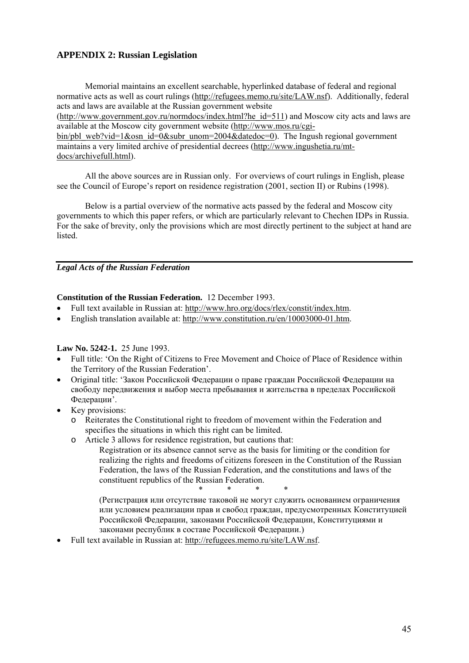## <span id="page-47-0"></span>**APPENDIX 2: Russian Legislation**

Memorial maintains an excellent searchable, hyperlinked database of federal and regional normative acts as well as court rulings [\(http://refugees.memo.ru/site/LAW.nsf](http://refugees.memo.ru/site/LAW.nsf)). Additionally, federal acts and laws are available at the Russian government website

([http://www.government.gov.ru/normdocs/index.html?he\\_id=511](http://www.government.gov.ru/normdocs/index.html?he_id=511)) and Moscow city acts and laws are available at the Moscow city government website ([http://www.mos.ru/cgi-](http://www.mos.ru/cgi-bin/pbl_web?vid=1&osn_id=0&subr_unom=2004&datedoc=0)

[bin/pbl\\_web?vid=1&osn\\_id=0&subr\\_unom=2004&datedoc=0\)](http://www.mos.ru/cgi-bin/pbl_web?vid=1&osn_id=0&subr_unom=2004&datedoc=0). The Ingush regional government maintains a very limited archive of presidential decrees ([http://www.ingushetia.ru/mt](http://www.ingushetia.ru/mt-docs/archives.html)[docs/archivefull.html\)](http://www.ingushetia.ru/mt-docs/archives.html).

All the above sources are in Russian only. For overviews of court rulings in English, please see the Council of Europe's report on residence registration (2001, section II) or Rubins (1998).

Below is a partial overview of the normative acts passed by the federal and Moscow city governments to which this paper refers, or which are particularly relevant to Chechen IDPs in Russia. For the sake of brevity, only the provisions which are most directly pertinent to the subject at hand are listed.

*Legal Acts of the Russian Federation*

## **Constitution of the Russian Federation.** 12 December 1993.

- Full text available in Russian at: [http://www.hro.org/docs/rlex/constit/index.htm.](http://www.hro.org/docs/rlex/constit/index.htm)
- English translation available at: [http://www.constitution.ru/en/10003000-01.htm.](http://www.constitution.ru/en/10003000-01.htm)

## **Law No. 5242-1.** 25 June 1993.

- Full title: 'On the Right of Citizens to Free Movement and Choice of Place of Residence within the Territory of the Russian Federation'.
- Original title: 'Закон Российской Федерации о праве граждан Российской Федерации на cвoбoдy пeредвижeния и выбop местa пребывания и жительства в пределax Российской Федерации'.
- Key provisions:
	- o Reiterates the Constitutional right to freedom of movement within the Federation and specifies the situations in which this right can be limited.
	- o Article 3 allows for residence registration, but cautions that:
		- Registration or its absence cannot serve as the basis for limiting or the condition for realizing the rights and freedoms of citizens foreseen in the Constitution of the Russian Federation, the laws of the Russian Federation, and the constitutions and laws of the constituent republics of the Russian Federation.

 $\begin{array}{ccccccc} \ast & \ast & \ast & \ast & \ast \end{array}$ 

(Pегистрация или отсутствие таковой не могут служить основанием ограничения или условием реализации прав и свобод граждан, предусмотренных Конституцией Российской Федерации, законами Российской Федерации, Конституциями и законами республик в составе Российской Федерации.)

• Full text available in Russian at: <http://refugees.memo.ru/site/LAW.nsf>.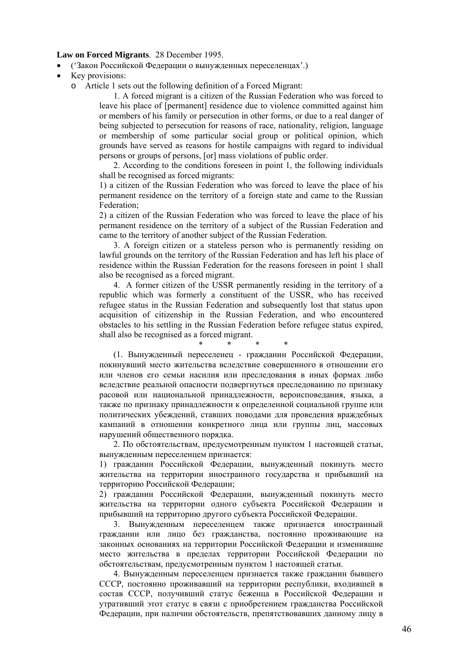#### **Law on Forced Migrants**.28 December 1995.

- ('Зaкoн Российской Федерации o вынужденныx переселенцax'.)
- Key provisions:
	- o Article 1 sets out the following definition of a Forced Migrant:

1. A forced migrant is a citizen of the Russian Federation who was forced to leave his place of [permanent] residence due to violence committed against him or members of his family or persecution in other forms, or due to a real danger of being subjected to persecution for reasons of race, nationality, religion, language or membership of some particular social group or political opinion, which grounds have served as reasons for hostile campaigns with regard to individual persons or groups of persons, [or] mass violations of public order.

2. According to the conditions foreseen in point 1, the following individuals shall be recognised as forced migrants:

1) a citizen of the Russian Federation who was forced to leave the place of his permanent residence on the territory of a foreign state and came to the Russian Federation;

2) a citizen of the Russian Federation who was forced to leave the place of his permanent residence on the territory of a subject of the Russian Federation and came to the territory of another subject of the Russian Federation.

3. A foreign citizen or a stateless person who is permanently residing on lawful grounds on the territory of the Russian Federation and has left his place of residence within the Russian Federation for the reasons foreseen in point 1 shall also be recognised as a forced migrant.

4. A former citizen of the USSR permanently residing in the territory of a republic which was formerly a constituent of the USSR, who has received refugee status in the Russian Federation and subsequently lost that status upon acquisition of citizenship in the Russian Federation, and who encountered obstacles to his settling in the Russian Federation before refugee status expired, shall also be recognised as a forced migrant.

\* \* \* \*

(1. Вынужденный переселенец - гражданин Российской Федерации, покинувший место жительства вследствие совершенного в отношении его или членов его семьи насилия или преследования в иных формах либо вследствие реальной опасности подвергнуться преследованию по признаку расовой или национальной принадлежности, вероисповедания, языка, а также по признаку принадлежности к определенной социальной группе или политических убеждений, ставших поводами для проведения враждебных кампаний в отношении конкретного лица или группы лиц, массовых нарушений общественного порядка.

2. По обстоятельствам, предусмотренным пунктом 1 настоящей статьи, вынужденным переселенцем признается:

1) гражданин Российской Федерации, вынужденный покинуть место жительства на территории иностранного государства и прибывший на территорию Российской Федерации;

2) гражданин Российской Федерации, вынужденный покинуть место жительства на территории одного субъекта Российской Федерации и прибывший на территорию другого субъекта Российской Федерации.

3. Вынужденным переселенцем также признается иностранный гражданин или лицо без гражданства, постоянно проживающие на законных основаниях на территории Российской Федерации и изменившие место жительства в пределах территории Российской Федерации по обстоятельствам, предусмотренным пунктом 1 настоящей статьи.

4. Вынужденным переселенцем признается также гражданин бывшего СССР, постоянно проживавший на территории республики, входившей в состав СССР, получивший статус беженца в Российской Федерации и утративший этот статус в связи с приобретением гражданства Российской Федерации, при наличии обстоятельств, препятствовавших данному лицу в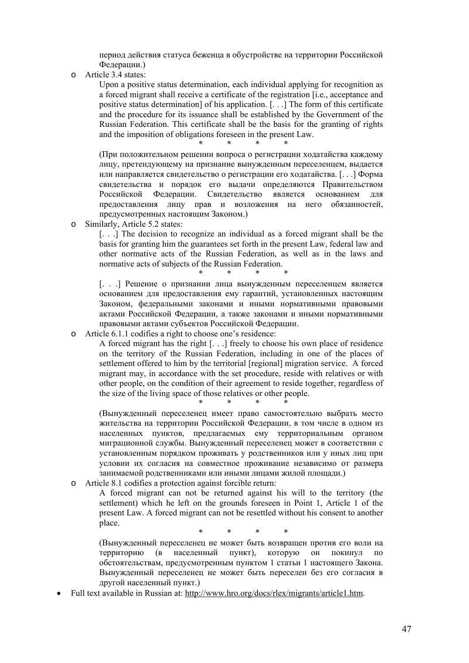период действия статуса беженца в обустройстве на территории Российской Федерации.)

o Article 3.4 states:

Upon a positive status determination, each individual applying for recognition as a forced migrant shall receive a certificate of the registration [i.e., acceptance and positive status determination] of his application. [. . .] The form of this certificate and the procedure for its issuance shall be established by the Government of the Russian Federation. This certificate shall be the basis for the granting of rights and the imposition of obligations foreseen in the present Law.

 $*$  \* \* \* \*

(При положительном решении вопроса о регистрации ходатайства каждому лицу, претендующему на признание вынужденным переселенцем, выдается или направляется свидетельство о регистрации его ходатайства. [. . .] Форма свидетельства и порядок его выдачи определяются Правительством Российской Федерации. Свидетельство является основанием для предоставления лицу прав и возложения на него обязанностей, предусмотренных настоящим Законом.)

o Similarly, Article 5.2 states:

[. . .] The decision to recognize an individual as a forced migrant shall be the basis for granting him the guarantees set forth in the present Law, federal law and other normative acts of the Russian Federation, as well as in the laws and normative acts of subjects of the Russian Federation.

 $*$  \* \* \* \* [. . .] Решение о признании лица вынужденным переселенцем является основанием для предоставления ему гарантий, установленных настоящим Законом, федеральными законами и иными нормативными правовыми актами Российской Федерации, а также законами и иными нормативными правовыми актами субъектов Российской Федерации.

o Article 6.1.1 codifies a right to choose one's residence:

A forced migrant has the right [. . .] freely to choose his own place of residence on the territory of the Russian Federation, including in one of the places of settlement offered to him by the territorial [regional] migration service. A forced migrant may, in accordance with the set procedure, reside with relatives or with other people, on the condition of their agreement to reside together, regardless of the size of the living space of those relatives or other people.

 $\begin{array}{ccccccc} \ast & \ast & \ast & \ast & \ast \end{array}$ 

(Вынужденный переселенец имеет право самостоятельно выбрать место жительства на территории Российской Федерации, в том числе в одном из населенных пунктов, предлагаемых ему территориальным органом миграционной службы. Вынужденный переселенец может в соответствии с установленным порядком проживать у родственников или у иных лиц при условии их согласия на совместное проживание независимо от размера занимаемой родственниками или иными лицами жилой площади.)

o Article 8.1 codifies a protection against forcible return:

A forced migrant can not be returned against his will to the territory (the settlement) which he left on the grounds foreseen in Point 1, Article 1 of the present Law. A forced migrant can not be resettled without his consent to another place.

\* \* \* \*

(Вынужденный переселенец не может быть возвращен против его воли на территорию (в населенный пункт), которую он покинул по обстоятельствам, предусмотренным пунктом 1 статьи 1 настоящего Закона. Вынужденный переселенец не может быть переселен без его согласия в другой населенный пункт.)

• Full text available in Russian at: [http://www.hro.org/docs/rlex/migrants/article1.htm.](http://www.hro.org/docs/rlex/migrants/article1.htm)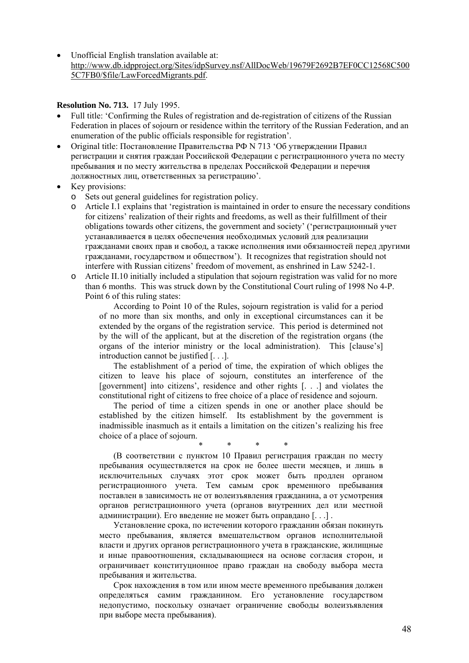• Unofficial English translation available at: [http://www.db.idpproject.org/Sites/idpSurvey.nsf/AllDocWeb/19679F2692B7EF0CC12568C500](http://www.db.idpproject.org/Sites/idpSurvey.nsf/AllDocWeb/19679F2692B7EF0CC12568C5005C7FB0/$file/LawForcedMigrants.pdf) [5C7FB0/\\$file/LawForcedMigrants.pdf.](http://www.db.idpproject.org/Sites/idpSurvey.nsf/AllDocWeb/19679F2692B7EF0CC12568C5005C7FB0/$file/LawForcedMigrants.pdf)

#### **Resolution No. 713.** 17 July 1995.

- Full title: 'Confirming the Rules of registration and de-registration of citizens of the Russian Federation in places of sojourn or residence within the territory of the Russian Federation, and an enumeration of the public officials responsible for registration'.
- Original title: Постановление Правительства РФ N 713 'Об утверждении Правил регистрации и снятия граждан Российской Федерации с регистрационного учета по месту пребывания и по месту жительства в пределах Российской Федерации и перечня должностных лиц, ответственных за регистрацию'.
- Key provisions:
	- o Sets out general guidelines for registration policy.
	- Article I.1 explains that 'registration is maintained in order to ensure the necessary conditions for citizens' realization of their rights and freedoms, as well as their fulfillment of their obligations towards other citizens, the government and society' ('pегистрационный учет устанавливается в целях обеспечения необходимых условий для реализации гражданами своих прав и свобод, а также исполнения ими обязанностей перед другими гражданами, государством и обществом'). It recognizes that registration should not interfere with Russian citizens' freedom of movement, as enshrined in Law 5242-1.
	- o Article II.10 initially included a stipulation that sojourn registration was valid for no more than 6 months. This was struck down by the Constitutional Court ruling of 1998 No 4-P. Point 6 of this ruling states:

According to Point 10 of the Rules, sojourn registration is valid for a period of no more than six months, and only in exceptional circumstances can it be extended by the organs of the registration service. This period is determined not by the will of the applicant, but at the discretion of the registration organs (the organs of the interior ministry or the local administration). This [clause's] introduction cannot be justified [. . .].

The establishment of a period of time, the expiration of which obliges the citizen to leave his place of sojourn, constitutes an interference of the [government] into citizens', residence and other rights [. . .] and violates the constitutional right of citizens to free choice of a place of residence and sojourn.

The period of time a citizen spends in one or another place should be established by the citizen himself. Its establishment by the government is inadmissible inasmuch as it entails a limitation on the citizen's realizing his free choice of a place of sojourn.

 $*$  \* \* \* \*

(В соответствии с пунктом 10 Правил регистрация граждан по месту пребывания осуществляется на срок не более шести месяцев, и лишь в исключительных случаях этот срок может быть продлен органом регистрационного учета. Тем самым срок временного пребывания поставлен в зависимость не от волеизъявления гражданина, а от усмотрения органов регистрационного учета (органов внутренних дел или местной администрации). Его введение не может быть оправдано [. . .] .

Установление срока, по истечении которого гражданин обязан покинуть место пребывания, является вмешательством органов исполнительной власти и других органов регистрационного учета в гражданские, жилищные и иные правоотношения, складывающиеся на основе согласия сторон, и ограничивает конституционное право граждан на свободу выбора места пребывания и жительства.

Срок нахождения в том или ином месте временного пребывания должен определяться самим гражданином. Его установление государством недопустимо, поскольку означает ограничение свободы волеизъявления при выборе места пребывания).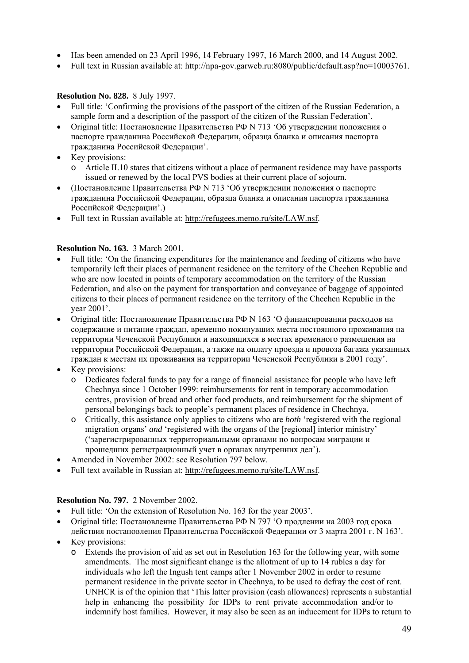- Has been amended on 23 April 1996, 14 February 1997, 16 March 2000, and 14 August 2002.
- Full text in Russian available at: [http://npa-gov.garweb.ru:8080/public/default.asp?no=10003761.](http://npa-gov.garweb.ru:8080/public/default.asp?no=10003761)

## **Resolution No. 828.** 8 July 1997.

- Full title: 'Confirming the provisions of the passport of the citizen of the Russian Federation, a sample form and a description of the passport of the citizen of the Russian Federation'.
- Original title: Постановление Правительства РФ N 713 'Об утверждении положения о пacпopтe гражданинa Российской Федерации, oбpaзцa блaнкa и oпиcaния пacпopтa гражданинa Российской Федерации'.
- Key provisions:
	- o Article II.10 states that citizens without a place of permanent residence may have passports issued or renewed by the local PVS bodies at their current place of sojourn.
- (Постановление Правительства РФ N 713 'Об утверждении пoлoжeния o пacпopтe гражданинa Российской Федерации, oбpaзцa блaнкa и oпиcaния пacпopтa гражданинa Российской Федерации'.)
- Full text in Russian available at: <http://refugees.memo.ru/site/LAW.nsf>.

## **Resolution No. 163.** 3 March 2001.

- Full title: 'On the financing expenditures for the maintenance and feeding of citizens who have temporarily left their places of permanent residence on the territory of the Chechen Republic and who are now located in points of temporary accommodation on the territory of the Russian Federation, and also on the payment for transportation and conveyance of baggage of appointed citizens to their places of permanent residence on the territory of the Chechen Republic in the year 2001'.
- Original title: Постановление Правительства РФ N 163 'О финансировании расходов на содержание и питание граждан, временно покинувших места постоянного проживания на территории Чеченской Республики и находящихся в местах временного размещения на территории Российской Федерации, а также на оплату проезда и провоза багажа указанных граждан к местам их проживания на территории Чеченской Республики в 2001 году'.
- Key provisions:
	- o Dedicates federal funds to pay for a range of financial assistance for people who have left Chechnya since 1 October 1999: reimbursements for rent in temporary accommodation centres, provision of bread and other food products, and reimbursement for the shipment of personal belongings back to people's permanent places of residence in Chechnya.
	- o Critically, this assistance only applies to citizens who are *both* 'registered with the regional migration organs' *and* 'registered with the organs of the [regional] interior ministry' ('зарегистрированных территориальными органами по вопросам миграции и прошедших регистрационный учет в органах внутренних дел').
- Amended in November 2002: see Resolution 797 below.
- Full text available in Russian at: <http://refugees.memo.ru/site/LAW.nsf>.

## **Resolution No. 797.** 2 November 2002.

- Full title: 'On the extension of Resolution No. 163 for the year 2003'.
- Original title: Постановление Правительства РФ N 797 'О продлении на 2003 год срока действия постановления Правительства Российской Федерации от 3 марта 2001 г. N 163'.
- Key provisions:
	- o Extends the provision of aid as set out in Resolution 163 for the following year, with some amendments. The most significant change is the allotment of up to 14 rubles a day for individuals who left the Ingush tent camps after 1 November 2002 in order to resume permanent residence in the private sector in Chechnya, to be used to defray the cost of rent. UNHCR is of the opinion that 'This latter provision (cash allowances) represents a substantial help in enhancing the possibility for IDPs to rent private accommodation and/or to indemnify host families. However, it may also be seen as an inducement for IDPs to return to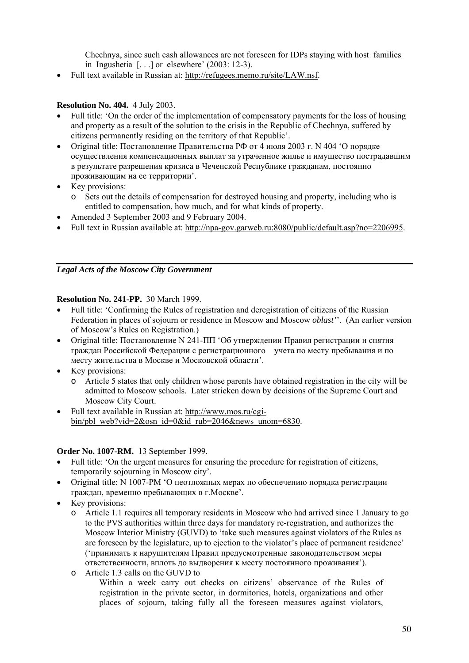Chechnya, since such cash allowances are not foreseen for IDPs staying with host families in Ingushetia [. . .] or elsewhere' (2003: 12-3).

• Full text available in Russian at: <http://refugees.memo.ru/site/LAW.nsf>.

## **Resolution No. 404.** 4 July 2003.

- Full title: 'On the order of the implementation of compensatory payments for the loss of housing and property as a result of the solution to the crisis in the Republic of Chechnya, suffered by citizens permanently residing on the territory of that Republic'.
- Original title: Постановление Правительства РФ от 4 июля 2003 г. N 404 'О порядке осуществления компенсационных выплат за утраченное жилье и имущество пострадавшим в результате разрешения кризиса в Чеченской Республике гражданам, постоянно проживающим на ее территории'.
- Key provisions:
	- o Sets out the details of compensation for destroyed housing and property, including who is entitled to compensation, how much, and for what kinds of property.
- Amended 3 September 2003 and 9 February 2004.
- Full text in Russian available at: <http://npa-gov.garweb.ru:8080/public/default.asp?no=2206995>.

## *Legal Acts of the Moscow City Government*

## **Resolution No. 241-PP.** 30 March 1999.

- Full title: 'Confirming the Rules of registration and deregistration of citizens of the Russian Federation in places of sojourn or residence in Moscow and Moscow *oblast'*'. (An earlier version of Moscow's Rules on Registration.)
- Original title: Постановление N 241-ПП 'Об утверждении Правил регистрации и снятия граждан Российской Федерации с регистрационного учета по месту пребывания и по месту жительства в Москве и Московской области'.
- Key provisions:
	- o Article 5 states that only children whose parents have obtained registration in the city will be admitted to Moscow schools. Later stricken down by decisions of the Supreme Court and Moscow City Court.
- Full text available in Russian at: [http://www.mos.ru/cgi](http://www.mos.ru/cgi-bin/pbl_web?vid=2&osn_id=0&id_rub=2046&news_unom=6830)[bin/pbl\\_web?vid=2&osn\\_id=0&id\\_rub=2046&news\\_unom=6830.](http://www.mos.ru/cgi-bin/pbl_web?vid=2&osn_id=0&id_rub=2046&news_unom=6830)

## **Order No. 1007-RM.** 13 September 1999.

- Full title: 'On the urgent measures for ensuring the procedure for registration of citizens, temporarily sojourning in Moscow city'.
- Original title: N 1007-PM 'О неотложных мерах по обеспечению порядка регистрации граждан, временно пребывающих в г.Москве'.
- Key provisions:
	- o Article 1.1 requires all temporary residents in Moscow who had arrived since 1 January to go to the PVS authorities within three days for mandatory re-registration, and authorizes the Moscow Interior Ministry (GUVD) to 'take such measures against violators of the Rules as are foreseen by the legislature, up to ejection to the violator's place of permanent residence' ('принимать к нарушителям Правил предусмотренные законодательством меры ответственности, вплоть до выдворения к месту постоянного проживания').
	- o Article 1.3 calls on the GUVD to

Within a week carry out checks on citizens' observance of the Rules of registration in the private sector, in dormitories, hotels, organizations and other places of sojourn, taking fully all the foreseen measures against violators,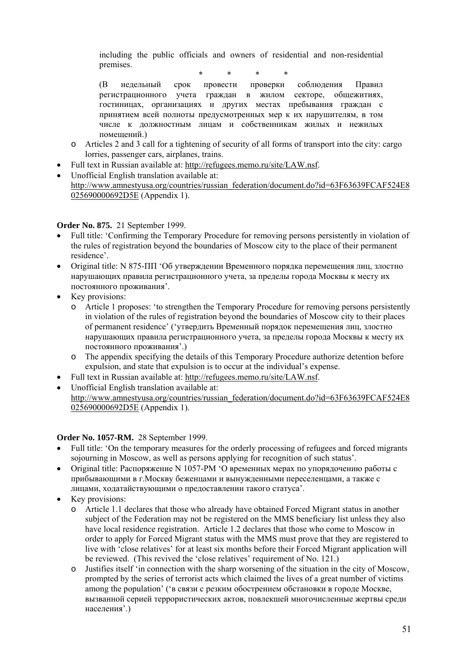including the public officials and owners of residential and non-residential premises.

\* \* \* \*

(В недельный срок провести проверки соблюдения Правил регистрационного учета граждан в жилом секторе, общежитиях, гостиницах, организациях и других местах пребывания граждан с принятием всей полноты предусмотренных мер к их нарушителям, в том числе к должностным лицам и собственникам жилых и нежилых помещений.)

- o Articles 2 and 3 call for a tightening of security of all forms of transport into the city: cargo lorries, passenger cars, airplanes, trains.
- Full text in Russian available at: <http://refugees.memo.ru/site/LAW.nsf>.
- Unofficial English translation available at: [http://www.amnestyusa.org/countries/russian\\_federation/document.do?id=63F63639FCAF524E8](http://www.amnestyusa.org/countries/russian_federation/document.do?id=63F63639FCAF524E8025690000692D5E) [025690000692D5E](http://www.amnestyusa.org/countries/russian_federation/document.do?id=63F63639FCAF524E8025690000692D5E) (Appendix 1).

## **Order No. 875.** 21 September 1999.

- Full title: 'Confirming the Temporary Procedure for removing persons persistently in violation of the rules of registration beyond the boundaries of Moscow city to the place of their permanent residence'.
- Original title: N 875-ПП 'Об утверждении Временного порядка перемещения лиц, злостно нарушающих правила регистрационного учета, за пределы города Москвы к месту их постоянного проживания'.
- Key provisions:
	- o Article 1 proposes: 'to strengthen the Temporary Procedure for removing persons persistently in violation of the rules of registration beyond the boundaries of Moscow city to their places of permanent residence' ('yтвердить Временный порядок перемещения лиц, злостно нарушающих правила регистрационного учета, за пределы города Москвы к месту их постоянного проживания'.)
	- o The appendix specifying the details of this Temporary Procedure authorize detention before expulsion, and state that expulsion is to occur at the individual's expense.
- Full text in Russian available at: <http://refugees.memo.ru/site/LAW.nsf>.
- Unofficial English translation available at: [http://www.amnestyusa.org/countries/russian\\_federation/document.do?id=63F63639FCAF524E8](http://www.amnestyusa.org/countries/russian_federation/document.do?id=63F63639FCAF524E8025690000692D5E) [025690000692D5E](http://www.amnestyusa.org/countries/russian_federation/document.do?id=63F63639FCAF524E8025690000692D5E) (Appendix 1).

## **Order No. 1057-RM.** 28 September 1999.

- Full title: 'On the temporary measures for the orderly processing of refugees and forced migrants sojourning in Moscow, as well as persons applying for recognition of such status'.
- Original title: Распоряжение N 1057-РМ  $^{\circ}$ О временных мерах по упорядочению работы с прибывающими в г.Москву беженцами и вынужденными переселенцами, а также с лицами, ходатайствующими о предоставлении такого статуса'.
- Key provisions:
	- o Article 1.1 declares that those who already have obtained Forced Migrant status in another subject of the Federation may not be registered on the MMS beneficiary list unless they also have local residence registration. Article 1.2 declares that those who come to Moscow in order to apply for Forced Migrant status with the MMS must prove that they are registered to live with 'close relatives' for at least six months before their Forced Migrant application will be reviewed. (This revived the 'close relatives' requirement of No. 121.)
	- o Justifies itself 'in connection with the sharp worsening of the situation in the city of Moscow, prompted by the series of terrorist acts which claimed the lives of a great number of victims among the population' ('в связи с резким обострением обстановки в городе Москве, вызванной серией террористических актов, повлекшей многочисленные жертвы среди населения'.)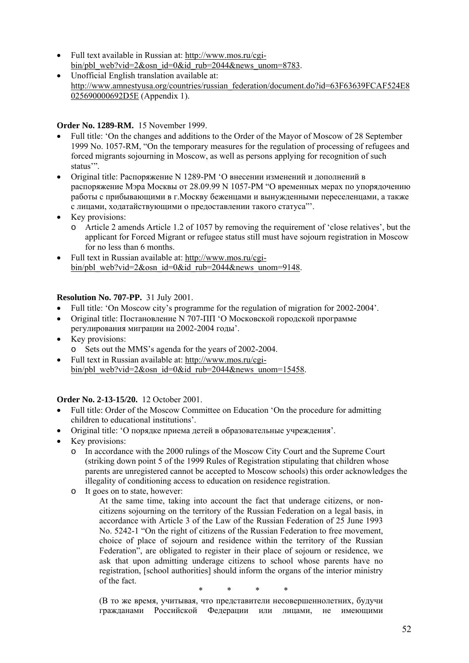- Full text available in Russian at: [http://www.mos.ru/cgi](http://www.mos.ru/cgi-bin/pbl_web?vid=2&osn_id=0&id_rub=2044&news_unom=8783)bin/pbl\_web?vid=2 $&$ osn\_id=0 $&$ id\_rub=2044 $&$ news\_unom=8783.
- Unofficial English translation available at: [http://www.amnestyusa.org/countries/russian\\_federation/document.do?id=63F63639FCAF524E8](http://www.amnestyusa.org/countries/russian_federation/document.do?id=63F63639FCAF524E8025690000692D5E) [025690000692D5E](http://www.amnestyusa.org/countries/russian_federation/document.do?id=63F63639FCAF524E8025690000692D5E) (Appendix 1).

## **Order No. 1289-RM.** 15 November 1999.

- Full title: 'On the changes and additions to the Order of the Mayor of Moscow of 28 September 1999 No. 1057-RM, "On the temporary measures for the regulation of processing of refugees and forced migrants sojourning in Moscow, as well as persons applying for recognition of such status'".
- Original title: Рacпopяжение N 1289-PM 'О внесении изменений и дополнений в распоряжение Мэра Москвы от 28.09.99 N 1057-РМ "О временных мерах по упорядочению работы с прибывающими в г.Москву беженцами и вынужденными переселенцами, а также с лицами, ходатайствующими о предоставлении такого статуса"'.
- Key provisions:
	- o Article 2 amends Article 1.2 of 1057 by removing the requirement of 'close relatives', but the applicant for Forced Migrant or refugee status still must have sojourn registration in Moscow for no less than 6 months.
- Full text in Russian available at: [http://www.mos.ru/cgi](http://www.mos.ru/cgi-bin/pbl_web?vid=2&osn_id=0&id_rub=2044&news_unom=9148)bin/pbl\_web?vid=2 $&$ osn\_id=0 $&$ id\_rub=2044 $&$ news\_unom=9148.

## **Resolution No. 707-PP.** 31 July 2001.

- Full title: 'On Moscow city's programme for the regulation of migration for 2002-2004'.
- Original title: Постановление  $N$  707- $\Pi\Pi$  ° О Московской городской программе регулирования миграции на 2002-2004 годы'.
- Key provisions:
	- o Sets out the MMS's agenda for the years of 2002-2004.
- Full text in Russian available at: [http://www.mos.ru/cgi](http://www.mos.ru/cgi-bin/pbl_web?vid=2&osn_id=0&id_rub=2044&news_unom=15458)[bin/pbl\\_web?vid=2&osn\\_id=0&id\\_rub=2044&news\\_unom=15458](http://www.mos.ru/cgi-bin/pbl_web?vid=2&osn_id=0&id_rub=2044&news_unom=15458).

## **Order No. 2-13-15/20.** 12 October 2001.

- Full title: Order of the Moscow Committee on Education 'On the procedure for admitting children to educational institutions'.
- Original title: 'О порядке приема детей в образовательные учреждения'.
- Key provisions:
	- o In accordance with the 2000 rulings of the Moscow City Court and the Supreme Court (striking down point 5 of the 1999 Rules of Registration stipulating that children whose parents are unregistered cannot be accepted to Moscow schools) this order acknowledges the illegality of conditioning access to education on residence registration.
	- o It goes on to state, however:
		- At the same time, taking into account the fact that underage citizens, or noncitizens sojourning on the territory of the Russian Federation on a legal basis, in accordance with Article 3 of the Law of the Russian Federation of 25 June 1993 No. 5242-1 "On the right of citizens of the Russian Federation to free movement, choice of place of sojourn and residence within the territory of the Russian Federation", are obligated to register in their place of sojourn or residence, we ask that upon admitting underage citizens to school whose parents have no registration, [school authorities] should inform the organs of the interior ministry of the fact.

\* \* \* \*

(В то же время, учитывая, что представители несовершеннолетних, будучи гражданами Российской Федерации или лицами, не имеющими